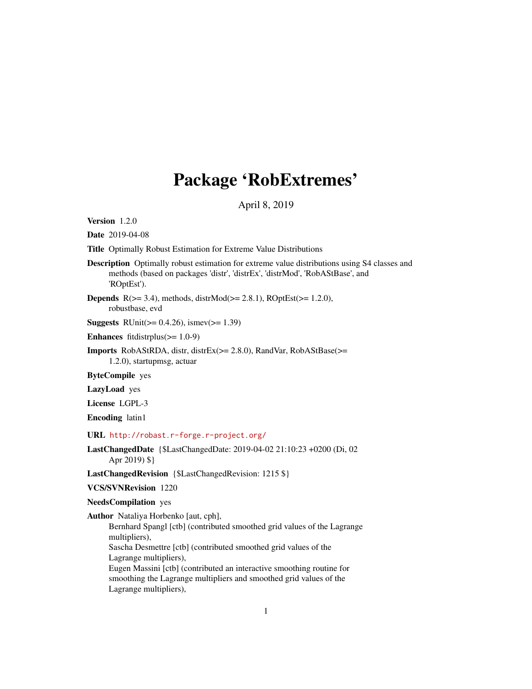# Package 'RobExtremes'

April 8, 2019

<span id="page-0-0"></span>Version 1.2.0

Date 2019-04-08

Title Optimally Robust Estimation for Extreme Value Distributions

Description Optimally robust estimation for extreme value distributions using S4 classes and methods (based on packages 'distr', 'distrEx', 'distrMod', 'RobAStBase', and 'ROptEst').

**Depends**  $R$ ( $> = 3.4$ ), methods, distr $Mod(>= 2.8.1)$ ,  $ROptEst(>= 1.2.0)$ , robustbase, evd

**Suggests** RUnit( $>= 0.4.26$ ), ismev( $>= 1.39$ )

Enhances fitdistrplus $(>= 1.0-9)$ 

**Imports** RobAStRDA, distr, distrEx( $>= 2.8.0$ ), RandVar, RobAStBase( $>=$ 1.2.0), startupmsg, actuar

ByteCompile yes

LazyLoad yes

License LGPL-3

Encoding latin1

URL <http://robast.r-forge.r-project.org/>

```
LastChangedDate {$LastChangedDate: 2019-04-02 21:10:23 +0200 (Di, 02
     Apr 2019) $}
```
LastChangedRevision {\$LastChangedRevision: 1215 \$}

VCS/SVNRevision 1220

NeedsCompilation yes

Author Nataliya Horbenko [aut, cph],

Bernhard Spangl [ctb] (contributed smoothed grid values of the Lagrange multipliers),

Sascha Desmettre [ctb] (contributed smoothed grid values of the Lagrange multipliers),

Eugen Massini [ctb] (contributed an interactive smoothing routine for smoothing the Lagrange multipliers and smoothed grid values of the Lagrange multipliers),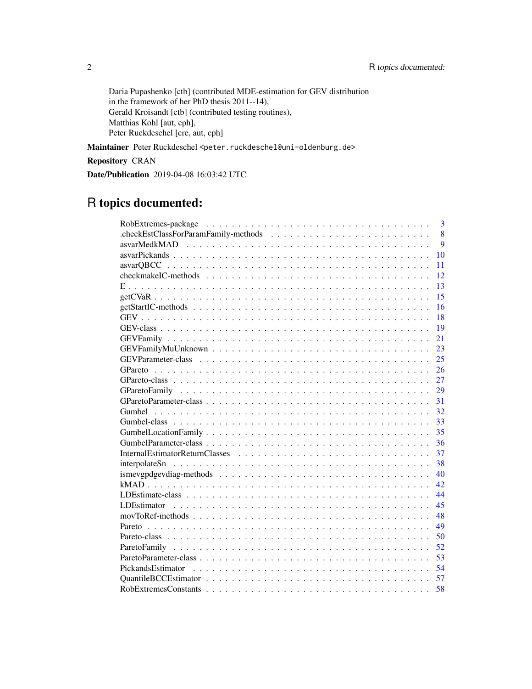Daria Pupashenko [ctb] (contributed MDE-estimation for GEV distribution in the framework of her PhD thesis 2011--14), Gerald Kroisandt [ctb] (contributed testing routines), Matthias Kohl [aut, cph], Peter Ruckdeschel [cre, aut, cph]

Maintainer Peter Ruckdeschel <peter.ruckdeschel@uni-oldenburg.de>

Repository CRAN

Date/Publication 2019-04-08 16:03:42 UTC

# R topics documented:

| $\overline{3}$                            |
|-------------------------------------------|
| 8<br>.checkEstClassForParamFamily-methods |
| 9<br>asvarMedkMAD                         |
| 10                                        |
| 11                                        |
| 12                                        |
| 13                                        |
| 15                                        |
| 16                                        |
| 18                                        |
| 19                                        |
| 21                                        |
| 23                                        |
| 25                                        |
| 26                                        |
| 27                                        |
| 29                                        |
| 31                                        |
| 32                                        |
| 33                                        |
| 35                                        |
| 36                                        |
| 37                                        |
| 38                                        |
| 40                                        |
| 42                                        |
| 44                                        |
| 45                                        |
| 48                                        |
| 49                                        |
| 50                                        |
| 52                                        |
| 53                                        |
| 54                                        |
| 57                                        |
| 58                                        |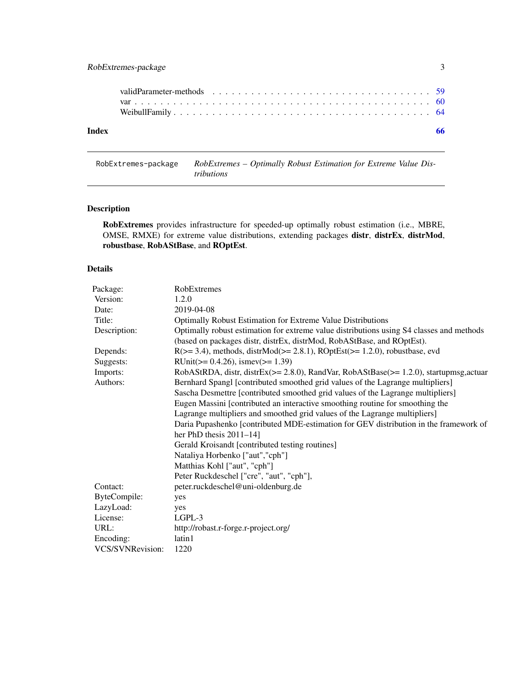<span id="page-2-0"></span>

| Index |  |  |  |  |  |  |  |  |  |  |  |  |  |  |  |  |  | -66 |
|-------|--|--|--|--|--|--|--|--|--|--|--|--|--|--|--|--|--|-----|
|       |  |  |  |  |  |  |  |  |  |  |  |  |  |  |  |  |  |     |
|       |  |  |  |  |  |  |  |  |  |  |  |  |  |  |  |  |  |     |
|       |  |  |  |  |  |  |  |  |  |  |  |  |  |  |  |  |  |     |

RobExtremes-package *RobExtremes – Optimally Robust Estimation for Extreme Value Distributions*

# Description

RobExtremes provides infrastructure for speeded-up optimally robust estimation (i.e., MBRE, OMSE, RMXE) for extreme value distributions, extending packages distr, distrEx, distrMod, robustbase, RobAStBase, and ROptEst.

# Details

| Package:         | RobExtremes                                                                              |
|------------------|------------------------------------------------------------------------------------------|
| Version:         | 1.2.0                                                                                    |
| Date:            | 2019-04-08                                                                               |
| Title:           | Optimally Robust Estimation for Extreme Value Distributions                              |
| Description:     | Optimally robust estimation for extreme value distributions using S4 classes and methods |
|                  | (based on packages distr, distrEx, distrMod, RobAStBase, and ROptEst).                   |
| Depends:         | $R(>= 3.4)$ , methods, distr $Mod(>= 2.8.1)$ , $ROptEst(>= 1.2.0)$ , robustbase, evd     |
| Suggests:        | RUnit( $> = 0.4.26$ ), ismev( $>= 1.39$ )                                                |
| Imports:         | RobAStRDA, distr, distrEx(>= 2.8.0), RandVar, RobAStBase(>= 1.2.0), startupmsg, actuar   |
| Authors:         | Bernhard Spangl [contributed smoothed grid values of the Lagrange multipliers]           |
|                  | Sascha Desmettre [contributed smoothed grid values of the Lagrange multipliers]          |
|                  | Eugen Massini [contributed an interactive smoothing routine for smoothing the            |
|                  | Lagrange multipliers and smoothed grid values of the Lagrange multipliers]               |
|                  | Daria Pupashenko [contributed MDE-estimation for GEV distribution in the framework of    |
|                  | her PhD thesis $2011-14$ ]                                                               |
|                  | Gerald Kroisandt [contributed testing routines]                                          |
|                  | Nataliya Horbenko ["aut","cph"]                                                          |
|                  | Matthias Kohl ["aut", "cph"]                                                             |
|                  | Peter Ruckdeschel ["cre", "aut", "cph"],                                                 |
| Contact:         | peter.ruckdeschel@uni-oldenburg.de                                                       |
| ByteCompile:     | yes                                                                                      |
| LazyLoad:        | yes                                                                                      |
| License:         | $LGPL-3$                                                                                 |
| URL:             | http://robast.r-forge.r-project.org/                                                     |
| Encoding:        | latin1                                                                                   |
| VCS/SVNRevision: | 1220                                                                                     |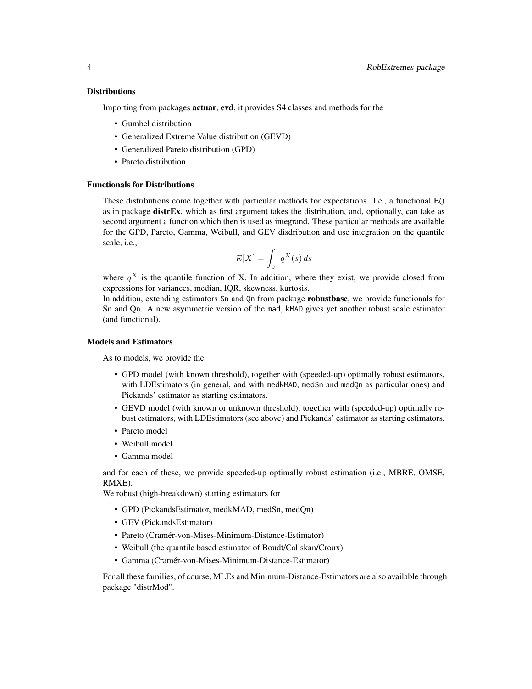#### **Distributions**

Importing from packages actuar, evd, it provides S4 classes and methods for the

- Gumbel distribution
- Generalized Extreme Value distribution (GEVD)
- Generalized Pareto distribution (GPD)
- Pareto distribution

# Functionals for Distributions

These distributions come together with particular methods for expectations. I.e., a functional E() as in package distrEx, which as first argument takes the distribution, and, optionally, can take as second argument a function which then is used as integrand. These particular methods are available for the GPD, Pareto, Gamma, Weibull, and GEV disdribution and use integration on the quantile scale, i.e.,

$$
E[X] = \int_0^1 q^X(s) \, ds
$$

where  $q^X$  is the quantile function of X. In addition, where they exist, we provide closed from expressions for variances, median, IQR, skewness, kurtosis.

In addition, extending estimators Sn and Qn from package **robustbase**, we provide functionals for Sn and Qn. A new asymmetric version of the mad, kMAD gives yet another robust scale estimator (and functional).

#### Models and Estimators

As to models, we provide the

- GPD model (with known threshold), together with (speeded-up) optimally robust estimators, with LDEstimators (in general, and with medkMAD, medSn and medQn as particular ones) and Pickands' estimator as starting estimators.
- GEVD model (with known or unknown threshold), together with (speeded-up) optimally robust estimators, with LDEstimators (see above) and Pickands' estimator as starting estimators.
- Pareto model
- Weibull model
- Gamma model

and for each of these, we provide speeded-up optimally robust estimation (i.e., MBRE, OMSE, RMXE).

We robust (high-breakdown) starting estimators for

- GPD (PickandsEstimator, medkMAD, medSn, medQn)
- GEV (PickandsEstimator)
- Pareto (Cramér-von-Mises-Minimum-Distance-Estimator)
- Weibull (the quantile based estimator of Boudt/Caliskan/Croux)
- Gamma (Cramér-von-Mises-Minimum-Distance-Estimator)

For all these families, of course, MLEs and Minimum-Distance-Estimators are also available through package "distrMod".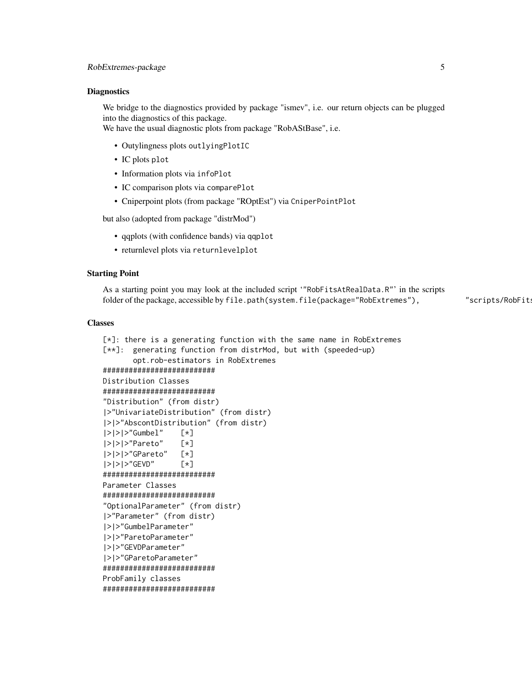#### **Diagnostics**

We bridge to the diagnostics provided by package "ismev", i.e. our return objects can be plugged into the diagnostics of this package.

We have the usual diagnostic plots from package "RobAStBase", i.e.

- Outylingness plots outlyingPlotIC
- IC plots plot
- Information plots via infoPlot
- IC comparison plots via comparePlot
- Cniperpoint plots (from package "ROptEst") via CniperPointPlot

but also (adopted from package "distrMod")

- qqplots (with confidence bands) via qqplot
- returnlevel plots via returnlevelplot

#### Starting Point

As a starting point you may look at the included script '"RobFitsAtRealData.R"' in the scripts folder of the package, accessible by file.path(system.file(package="RobExtremes"), "scripts/RobFit!

#### Classes

```
[*]: there is a generating function with the same name in RobExtremes
[**]: generating function from distrMod, but with (speeded-up)
      opt.rob-estimators in RobExtremes
##########################
Distribution Classes
##########################
"Distribution" (from distr)
|>"UnivariateDistribution" (from distr)
|>|>"AbscontDistribution" (from distr)
|>|>|>"Gumbel" [*]
|>|>|>"Pareto" [*]
|>|>|>"GPareto" [*]
|>|>|>"GEVD" [*]
##########################
Parameter Classes
##########################
"OptionalParameter" (from distr)
|>"Parameter" (from distr)
|>|>"GumbelParameter"
|>|>"ParetoParameter"
|>|>"GEVDParameter"
|>|>"GParetoParameter"
##########################
ProbFamily classes
```
##########################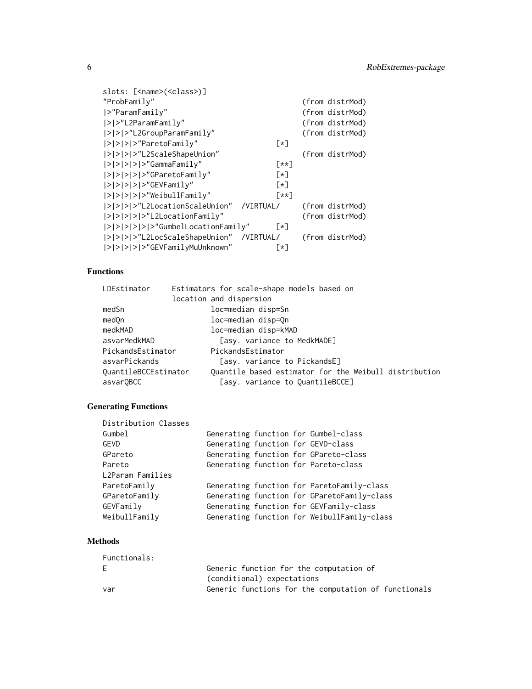| slots: [ <name>(<class>)]</class></name> |                             |                 |
|------------------------------------------|-----------------------------|-----------------|
| "ProbFamily"                             |                             | (from distrMod) |
| $ >$ "ParamFamily"                       |                             | (from distrMod) |
| > >"L2ParamFamily"                       |                             | (from distrMod) |
| > > >"L2GroupParamFamily"                |                             | (from distrMod) |
| > > > >"ParetoFamily"                    | $[\star]$                   |                 |
| > > > >"L2ScaleShapeUnion"               |                             | (from distrMod) |
| $ > > > > >$ /s "GammaFamily"            | $\lceil \star \star \rceil$ |                 |
| > > > > >"GParetoFamily"                 | $\lceil * \rceil$           |                 |
| $ > > > > >$ (SEVFamily"                 | [∗]                         |                 |
| > > > > >"WeibullFamily"                 | [**]                        |                 |
| > > > >"L2LocationScaleUnion"            | /VIRTUAL/                   | (from distrMod) |
| > > > > >"L2LocationFamily"              |                             | (from distrMod) |
| > > > > > >"GumbelLocationFamily"        | $\lceil * \rceil$           |                 |
| > > > >"L2LocScaleShapeUnion"            | /VIRTUAL/                   | (from distrMod) |
| > > > > >"GEVFamilyMuUnknown"            | $\lceil * \rceil$           |                 |

# Functions

| LDEstimator          | Estimators for scale-shape models based on            |
|----------------------|-------------------------------------------------------|
|                      | location and dispersion                               |
| medSn                | loc=median disp=Sn                                    |
| medOn                | loc=median disp=On                                    |
| medkMAD              | loc=median disp=kMAD                                  |
| asvarMedkMAD         | [asy. variance to MedkMADE]                           |
| PickandsEstimator    | PickandsEstimator                                     |
| asvarPickands        | [asy. variance to PickandsE]                          |
| QuantileBCCEstimator | Quantile based estimator for the Weibull distribution |
| asvarQBCC            | [asy. variance to QuantileBCCE]                       |

# Generating Functions

| Distribution Classes |  |                                             |
|----------------------|--|---------------------------------------------|
| Gumbel               |  | Generating function for Gumbel-class        |
| GEVD                 |  | Generating function for GEVD-class          |
| GPareto              |  | Generating function for GPareto-class       |
| Pareto               |  | Generating function for Pareto-class        |
| L2Param Families     |  |                                             |
| ParetoFamily         |  | Generating function for ParetoFamily-class  |
| GParetoFamily        |  | Generating function for GParetoFamily-class |
| GEVFamily            |  | Generating function for GEVFamily-class     |
| WeibullFamily        |  | Generating function for WeibullFamily-class |

# Methods

| Functionals: |                                                      |
|--------------|------------------------------------------------------|
| E            | Generic function for the computation of              |
|              | (conditional) expectations                           |
| var          | Generic functions for the computation of functionals |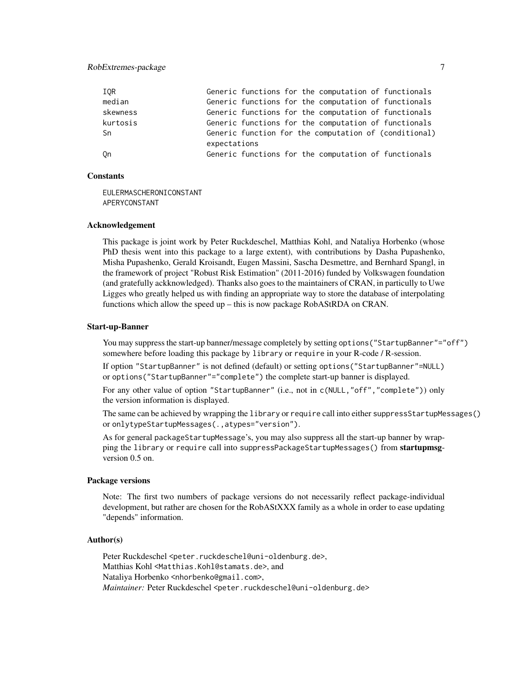# RobExtremes-package 7

| IOR      | Generic functions for the computation of functionals                  |
|----------|-----------------------------------------------------------------------|
| median   | Generic functions for the computation of functionals                  |
| skewness | Generic functions for the computation of functionals                  |
| kurtosis | Generic functions for the computation of functionals                  |
| Sn       | Generic function for the computation of (conditional)<br>expectations |
| Qn       | Generic functions for the computation of functionals                  |

# Constants

EULERMASCHERONICONSTANT APERYCONSTANT

#### Acknowledgement

This package is joint work by Peter Ruckdeschel, Matthias Kohl, and Nataliya Horbenko (whose PhD thesis went into this package to a large extent), with contributions by Dasha Pupashenko, Misha Pupashenko, Gerald Kroisandt, Eugen Massini, Sascha Desmettre, and Bernhard Spangl, in the framework of project "Robust Risk Estimation" (2011-2016) funded by Volkswagen foundation (and gratefully ackknowledged). Thanks also goes to the maintainers of CRAN, in particully to Uwe Ligges who greatly helped us with finding an appropriate way to store the database of interpolating functions which allow the speed up – this is now package RobAStRDA on CRAN.

#### Start-up-Banner

You may suppress the start-up banner/message completely by setting options("StartupBanner"="off") somewhere before loading this package by library or require in your R-code / R-session.

If option "StartupBanner" is not defined (default) or setting options("StartupBanner"=NULL) or options("StartupBanner"="complete") the complete start-up banner is displayed.

For any other value of option "StartupBanner" (i.e., not in c(NULL,"off","complete")) only the version information is displayed.

The same can be achieved by wrapping the library or require call into either suppressStartupMessages() or onlytypeStartupMessages(.,atypes="version").

As for general packageStartupMessage's, you may also suppress all the start-up banner by wrapping the library or require call into suppressPackageStartupMessages() from startupmsgversion 0.5 on.

#### Package versions

Note: The first two numbers of package versions do not necessarily reflect package-individual development, but rather are chosen for the RobAStXXX family as a whole in order to ease updating "depends" information.

# Author(s)

Peter Ruckdeschel <peter.ruckdeschel@uni-oldenburg.de>, Matthias Kohl <Matthias.Kohl@stamats.de>, and Nataliya Horbenko <nhorbenko@gmail.com>, Maintainer: Peter Ruckdeschel <peter.ruckdeschel@uni-oldenburg.de>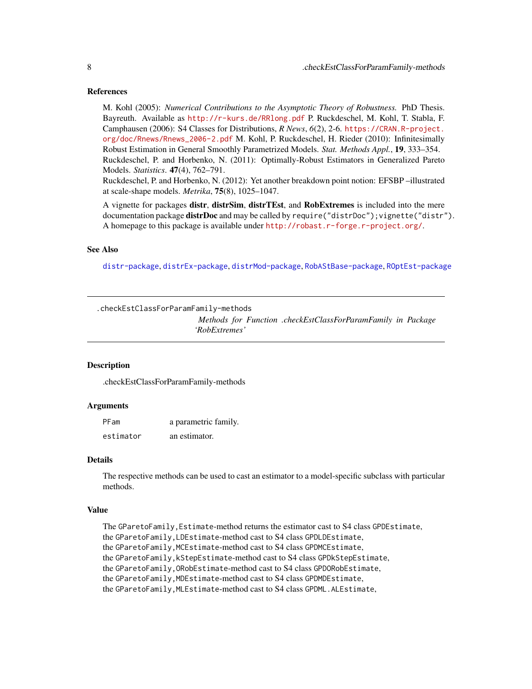#### References

M. Kohl (2005): *Numerical Contributions to the Asymptotic Theory of Robustness.* PhD Thesis. Bayreuth. Available as <http://r-kurs.de/RRlong.pdf> P. Ruckdeschel, M. Kohl, T. Stabla, F. Camphausen (2006): S4 Classes for Distributions, *R News*, *6*(2), 2-6. [https://CRAN.R-project.](https://CRAN.R-project.org/doc/Rnews/Rnews_2006-2.pdf) [org/doc/Rnews/Rnews\\_2006-2.pdf](https://CRAN.R-project.org/doc/Rnews/Rnews_2006-2.pdf) M. Kohl, P. Ruckdeschel, H. Rieder (2010): Infinitesimally Robust Estimation in General Smoothly Parametrized Models. *Stat. Methods Appl.*, 19, 333–354. Ruckdeschel, P. and Horbenko, N. (2011): Optimally-Robust Estimators in Generalized Pareto Models. *Statistics*. 47(4), 762–791.

Ruckdeschel, P. and Horbenko, N. (2012): Yet another breakdown point notion: EFSBP –illustrated at scale-shape models. *Metrika*, 75(8), 1025–1047.

A vignette for packages distr, distrSim, distrTEst, and RobExtremes is included into the mere documentation package **distrDoc** and may be called by require("distrDoc"); vignette("distr"). A homepage to this package is available under <http://robast.r-forge.r-project.org/>.

# See Also

[distr-package](#page-0-0), [distrEx-package](#page-0-0), [distrMod-package](#page-0-0), [RobAStBase-package](#page-0-0), [ROptEst-package](#page-0-0)

.checkEstClassForParamFamily-methods

*Methods for Function .checkEstClassForParamFamily in Package 'RobExtremes'*

#### Description

.checkEstClassForParamFamily-methods

#### Arguments

| PFam      | a parametric family. |
|-----------|----------------------|
| estimator | an estimator.        |

# Details

The respective methods can be used to cast an estimator to a model-specific subclass with particular methods.

#### Value

The GParetoFamily, Estimate-method returns the estimator cast to S4 class GPDEstimate, the GParetoFamily,LDEstimate-method cast to S4 class GPDLDEstimate, the GParetoFamily,MCEstimate-method cast to S4 class GPDMCEstimate, the GParetoFamily,kStepEstimate-method cast to S4 class GPDkStepEstimate, the GParetoFamily,ORobEstimate-method cast to S4 class GPDORobEstimate, the GParetoFamily,MDEstimate-method cast to S4 class GPDMDEstimate, the GParetoFamily,MLEstimate-method cast to S4 class GPDML.ALEstimate,

<span id="page-7-0"></span>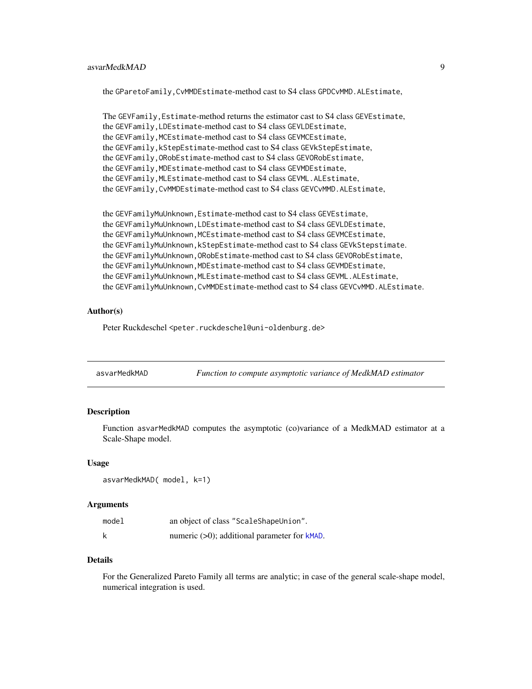# <span id="page-8-0"></span>asvarMedkMAD 9

the GParetoFamily,CvMMDEstimate-method cast to S4 class GPDCvMMD.ALEstimate,

```
The GEVFamily,Estimate-method returns the estimator cast to S4 class GEVEstimate,
the GEVFamily,LDEstimate-method cast to S4 class GEVLDEstimate,
the GEVFamily, MCEstimate-method cast to S4 class GEVMCEstimate,
the GEVFamily,kStepEstimate-method cast to S4 class GEVkStepEstimate,
the GEVFamily,ORobEstimate-method cast to S4 class GEVORobEstimate,
the GEVFamily,MDEstimate-method cast to S4 class GEVMDEstimate,
the GEVFamily,MLEstimate-method cast to S4 class GEVML.ALEstimate,
the GEVFamily,CvMMDEstimate-method cast to S4 class GEVCvMMD.ALEstimate,
```

```
the GEVFamilyMuUnknown,Estimate-method cast to S4 class GEVEstimate,
the GEVFamilyMuUnknown,LDEstimate-method cast to S4 class GEVLDEstimate,
the GEVFamilyMuUnknown,MCEstimate-method cast to S4 class GEVMCEstimate,
the GEVFamilyMuUnknown,kStepEstimate-method cast to S4 class GEVkStepstimate.
the GEVFamilyMuUnknown,ORobEstimate-method cast to S4 class GEVORobEstimate,
the GEVFamilyMuUnknown,MDEstimate-method cast to S4 class GEVMDEstimate,
the GEVFamilyMuUnknown,MLEstimate-method cast to S4 class GEVML.ALEstimate,
the GEVFamilyMuUnknown,CvMMDEstimate-method cast to S4 class GEVCvMMD.ALEstimate.
```
#### Author(s)

Peter Ruckdeschel <peter.ruckdeschel@uni-oldenburg.de>

| asvarMedkMAD |  | Function to compute asymptotic variance of MedkMAD estimator |
|--------------|--|--------------------------------------------------------------|
|              |  |                                                              |

# Description

Function asvarMedkMAD computes the asymptotic (co)variance of a MedkMAD estimator at a Scale-Shape model.

#### Usage

```
asvarMedkMAD( model, k=1)
```
#### Arguments

| model | an object of class "ScaleShapeUnion".              |
|-------|----------------------------------------------------|
| k     | numeric $(>0)$ ; additional parameter for $k$ MAD. |

### Details

For the Generalized Pareto Family all terms are analytic; in case of the general scale-shape model, numerical integration is used.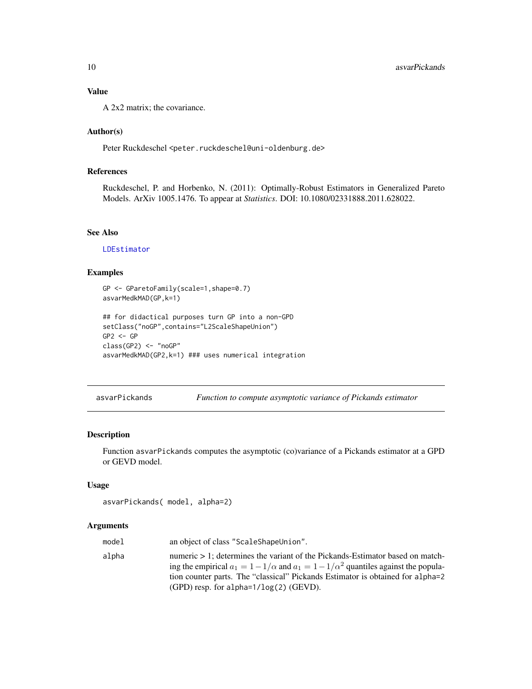# <span id="page-9-0"></span>Value

A 2x2 matrix; the covariance.

# Author(s)

Peter Ruckdeschel <peter.ruckdeschel@uni-oldenburg.de>

# References

Ruckdeschel, P. and Horbenko, N. (2011): Optimally-Robust Estimators in Generalized Pareto Models. ArXiv 1005.1476. To appear at *Statistics*. DOI: 10.1080/02331888.2011.628022.

# See Also

[LDEstimator](#page-44-1)

# Examples

```
GP <- GParetoFamily(scale=1,shape=0.7)
asvarMedkMAD(GP,k=1)
## for didactical purposes turn GP into a non-GPD
setClass("noGP",contains="L2ScaleShapeUnion")
GP2 \leq -GPclass(GP2) <- "noGP"
asvarMedkMAD(GP2,k=1) ### uses numerical integration
```
asvarPickands *Function to compute asymptotic variance of Pickands estimator*

#### Description

Function asvarPickands computes the asymptotic (co)variance of a Pickands estimator at a GPD or GEVD model.

#### Usage

```
asvarPickands( model, alpha=2)
```
#### Arguments

| model | an object of class "ScaleShapeUnion".                                                                                                                                                                                                                                                                                 |
|-------|-----------------------------------------------------------------------------------------------------------------------------------------------------------------------------------------------------------------------------------------------------------------------------------------------------------------------|
| alpha | numeric $> 1$ : determines the variant of the Pickands-Estimator based on match-<br>ing the empirical $a_1 = 1 - 1/\alpha$ and $a_1 = 1 - 1/\alpha^2$ quantiles against the popula-<br>tion counter parts. The "classical" Pickands Estimator is obtained for alpha=2<br>$(GPD)$ resp. for alpha= $1/\log(2)$ (GEVD). |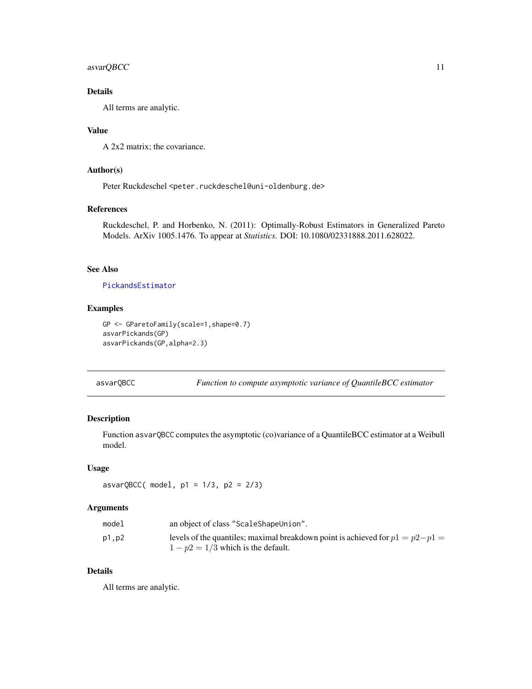# <span id="page-10-0"></span>asvarQBCC 11

# Details

All terms are analytic.

#### Value

A 2x2 matrix; the covariance.

# Author(s)

Peter Ruckdeschel <peter.ruckdeschel@uni-oldenburg.de>

#### References

Ruckdeschel, P. and Horbenko, N. (2011): Optimally-Robust Estimators in Generalized Pareto Models. ArXiv 1005.1476. To appear at *Statistics*. DOI: 10.1080/02331888.2011.628022.

# See Also

# [PickandsEstimator](#page-53-1)

# Examples

```
GP <- GParetoFamily(scale=1,shape=0.7)
asvarPickands(GP)
asvarPickands(GP,alpha=2.3)
```
asvarQBCC *Function to compute asymptotic variance of QuantileBCC estimator*

# Description

Function asvarQBCC computes the asymptotic (co)variance of a QuantileBCC estimator at a Weibull model.

# Usage

 $asvarQBCC( model, p1 = 1/3, p2 = 2/3)$ 

# Arguments

| model | an object of class "ScaleShapeUnion".                                           |
|-------|---------------------------------------------------------------------------------|
| p1.p2 | levels of the quantiles; maximal breakdown point is achieved for $p1 = p2 - p1$ |
|       | $1 - p2 = 1/3$ which is the default.                                            |

# Details

All terms are analytic.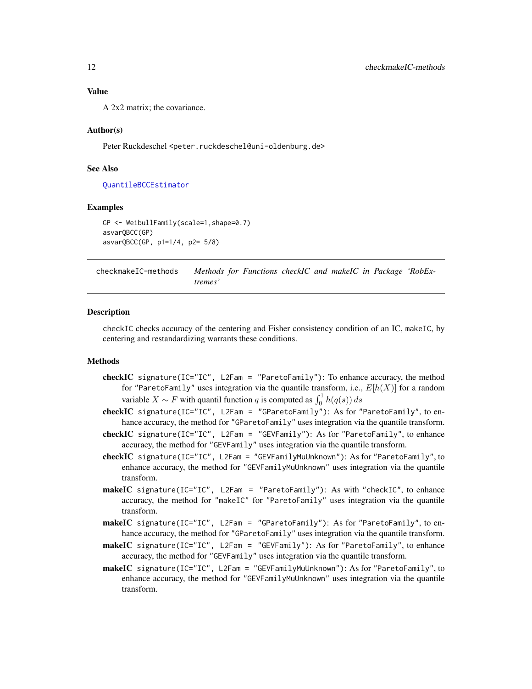<span id="page-11-0"></span>A 2x2 matrix; the covariance.

#### Author(s)

Peter Ruckdeschel <peter.ruckdeschel@uni-oldenburg.de>

#### See Also

[QuantileBCCEstimator](#page-56-1)

#### Examples

```
GP <- WeibullFamily(scale=1,shape=0.7)
asvarQBCC(GP)
asvarQBCC(GP, p1=1/4, p2= 5/8)
```
checkmakeIC-methods *Methods for Functions checkIC and makeIC in Package 'RobExtremes'*

#### **Description**

checkIC checks accuracy of the centering and Fisher consistency condition of an IC, makeIC, by centering and restandardizing warrants these conditions.

#### Methods

- checkIC signature(IC="IC", L2Fam = "ParetoFamily"): To enhance accuracy, the method for "ParetoFamily" uses integration via the quantile transform, i.e.,  $E[h(X)]$  for a random variable  $X \sim F$  with quantil function q is computed as  $\int_0^1 h(q(s)) ds$
- checkIC signature(IC="IC", L2Fam = "GParetoFamily"): As for "ParetoFamily", to enhance accuracy, the method for "GParetoFamily" uses integration via the quantile transform.
- checkIC signature(IC="IC", L2Fam = "GEVFamily"): As for "ParetoFamily", to enhance accuracy, the method for "GEVFamily" uses integration via the quantile transform.
- checkIC signature(IC="IC", L2Fam = "GEVFamilyMuUnknown"): As for "ParetoFamily", to enhance accuracy, the method for "GEVFamilyMuUnknown" uses integration via the quantile transform.
- makeIC signature(IC="IC", L2Fam = "ParetoFamily"): As with "checkIC", to enhance accuracy, the method for "makeIC" for "ParetoFamily" uses integration via the quantile transform.
- makeIC signature(IC="IC", L2Fam = "GParetoFamily"): As for "ParetoFamily", to enhance accuracy, the method for "GParetoFamily" uses integration via the quantile transform.
- makeIC signature(IC="IC", L2Fam = "GEVFamily"): As for "ParetoFamily", to enhance accuracy, the method for "GEVFamily" uses integration via the quantile transform.
- makeIC signature(IC="IC", L2Fam = "GEVFamilyMuUnknown"): As for "ParetoFamily", to enhance accuracy, the method for "GEVFamilyMuUnknown" uses integration via the quantile transform.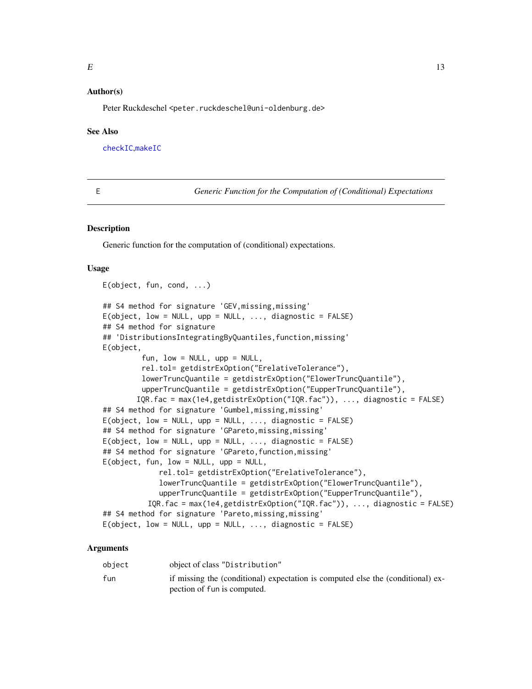# <span id="page-12-0"></span>Author(s)

Peter Ruckdeschel <peter.ruckdeschel@uni-oldenburg.de>

#### See Also

[checkIC](#page-0-0),[makeIC](#page-0-0)

E *Generic Function for the Computation of (Conditional) Expectations*

#### Description

Generic function for the computation of (conditional) expectations.

#### Usage

```
E(object, fun, cond, ...)
## S4 method for signature 'GEV,missing,missing'
E(\text{object}, \text{low} = \text{NULL}, \text{upp} = \text{NULL}, \dots, \text{diagnostic} = \text{FALSE})## S4 method for signature
## 'DistributionsIntegratingByQuantiles,function,missing'
E(object,
          fun, low = NULL, upp = NULL,
          rel.tol= getdistrExOption("ErelativeTolerance"),
          lowerTruncQuantile = getdistrExOption("ElowerTruncQuantile"),
          upperTruncQuantile = getdistrExOption("EupperTruncQuantile"),
         IQR.fac = max(1e4,getdistrExOption("IQR.fac")), ..., diagnostic = FALSE)
## S4 method for signature 'Gumbel,missing,missing'
E(\text{object}, \text{low} = \text{NULL}, \text{upp} = \text{NULL}, \dots, \text{diagnostic} = \text{FALSE})## S4 method for signature 'GPareto,missing,missing'
E(\text{object}, \text{low} = \text{NULL}, \text{upp} = \text{NULL}, \dots, \text{diagnostic} = \text{FALSE})## S4 method for signature 'GPareto, function, missing'
E(object, fun, low = NULL, upp = NULL,
               rel.tol= getdistrExOption("ErelativeTolerance"),
               lowerTruncQuantile = getdistrExOption("ElowerTruncQuantile"),
               upperTruncQuantile = getdistrExOption("EupperTruncQuantile"),
            IQR.fac = max(1e4,getdistrExOption("IQR.fac")), ..., diagnostic = FALSE)
## S4 method for signature 'Pareto,missing,missing'
E(\text{object}, \text{low} = \text{NULL}, \text{upp} = \text{NULL}, \dots, \text{diagnostic} = \text{FALSE})
```
#### Arguments

| obiect | object of class "Distribution"                                                  |
|--------|---------------------------------------------------------------------------------|
| fun    | if missing the (conditional) expectation is computed else the (conditional) ex- |
|        | pection of fun is computed.                                                     |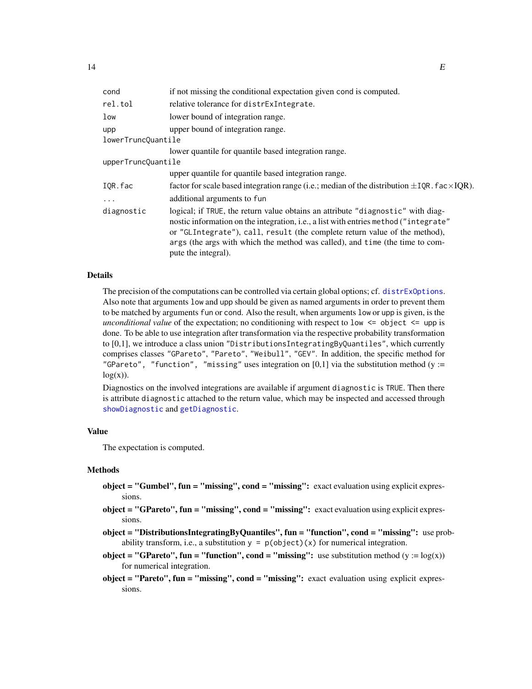<span id="page-13-0"></span>

| cond               | if not missing the conditional expectation given cond is computed.                                                                                                                                                                                                                                                                                           |  |
|--------------------|--------------------------------------------------------------------------------------------------------------------------------------------------------------------------------------------------------------------------------------------------------------------------------------------------------------------------------------------------------------|--|
| rel.tol            | relative tolerance for distress integrate.                                                                                                                                                                                                                                                                                                                   |  |
| low                | lower bound of integration range.                                                                                                                                                                                                                                                                                                                            |  |
| upp                | upper bound of integration range.                                                                                                                                                                                                                                                                                                                            |  |
| lowerTruncQuantile |                                                                                                                                                                                                                                                                                                                                                              |  |
|                    | lower quantile for quantile based integration range.                                                                                                                                                                                                                                                                                                         |  |
| upperTruncQuantile |                                                                                                                                                                                                                                                                                                                                                              |  |
|                    | upper quantile for quantile based integration range.                                                                                                                                                                                                                                                                                                         |  |
| IOR.fac            | factor for scale based integration range (i.e.; median of the distribution $\pm$ IQR. fac $\times$ IQR).                                                                                                                                                                                                                                                     |  |
| $\cdots$           | additional arguments to fun                                                                                                                                                                                                                                                                                                                                  |  |
| diagnostic         | logical; if TRUE, the return value obtains an attribute "diagnostic" with diag-<br>nostic information on the integration, i.e., a list with entries method ("integrate"<br>or "GLIntegrate"), call, result (the complete return value of the method),<br>args (the args with which the method was called), and time (the time to com-<br>pute the integral). |  |

#### Details

The precision of the computations can be controlled via certain global options; cf. [distrExOptions](#page-0-0). Also note that arguments low and upp should be given as named arguments in order to prevent them to be matched by arguments fun or cond. Also the result, when arguments low or upp is given, is the *unconditional value* of the expectation; no conditioning with respect to low <= object <= upp is done. To be able to use integration after transformation via the respective probability transformation to [0,1], we introduce a class union "DistributionsIntegratingByQuantiles", which currently comprises classes "GPareto", "Pareto", "Weibull", "GEV". In addition, the specific method for "GPareto", "function", "missing" uses integration on [0,1] via the substitution method (y :=  $log(x)$ ).

Diagnostics on the involved integrations are available if argument diagnostic is TRUE. Then there is attribute diagnostic attached to the return value, which may be inspected and accessed through [showDiagnostic](#page-0-0) and [getDiagnostic](#page-0-0).

#### Value

The expectation is computed.

#### Methods

- object = "Gumbel", fun = "missing", cond = "missing": exact evaluation using explicit expressions.
- object = "GPareto", fun = "missing", cond = "missing": exact evaluation using explicit expressions.
- object = "DistributionsIntegratingByQuantiles", fun = "function", cond = "missing": use probability transform, i.e., a substitution  $y = p(object)(x)$  for numerical integration.
- **object = "GPareto", fun = "function", cond = "missing":** use substitution method (y :=  $log(x)$ ) for numerical integration.
- $object = "Pareto", fun = "missing", cond = "missing": exact evaluation using explicit expres$ sions.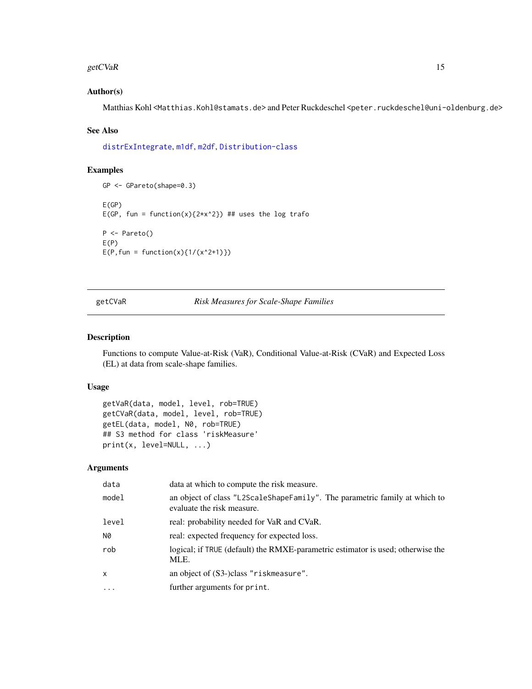#### <span id="page-14-0"></span>getCVaR and the set of the set of the set of the set of the set of the set of the set of the set of the set of the set of the set of the set of the set of the set of the set of the set of the set of the set of the set of t

#### Author(s)

Matthias Kohl <Matthias.Kohl@stamats.de> and Peter Ruckdeschel <peter.ruckdeschel@uni-oldenburg.de>

#### See Also

[distrExIntegrate](#page-0-0), [m1df](#page-0-0), [m2df](#page-0-0), [Distribution-class](#page-0-0)

# Examples

```
GP <- GPareto(shape=0.3)
E(GP)
E(GP, fun = function(x){2*x^2}) ## uses the log trafo
P <- Pareto()
E(P)E(P, fun = function(x){1/(x^2+1)})
```
getCVaR *Risk Measures for Scale-Shape Families*

# Description

Functions to compute Value-at-Risk (VaR), Conditional Value-at-Risk (CVaR) and Expected Loss (EL) at data from scale-shape families.

# Usage

```
getVaR(data, model, level, rob=TRUE)
getCVaR(data, model, level, rob=TRUE)
getEL(data, model, N0, rob=TRUE)
## S3 method for class 'riskMeasure'
print(x, level=NULL, ...)
```
#### Arguments

| data       | data at which to compute the risk measure.                                                               |
|------------|----------------------------------------------------------------------------------------------------------|
| model      | an object of class "L2ScaleShapeFamily". The parametric family at which to<br>evaluate the risk measure. |
| level      | real: probability needed for VaR and CVaR.                                                               |
| N0         | real: expected frequency for expected loss.                                                              |
| rob        | logical; if TRUE (default) the RMXE-parametric estimator is used; otherwise the<br>MLE.                  |
| x          | an object of (S3-)class "riskmeasure".                                                                   |
| $\ddots$ . | further arguments for print.                                                                             |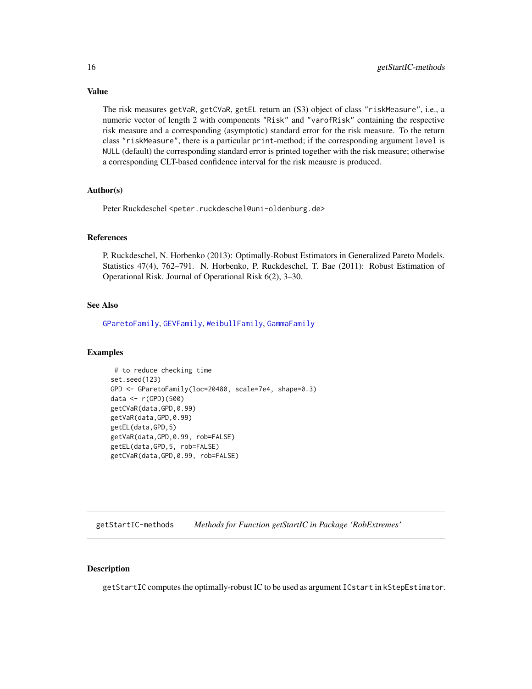Value

The risk measures getVaR, getCVaR, getEL return an (S3) object of class "riskMeasure", i.e., a numeric vector of length 2 with components "Risk" and "varofRisk" containing the respective risk measure and a corresponding (asymptotic) standard error for the risk measure. To the return class "riskMeasure", there is a particular print-method; if the corresponding argument level is NULL (default) the corresponding standard error is printed together with the risk measure; otherwise a corresponding CLT-based confidence interval for the risk meausre is produced.

# Author(s)

Peter Ruckdeschel <peter.ruckdeschel@uni-oldenburg.de>

#### **References**

P. Ruckdeschel, N. Horbenko (2013): Optimally-Robust Estimators in Generalized Pareto Models. Statistics 47(4), 762–791. N. Horbenko, P. Ruckdeschel, T. Bae (2011): Robust Estimation of Operational Risk. Journal of Operational Risk 6(2), 3–30.

#### See Also

[GParetoFamily](#page-28-1), [GEVFamily](#page-20-1), [WeibullFamily](#page-63-1), [GammaFamily](#page-0-0)

#### Examples

```
# to reduce checking time
set.seed(123)
GPD <- GParetoFamily(loc=20480, scale=7e4, shape=0.3)
data <- r(GPD)(500)
getCVaR(data,GPD,0.99)
getVaR(data,GPD,0.99)
getEL(data,GPD,5)
getVaR(data,GPD,0.99, rob=FALSE)
getEL(data,GPD,5, rob=FALSE)
getCVaR(data,GPD,0.99, rob=FALSE)
```
getStartIC-methods *Methods for Function getStartIC in Package 'RobExtremes'*

#### Description

getStartIC computes the optimally-robust IC to be used as argument ICstart in kStepEstimator.

<span id="page-15-0"></span>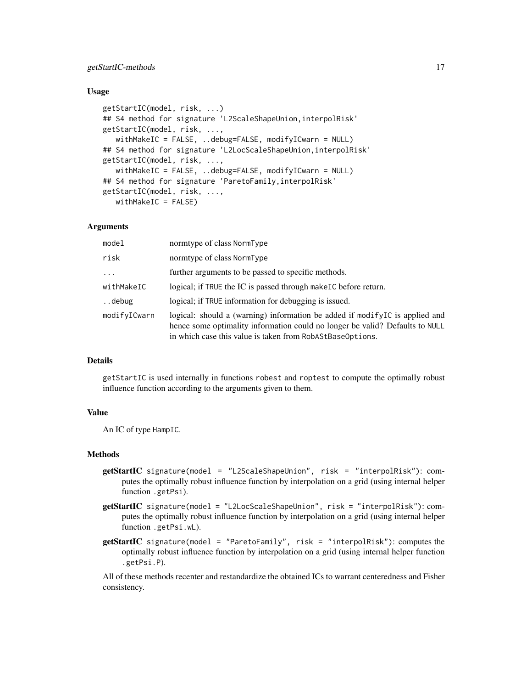# getStartIC-methods 17

#### Usage

```
getStartIC(model, risk, ...)
## S4 method for signature 'L2ScaleShapeUnion, interpolRisk'
getStartIC(model, risk, ...,
   withMakeIC = FALSE, ..debug=FALSE, modifyICwarn = NULL)
## S4 method for signature 'L2LocScaleShapeUnion, interpolRisk'
getStartIC(model, risk, ...,
   withMakeIC = FALSE, ..debug=FALSE, modifyICwarn = NULL)
## S4 method for signature 'ParetoFamily,interpolRisk'
getStartIC(model, risk, ...,
   withMakeIC = FALSE)
```
#### Arguments

| model        | normtype of class NormType                                                                                                                                                                                               |
|--------------|--------------------------------------------------------------------------------------------------------------------------------------------------------------------------------------------------------------------------|
| risk         | normtype of class NormType                                                                                                                                                                                               |
| $\cdots$     | further arguments to be passed to specific methods.                                                                                                                                                                      |
| withMakeIC   | logical; if TRUE the IC is passed through make IC before return.                                                                                                                                                         |
| debug        | logical; if TRUE information for debugging is issued.                                                                                                                                                                    |
| modifyICwarn | logical: should a (warning) information be added if modifyle is applied and<br>hence some optimality information could no longer be valid? Defaults to NULL<br>in which case this value is taken from RobAStBaseOptions. |

#### Details

getStartIC is used internally in functions robest and roptest to compute the optimally robust influence function according to the arguments given to them.

#### Value

An IC of type HampIC.

#### Methods

- getStartIC signature(model = "L2ScaleShapeUnion", risk = "interpolRisk"): computes the optimally robust influence function by interpolation on a grid (using internal helper function .getPsi).
- getStartIC signature(model = "L2LocScaleShapeUnion", risk = "interpolRisk"): computes the optimally robust influence function by interpolation on a grid (using internal helper function .getPsi.wL).
- getStartIC signature(model = "ParetoFamily", risk = "interpolRisk"): computes the optimally robust influence function by interpolation on a grid (using internal helper function .getPsi.P).

All of these methods recenter and restandardize the obtained ICs to warrant centeredness and Fisher consistency.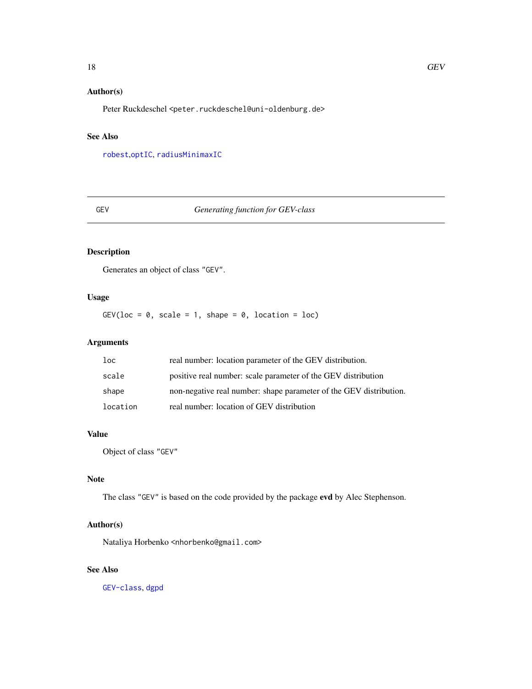# <span id="page-17-0"></span>Author(s)

Peter Ruckdeschel <peter.ruckdeschel@uni-oldenburg.de>

# See Also

[robest](#page-0-0),[optIC](#page-0-0), [radiusMinimaxIC](#page-0-0)

# GEV *Generating function for GEV-class*

# Description

Generates an object of class "GEV".

# Usage

GEV(loc =  $0$ , scale = 1, shape =  $0$ , location = loc)

# Arguments

| loc      | real number: location parameter of the GEV distribution.           |
|----------|--------------------------------------------------------------------|
| scale    | positive real number: scale parameter of the GEV distribution      |
| shape    | non-negative real number: shape parameter of the GEV distribution. |
| location | real number: location of GEV distribution                          |

#### Value

Object of class "GEV"

# Note

The class "GEV" is based on the code provided by the package evd by Alec Stephenson.

# Author(s)

Nataliya Horbenko <nhorbenko@gmail.com>

# See Also

[GEV-class](#page-18-1), [dgpd](#page-0-0)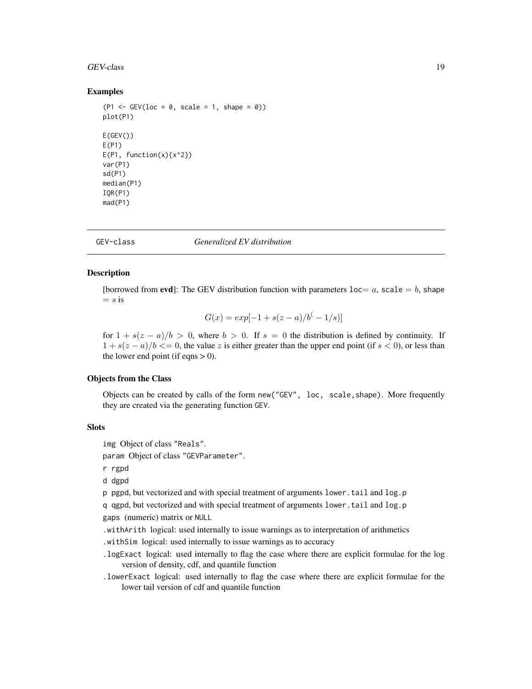#### <span id="page-18-0"></span>GEV-class 19

#### Examples

```
(P1 \le - GEV(loc = 0, scale = 1, shape = 0))
plot(P1)
E(GEV()E(P1)
E(P1, function(x){x^2})var(P1)
sd(P1)
median(P1)
IQR(P1)
mad(P1)
```
<span id="page-18-1"></span>

GEV-class *Generalized EV distribution*

# Description

[borrowed from evd]: The GEV distribution function with parameters  $loc = a$ , scale  $= b$ , shape  $= s$  is

$$
G(x) = exp[-1 + s(z - a)/b^{(-1/s)}]
$$

for  $1 + s(z - a)/b > 0$ , where  $b > 0$ . If  $s = 0$  the distribution is defined by continuity. If  $1 + s(z - a)/b \leq 0$ , the value z is either greater than the upper end point (if  $s < 0$ ), or less than the lower end point (if eqns  $> 0$ ).

# Objects from the Class

Objects can be created by calls of the form new("GEV", loc, scale,shape). More frequently they are created via the generating function GEV.

#### **Slots**

img Object of class "Reals".

param Object of class "GEVParameter".

r rgpd

d dgpd

p pgpd, but vectorized and with special treatment of arguments lower.tail and log.p

q qgpd, but vectorized and with special treatment of arguments lower.tail and log.p gaps (numeric) matrix or NULL

.withArith logical: used internally to issue warnings as to interpretation of arithmetics

.withSim logical: used internally to issue warnings as to accuracy

.logExact logical: used internally to flag the case where there are explicit formulae for the log version of density, cdf, and quantile function

.lowerExact logical: used internally to flag the case where there are explicit formulae for the lower tail version of cdf and quantile function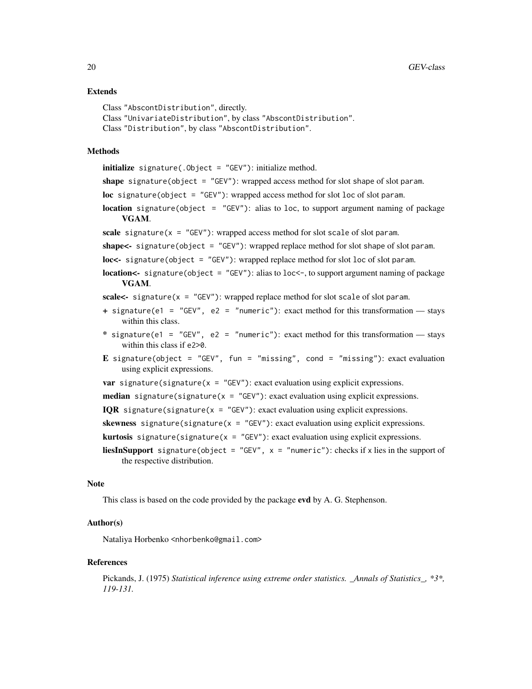#### Extends

```
Class "AbscontDistribution", directly.
Class "UnivariateDistribution", by class "AbscontDistribution".
Class "Distribution", by class "AbscontDistribution".
```
#### Methods

initialize signature(.Object = "GEV"): initialize method.

shape signature(object = "GEV"): wrapped access method for slot shape of slot param.

loc signature(object = "GEV"): wrapped access method for slot loc of slot param.

**location** signature(object = "GEV"): alias to loc, to support argument naming of package VGAM.

scale signature( $x =$  "GEV"): wrapped access method for slot scale of slot param.

shape<- signature(object = "GEV"): wrapped replace method for slot shape of slot param.

loc<- signature(object = "GEV"): wrapped replace method for slot loc of slot param.

location<- signature(object = "GEV"): alias to loc<-, to support argument naming of package VGAM.

scale<- signature( $x = "GEV")$ : wrapped replace method for slot scale of slot param.

- + signature(e1 = "GEV", e2 = "numeric"): exact method for this transformation stays within this class.
- \* signature(e1 = "GEV", e2 = "numeric"): exact method for this transformation stays within this class if e2>0.
- E signature(object = "GEV", fun = "missing", cond = "missing"): exact evaluation using explicit expressions.

```
var signature(signature(x = "GEV"): exact evaluation using explicit expressions.
```
**median** signature(signature( $x = "GEV")$ : exact evaluation using explicit expressions.

IQR signature(signature(x =  $"GEV"$ ): exact evaluation using explicit expressions.

```
skewness signature(signature(x = "GEV"): exact evaluation using explicit expressions.
```
**kurtosis** signature(signature( $x = "GEV")$ : exact evaluation using explicit expressions.

**liesInSupport** signature(object = "GEV",  $x =$  "numeric"): checks if x lies in the support of the respective distribution.

# **Note**

This class is based on the code provided by the package **evd** by A. G. Stephenson.

#### Author(s)

Nataliya Horbenko <nhorbenko@gmail.com>

#### References

Pickands, J. (1975) *Statistical inference using extreme order statistics. \_Annals of Statistics\_, \*3\*, 119-131.*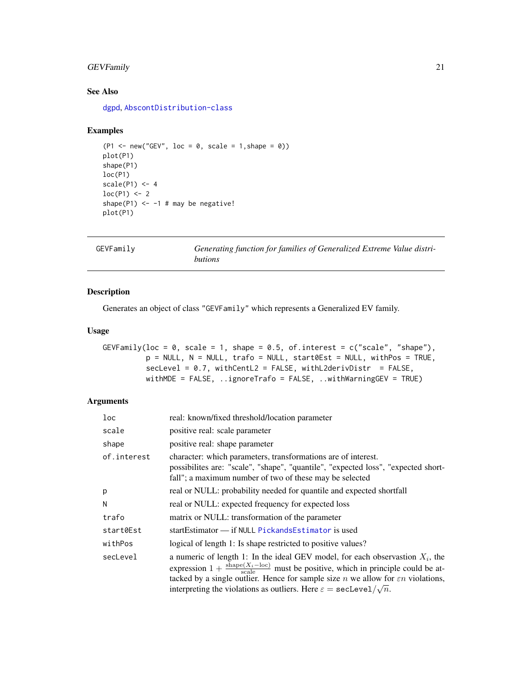# <span id="page-20-0"></span>GEVFamily 21

# See Also

[dgpd](#page-0-0), [AbscontDistribution-class](#page-0-0)

#### Examples

```
(P1 \le -\text{new("GEV", loc = 0, scale = 1, shape = 0)})plot(P1)
shape(P1)
loc(P1)
scale(P1) < -4loc(P1) < -2shape(P1) <-1 # may be negative!
plot(P1)
```

```
GEVFamily Generating function for families of Generalized Extreme Value distri-
                       butions
```
# Description

Generates an object of class "GEVFamily" which represents a Generalized EV family.

# Usage

```
GEVFamily(loc = 0, scale = 1, shape = 0.5, of.interest = c("scale", "shape"),p = NULL, N = NULL, trafo = NULL, start0Est = NULL, withPos = TRUE,
         secLevel = 0.7, withCentL2 = FALSE, withL2derivDistr = FALSE,
         withMDE = FALSE, ..ignoreTrafo = FALSE, ..withWarningGEV = TRUE)
```
# Arguments

| loc         | real: known/fixed threshold/location parameter                                                                                                                                                                                                                                                                                                                                                               |
|-------------|--------------------------------------------------------------------------------------------------------------------------------------------------------------------------------------------------------------------------------------------------------------------------------------------------------------------------------------------------------------------------------------------------------------|
| scale       | positive real: scale parameter                                                                                                                                                                                                                                                                                                                                                                               |
| shape       | positive real: shape parameter                                                                                                                                                                                                                                                                                                                                                                               |
| of.interest | character: which parameters, transformations are of interest.<br>possibilites are: "scale", "shape", "quantile", "expected loss", "expected short-<br>fall"; a maximum number of two of these may be selected                                                                                                                                                                                                |
| р           | real or NULL: probability needed for quantile and expected shortfall                                                                                                                                                                                                                                                                                                                                         |
| Ν           | real or NULL: expected frequency for expected loss                                                                                                                                                                                                                                                                                                                                                           |
| trafo       | matrix or NULL: transformation of the parameter                                                                                                                                                                                                                                                                                                                                                              |
| start0Est   | startEstimator — if NULL PickandsEstimator is used                                                                                                                                                                                                                                                                                                                                                           |
| withPos     | logical of length 1: Is shape restricted to positive values?                                                                                                                                                                                                                                                                                                                                                 |
| secLevel    | a numeric of length 1: In the ideal GEV model, for each observastion $X_i$ , the<br>expression $1 + \frac{\text{shape}(X_i - \text{loc})}{\text{scale}}$ must be positive, which in principle could be at-<br>tacked by a single outlier. Hence for sample size <i>n</i> we allow for $\epsilon n$ violations,<br>interpreting the violations as outliers. Here $\varepsilon = \texttt{secLevel}/\sqrt{n}$ . |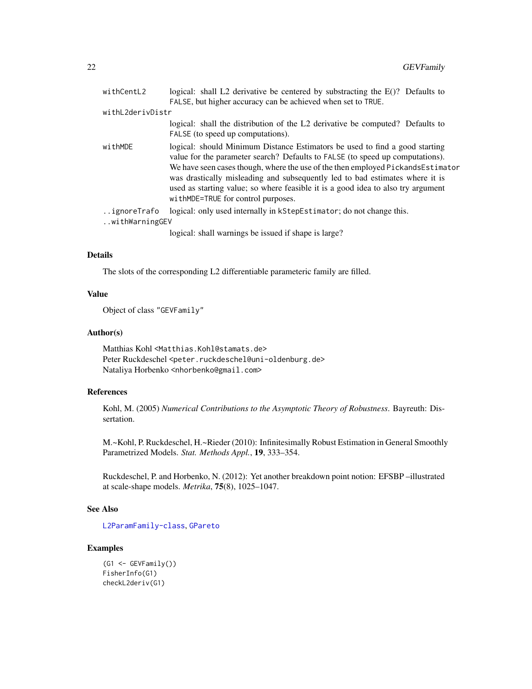<span id="page-21-0"></span>

| withCentL2       | logical: shall L2 derivative be centered by substracting the $E(?)$ ? Defaults to                                                                                                                                                                                                                                                                                                                                                                         |
|------------------|-----------------------------------------------------------------------------------------------------------------------------------------------------------------------------------------------------------------------------------------------------------------------------------------------------------------------------------------------------------------------------------------------------------------------------------------------------------|
|                  | FALSE, but higher accuracy can be achieved when set to TRUE.                                                                                                                                                                                                                                                                                                                                                                                              |
| withL2derivDistr |                                                                                                                                                                                                                                                                                                                                                                                                                                                           |
|                  | logical: shall the distribution of the L2 derivative be computed? Defaults to<br>FALSE (to speed up computations).                                                                                                                                                                                                                                                                                                                                        |
| withMDE          | logical: should Minimum Distance Estimators be used to find a good starting<br>value for the parameter search? Defaults to FALSE (to speed up computations).<br>We have seen cases though, where the use of the then employed PickandsEstimator<br>was drastically misleading and subsequently led to bad estimates where it is<br>used as starting value; so where feasible it is a good idea to also try argument<br>withMDE=TRUE for control purposes. |
| ignoreTrafo      | logical: only used internally in kStepEstimator; do not change this.                                                                                                                                                                                                                                                                                                                                                                                      |
| withWarningGEV   |                                                                                                                                                                                                                                                                                                                                                                                                                                                           |
|                  | logical: shall warnings be issued if shape is large?                                                                                                                                                                                                                                                                                                                                                                                                      |

#### Details

The slots of the corresponding L2 differentiable parameteric family are filled.

#### Value

Object of class "GEVFamily"

#### Author(s)

Matthias Kohl <Matthias.Kohl@stamats.de> Peter Ruckdeschel <peter.ruckdeschel@uni-oldenburg.de> Nataliya Horbenko <nhorbenko@gmail.com>

# References

Kohl, M. (2005) *Numerical Contributions to the Asymptotic Theory of Robustness*. Bayreuth: Dissertation.

M.~Kohl, P. Ruckdeschel, H.~Rieder (2010): Infinitesimally Robust Estimation in General Smoothly Parametrized Models. *Stat. Methods Appl.*, 19, 333–354.

Ruckdeschel, P. and Horbenko, N. (2012): Yet another breakdown point notion: EFSBP –illustrated at scale-shape models. *Metrika*, 75(8), 1025–1047.

#### See Also

[L2ParamFamily-class](#page-0-0), [GPareto](#page-26-1)

# Examples

```
(G1 <- GEVFamily())
FisherInfo(G1)
checkL2deriv(G1)
```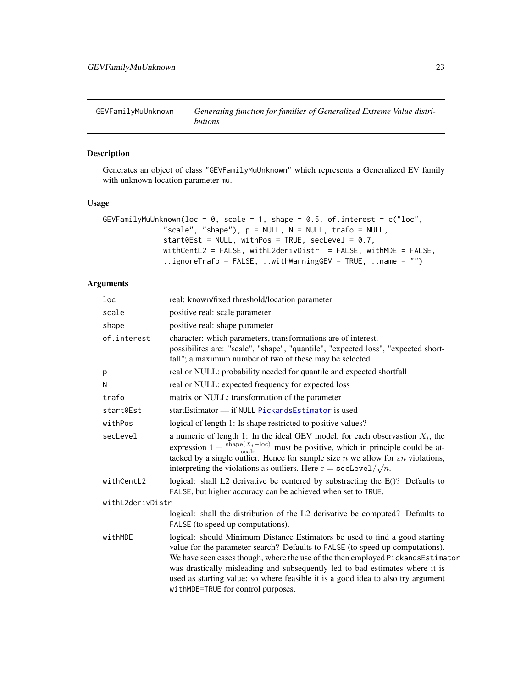<span id="page-22-0"></span>GEVFamilyMuUnknown *Generating function for families of Generalized Extreme Value distributions*

# Description

Generates an object of class "GEVFamilyMuUnknown" which represents a Generalized EV family with unknown location parameter mu.

# Usage

```
GEVFamilyMuUnknown(loc = 0, scale = 1, shape = 0.5, of.interest = c("loc","scale", "shape"), p = NULL, N = NULL, trafo = NULL,
              start0Est = NULL, withPos = TRUE, secLevel = 0.7,
              withCentL2 = FALSE, withL2derivDistr = FALSE, withMDE = FALSE,
              ..ignoreTrafo = FALSE, ..withWarningGEV = TRUE, ..name = "")
```
# Arguments

| loc              | real: known/fixed threshold/location parameter                                                                                                                                                                                                                                                                                                                                                                                                            |
|------------------|-----------------------------------------------------------------------------------------------------------------------------------------------------------------------------------------------------------------------------------------------------------------------------------------------------------------------------------------------------------------------------------------------------------------------------------------------------------|
| scale            | positive real: scale parameter                                                                                                                                                                                                                                                                                                                                                                                                                            |
| shape            | positive real: shape parameter                                                                                                                                                                                                                                                                                                                                                                                                                            |
| of.interest      | character: which parameters, transformations are of interest.<br>possibilites are: "scale", "shape", "quantile", "expected loss", "expected short-<br>fall"; a maximum number of two of these may be selected                                                                                                                                                                                                                                             |
| р                | real or NULL: probability needed for quantile and expected shortfall                                                                                                                                                                                                                                                                                                                                                                                      |
| N                | real or NULL: expected frequency for expected loss                                                                                                                                                                                                                                                                                                                                                                                                        |
| trafo            | matrix or NULL: transformation of the parameter                                                                                                                                                                                                                                                                                                                                                                                                           |
| start0Est        | startEstimator - if NULL PickandsEstimator is used                                                                                                                                                                                                                                                                                                                                                                                                        |
| withPos          | logical of length 1: Is shape restricted to positive values?                                                                                                                                                                                                                                                                                                                                                                                              |
| secLevel         | a numeric of length 1: In the ideal GEV model, for each observastion $X_i$ , the<br>expression $1 + \frac{\text{shape}(X_i - \text{loc})}{\text{scale}}$ must be positive, which in principle could be at-<br>tacked by a single outlier. Hence for sample size $n$ we allow for $\epsilon n$ violations,<br>interpreting the violations as outliers. Here $\varepsilon = \texttt{secLevel}/\sqrt{n}$ .                                                   |
| withCentL2       | logical: shall L2 derivative be centered by substracting the E()? Defaults to<br>FALSE, but higher accuracy can be achieved when set to TRUE.                                                                                                                                                                                                                                                                                                             |
| withL2derivDistr |                                                                                                                                                                                                                                                                                                                                                                                                                                                           |
|                  | logical: shall the distribution of the L2 derivative be computed? Defaults to<br>FALSE (to speed up computations).                                                                                                                                                                                                                                                                                                                                        |
| withMDE          | logical: should Minimum Distance Estimators be used to find a good starting<br>value for the parameter search? Defaults to FALSE (to speed up computations).<br>We have seen cases though, where the use of the then employed PickandsEstimator<br>was drastically misleading and subsequently led to bad estimates where it is<br>used as starting value; so where feasible it is a good idea to also try argument<br>withMDE=TRUE for control purposes. |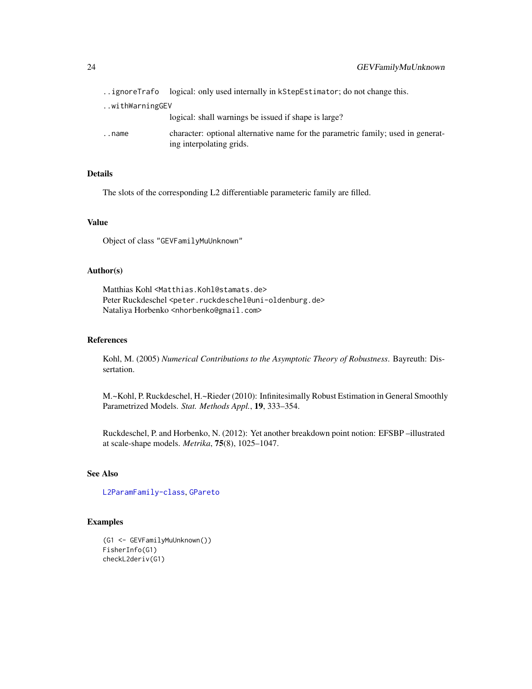<span id="page-23-0"></span>

|                | ignoreTrafo logical: only used internally in kStepEstimator; do not change this.                             |  |
|----------------|--------------------------------------------------------------------------------------------------------------|--|
| withWarningGEV |                                                                                                              |  |
|                | logical: shall warnings be issued if shape is large?                                                         |  |
| name           | character: optional alternative name for the parametric family; used in generat-<br>ing interpolating grids. |  |

# Details

The slots of the corresponding L2 differentiable parameteric family are filled.

#### Value

Object of class "GEVFamilyMuUnknown"

#### Author(s)

Matthias Kohl <Matthias.Kohl@stamats.de> Peter Ruckdeschel <peter.ruckdeschel@uni-oldenburg.de> Nataliya Horbenko <nhorbenko@gmail.com>

# References

Kohl, M. (2005) *Numerical Contributions to the Asymptotic Theory of Robustness*. Bayreuth: Dissertation.

M.~Kohl, P. Ruckdeschel, H.~Rieder (2010): Infinitesimally Robust Estimation in General Smoothly Parametrized Models. *Stat. Methods Appl.*, 19, 333–354.

Ruckdeschel, P. and Horbenko, N. (2012): Yet another breakdown point notion: EFSBP –illustrated at scale-shape models. *Metrika*, 75(8), 1025–1047.

# See Also

[L2ParamFamily-class](#page-0-0), [GPareto](#page-26-1)

# Examples

```
(G1 <- GEVFamilyMuUnknown())
FisherInfo(G1)
checkL2deriv(G1)
```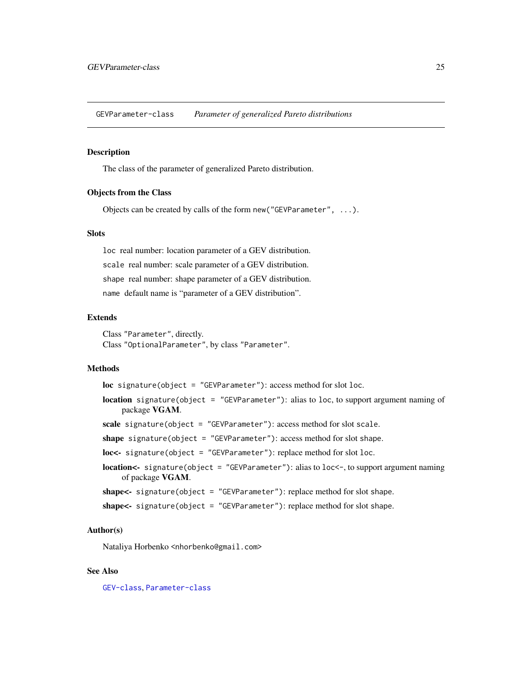<span id="page-24-0"></span>GEVParameter-class *Parameter of generalized Pareto distributions*

#### Description

The class of the parameter of generalized Pareto distribution.

#### Objects from the Class

Objects can be created by calls of the form new("GEVParameter", ...).

#### **Slots**

loc real number: location parameter of a GEV distribution. scale real number: scale parameter of a GEV distribution. shape real number: shape parameter of a GEV distribution. name default name is "parameter of a GEV distribution".

# Extends

Class "Parameter", directly. Class "OptionalParameter", by class "Parameter".

# Methods

loc signature(object = "GEVParameter"): access method for slot loc.

- location signature(object = "GEVParameter"): alias to loc, to support argument naming of package VGAM.
- scale signature(object = "GEVParameter"): access method for slot scale.
- shape signature(object = "GEVParameter"): access method for slot shape.
- loc<- signature(object = "GEVParameter"): replace method for slot loc.
- location<- signature(object = "GEVParameter"): alias to loc<-, to support argument naming of package VGAM.
- shape<- signature(object = "GEVParameter"): replace method for slot shape.

```
shape<- signature(object = "GEVParameter"): replace method for slot shape.
```
#### Author(s)

Nataliya Horbenko <nhorbenko@gmail.com>

#### See Also

[GEV-class](#page-18-1), [Parameter-class](#page-0-0)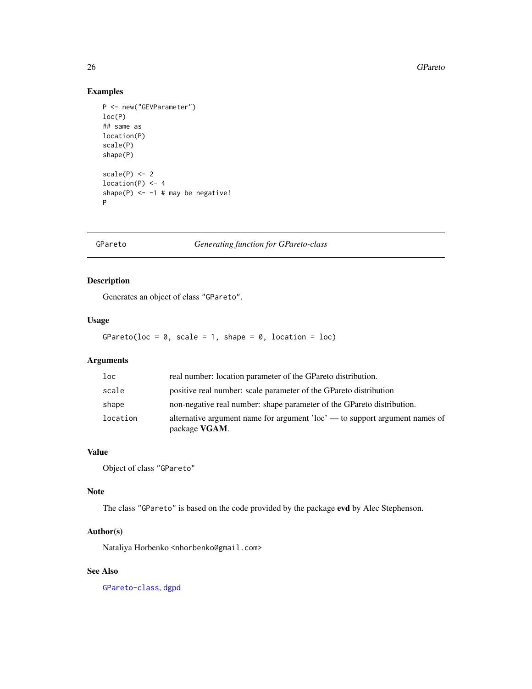#### 26 GPareto and the contract of the contract of the contract of the contract of the contract of the contract of the contract of the contract of the contract of the contract of the contract of the contract of the contract of

# Examples

```
P <- new("GEVParameter")
loc(P)
## same as
location(P)
scale(P)
shape(P)
scale(P) < -2location(P) < -4shape(P) <- -1 # may be negative!
P
```
GPareto *Generating function for GPareto-class*

# Description

Generates an object of class "GPareto".

# Usage

GPareto(loc =  $\theta$ , scale = 1, shape =  $\theta$ , location = loc)

# Arguments

| $1$ oc   | real number: location parameter of the GPareto distribution.                                          |
|----------|-------------------------------------------------------------------------------------------------------|
| scale    | positive real number: scale parameter of the GPareto distribution                                     |
| shape    | non-negative real number: shape parameter of the GPareto distribution.                                |
| location | alternative argument name for argument $\text{loc}^2$ — to support argument names of<br>package VGAM. |

#### Value

Object of class "GPareto"

#### Note

The class "GPareto" is based on the code provided by the package evd by Alec Stephenson.

# Author(s)

Nataliya Horbenko <nhorbenko@gmail.com>

# See Also

[GPareto-class](#page-26-1), [dgpd](#page-0-0)

<span id="page-25-0"></span>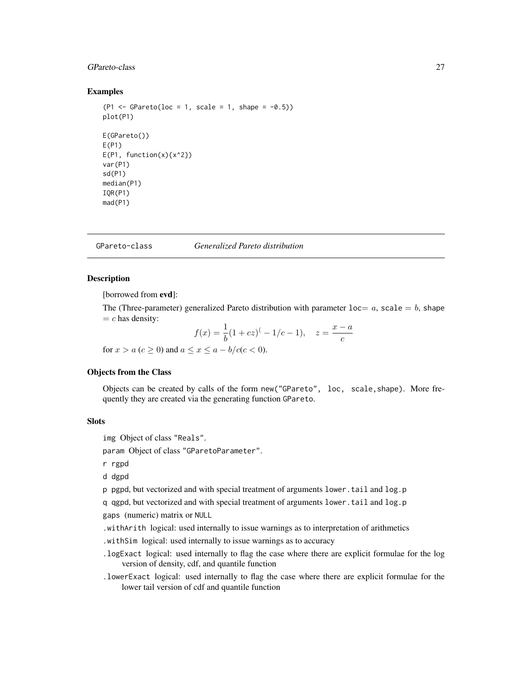# <span id="page-26-0"></span>GPareto-class 27

#### Examples

```
(P1 \leq -\text{GPareto}(loc = 1, scale = 1, shape = -0.5))plot(P1)
E(GPareto())
E(P1)
E(P1, function(x){x^2})var(P1)
sd(P1)
median(P1)
IQR(P1)
mad(P1)
```
<span id="page-26-1"></span>GPareto-class *Generalized Pareto distribution*

# Description

[borrowed from evd]:

The (Three-parameter) generalized Pareto distribution with parameter  $loc = a$ , scale  $= b$ , shape  $= c$  has density:

$$
f(x) = \frac{1}{b}(1+cz)^{(-1/c-1)}, \quad z = \frac{x-a}{c}
$$

for  $x > a$  ( $c \ge 0$ ) and  $a \le x \le a - b/c(c < 0)$ .

# Objects from the Class

Objects can be created by calls of the form new("GPareto", loc, scale,shape). More frequently they are created via the generating function GPareto.

# **Slots**

img Object of class "Reals".

param Object of class "GParetoParameter".

r rgpd

d dgpd

p pgpd, but vectorized and with special treatment of arguments lower.tail and log.p

q qgpd, but vectorized and with special treatment of arguments lower.tail and log.p

gaps (numeric) matrix or NULL

.withArith logical: used internally to issue warnings as to interpretation of arithmetics

.withSim logical: used internally to issue warnings as to accuracy

- .logExact logical: used internally to flag the case where there are explicit formulae for the log version of density, cdf, and quantile function
- .lowerExact logical: used internally to flag the case where there are explicit formulae for the lower tail version of cdf and quantile function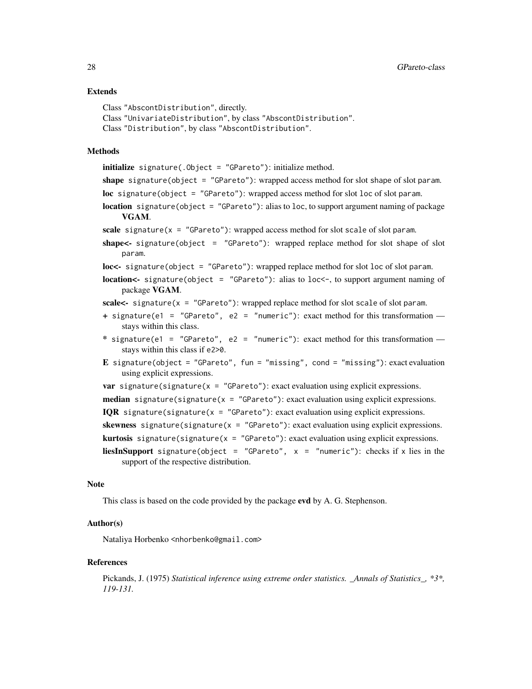#### Extends

```
Class "AbscontDistribution", directly.
Class "UnivariateDistribution", by class "AbscontDistribution".
Class "Distribution", by class "AbscontDistribution".
```
#### Methods

initialize signature(.Object = "GPareto"): initialize method.

shape signature(object = "GPareto"): wrapped access method for slot shape of slot param.

loc signature(object = "GPareto"): wrapped access method for slot loc of slot param.

**location** signature(object = "GPareto"): alias to loc, to support argument naming of package VGAM.

scale signature( $x = "GPareto")$ : wrapped access method for slot scale of slot param.

shape<- signature(object = "GPareto"): wrapped replace method for slot shape of slot param.

loc<- signature(object = "GPareto"): wrapped replace method for slot loc of slot param.

**location<-** signature(object = "GPareto"): alias to loc<-, to support argument naming of package VGAM.

scale<- signature( $x =$  "GPareto"): wrapped replace method for slot scale of slot param.

- + signature(e1 = "GPareto", e2 = "numeric"): exact method for this transformation stays within this class.
- \* signature(e1 = "GPareto", e2 = "numeric"): exact method for this transformation  $$ stays within this class if e2>0.
- E signature(object = "GPareto", fun = "missing", cond = "missing"): exact evaluation using explicit expressions.
- var signature(signature( $x = "GPareto")$ : exact evaluation using explicit expressions.
- median signature(signature( $x = "GPareto")$ : exact evaluation using explicit expressions.
- IQR signature(signature( $x = "GPareto")$ : exact evaluation using explicit expressions.

skewness signature(signature( $x = "GPareto")$ : exact evaluation using explicit expressions.

**kurtosis** signature(signature( $x = "GPareto")$ : exact evaluation using explicit expressions.

**liesInSupport** signature(object = "GPareto",  $x =$  "numeric"): checks if x lies in the support of the respective distribution.

#### Note

This class is based on the code provided by the package evd by A. G. Stephenson.

#### Author(s)

Nataliya Horbenko <nhorbenko@gmail.com>

#### References

Pickands, J. (1975) *Statistical inference using extreme order statistics. \_Annals of Statistics\_, \*3\*, 119-131.*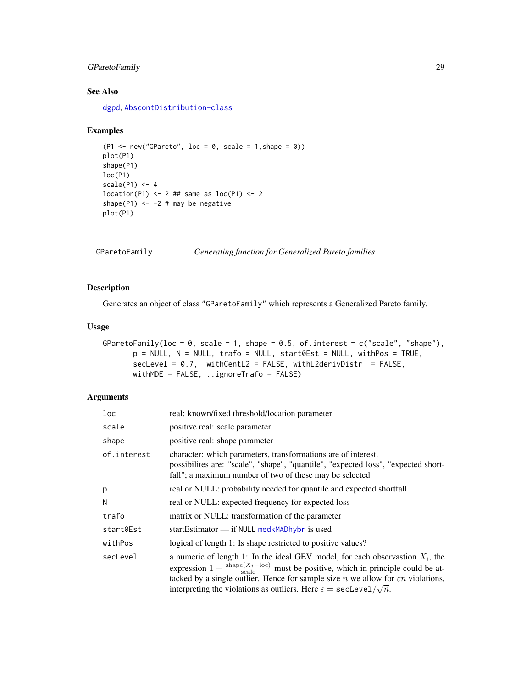# <span id="page-28-0"></span>GParetoFamily 29

# See Also

[dgpd](#page-0-0), [AbscontDistribution-class](#page-0-0)

#### Examples

```
(P1 \leq new("GPareto", loc = 0, scale = 1, shape = 0))plot(P1)
shape(P1)
loc(P1)
scale(P1) < -4location(P1) < -2 # # same as loc(P1) < -2shape(P1) <- -2 # may be negative
plot(P1)
```
<span id="page-28-1"></span>GParetoFamily *Generating function for Generalized Pareto families*

# Description

Generates an object of class "GParetoFamily" which represents a Generalized Pareto family.

#### Usage

```
GParetoFamily(loc = 0, scale = 1, shape = 0.5, of.interest = c("scale", "shape"),
       p = NULL, N = NULL, trafo = NULL, start0Est = NULL, withPos = TRUE,
       selectevel = 0.7, withCentL2 = FALSE, withL2derivDistr = FALSE,
       withMDE = FALSE, ..ignoreTrafo = FALSE)
```
# Arguments

| loc         | real: known/fixed threshold/location parameter                                                                                                                                                                                                                                                                                                                                                               |
|-------------|--------------------------------------------------------------------------------------------------------------------------------------------------------------------------------------------------------------------------------------------------------------------------------------------------------------------------------------------------------------------------------------------------------------|
| scale       | positive real: scale parameter                                                                                                                                                                                                                                                                                                                                                                               |
| shape       | positive real: shape parameter                                                                                                                                                                                                                                                                                                                                                                               |
| of.interest | character: which parameters, transformations are of interest.<br>possibilites are: "scale", "shape", "quantile", "expected loss", "expected short-<br>fall"; a maximum number of two of these may be selected                                                                                                                                                                                                |
| p           | real or NULL: probability needed for quantile and expected shortfall                                                                                                                                                                                                                                                                                                                                         |
| N           | real or NULL: expected frequency for expected loss                                                                                                                                                                                                                                                                                                                                                           |
| trafo       | matrix or NULL: transformation of the parameter                                                                                                                                                                                                                                                                                                                                                              |
| start0Est   | startEstimator $\frac{d}{dx}$ if NULL medkMADhybr is used                                                                                                                                                                                                                                                                                                                                                    |
| withPos     | logical of length 1: Is shape restricted to positive values?                                                                                                                                                                                                                                                                                                                                                 |
| secLevel    | a numeric of length 1: In the ideal GEV model, for each observastion $X_i$ , the<br>expression $1 + \frac{\text{shape}(X_i - \text{loc})}{\text{scale}}$ must be positive, which in principle could be at-<br>tacked by a single outlier. Hence for sample size <i>n</i> we allow for $\epsilon n$ violations,<br>interpreting the violations as outliers. Here $\varepsilon = \texttt{secLevel}/\sqrt{n}$ . |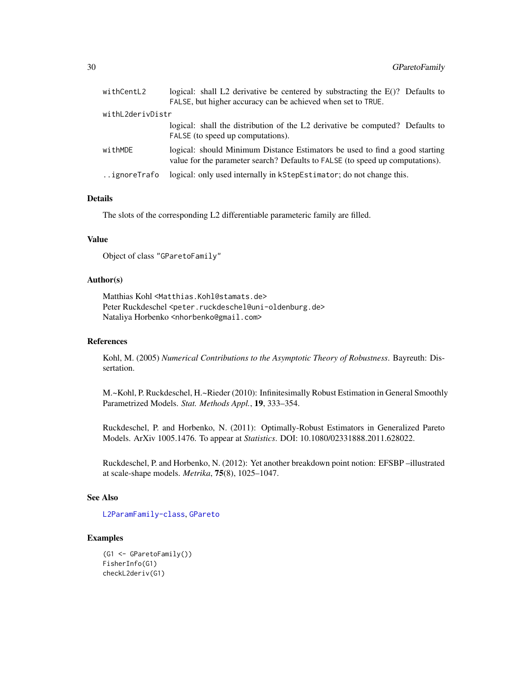<span id="page-29-0"></span>

| withCentL2       | logical: shall L2 derivative be centered by substracting the E()? Defaults to                                                                                |
|------------------|--------------------------------------------------------------------------------------------------------------------------------------------------------------|
|                  | FALSE, but higher accuracy can be achieved when set to TRUE.                                                                                                 |
| withL2derivDistr |                                                                                                                                                              |
|                  | logical: shall the distribution of the L2 derivative be computed? Defaults to<br>FALSE (to speed up computations).                                           |
| withMDE          | logical: should Minimum Distance Estimators be used to find a good starting<br>value for the parameter search? Defaults to FALSE (to speed up computations). |
| ignoreTrafo      | logical: only used internally in kStepEstimator; do not change this.                                                                                         |

# Details

The slots of the corresponding L2 differentiable parameteric family are filled.

# Value

Object of class "GParetoFamily"

#### Author(s)

Matthias Kohl <Matthias.Kohl@stamats.de> Peter Ruckdeschel <peter.ruckdeschel@uni-oldenburg.de> Nataliya Horbenko <nhorbenko@gmail.com>

#### References

Kohl, M. (2005) *Numerical Contributions to the Asymptotic Theory of Robustness*. Bayreuth: Dissertation.

M.~Kohl, P. Ruckdeschel, H.~Rieder (2010): Infinitesimally Robust Estimation in General Smoothly Parametrized Models. *Stat. Methods Appl.*, 19, 333–354.

Ruckdeschel, P. and Horbenko, N. (2011): Optimally-Robust Estimators in Generalized Pareto Models. ArXiv 1005.1476. To appear at *Statistics*. DOI: 10.1080/02331888.2011.628022.

Ruckdeschel, P. and Horbenko, N. (2012): Yet another breakdown point notion: EFSBP –illustrated at scale-shape models. *Metrika*, 75(8), 1025–1047.

#### See Also

[L2ParamFamily-class](#page-0-0), [GPareto](#page-26-1)

# Examples

```
(G1 <- GParetoFamily())
FisherInfo(G1)
checkL2deriv(G1)
```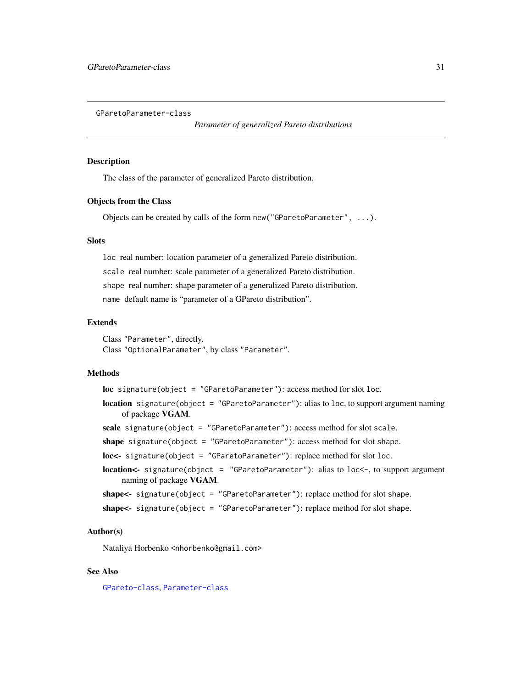<span id="page-30-0"></span>GParetoParameter-class

*Parameter of generalized Pareto distributions*

#### Description

The class of the parameter of generalized Pareto distribution.

#### Objects from the Class

Objects can be created by calls of the form new("GParetoParameter", ...).

#### **Slots**

loc real number: location parameter of a generalized Pareto distribution. scale real number: scale parameter of a generalized Pareto distribution. shape real number: shape parameter of a generalized Pareto distribution. name default name is "parameter of a GPareto distribution".

#### Extends

Class "Parameter", directly. Class "OptionalParameter", by class "Parameter".

# Methods

loc signature(object = "GParetoParameter"): access method for slot loc.

- location signature(object = "GParetoParameter"): alias to loc, to support argument naming of package VGAM.
- scale signature(object = "GParetoParameter"): access method for slot scale.
- shape signature(object = "GParetoParameter"): access method for slot shape.
- loc<- signature(object = "GParetoParameter"): replace method for slot loc.
- location<- signature(object = "GParetoParameter"): alias to loc<-, to support argument naming of package VGAM.

shape<- signature(object = "GParetoParameter"): replace method for slot shape.

```
shape<- signature(object = "GParetoParameter"): replace method for slot shape.
```
#### Author(s)

Nataliya Horbenko <nhorbenko@gmail.com>

#### See Also

[GPareto-class](#page-26-1), [Parameter-class](#page-0-0)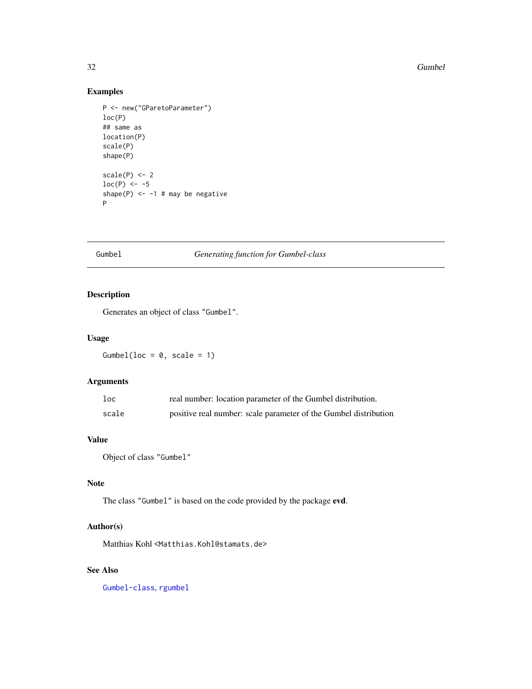32 Gumbel

# Examples

```
P <- new("GParetoParameter")
loc(P)
## same as
location(P)
scale(P)
shape(P)
scale(P) < -2loc(P) <- -5
shape(P) <-1 # may be negative
P
```
#### Gumbel *Generating function for Gumbel-class*

# Description

Generates an object of class "Gumbel".

# Usage

Gumbel(loc =  $0$ , scale = 1)

# Arguments

| $1$ oc | real number: location parameter of the Gumbel distribution.      |
|--------|------------------------------------------------------------------|
| scale  | positive real number: scale parameter of the Gumbel distribution |

# Value

Object of class "Gumbel"

# Note

The class "Gumbel" is based on the code provided by the package evd.

# Author(s)

Matthias Kohl <Matthias.Kohl@stamats.de>

# See Also

[Gumbel-class](#page-32-1), [rgumbel](#page-0-0)

<span id="page-31-0"></span>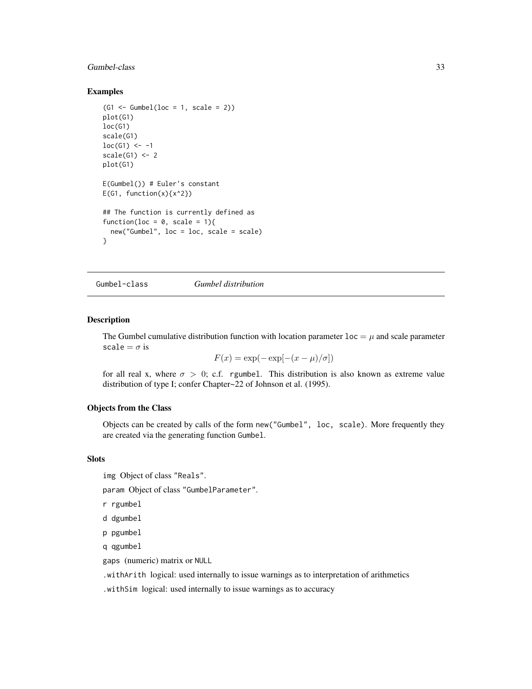# <span id="page-32-0"></span>Gumbel-class 33

#### Examples

```
(G1 \leftarrow Gumbel(loc = 1, scale = 2))plot(G1)
loc(G1)
scale(G1)
loc(G1) <- -1
scale(G1) <-2plot(G1)
E(Gumbel()) # Euler's constant
E(G1, function(x){x^2})## The function is currently defined as
function(loc = 0, scale = 1){
  new("Gumbel", loc = loc, scale = scale)
}
```
<span id="page-32-1"></span>Gumbel-class *Gumbel distribution*

#### Description

The Gumbel cumulative distribution function with location parameter  $\text{loc} = \mu$  and scale parameter scale =  $\sigma$  is

$$
F(x) = \exp(-\exp[-(x-\mu)/\sigma])
$$

for all real x, where  $\sigma > 0$ ; c.f. rgumbel. This distribution is also known as extreme value distribution of type I; confer Chapter~22 of Johnson et al. (1995).

#### Objects from the Class

Objects can be created by calls of the form new("Gumbel", loc, scale). More frequently they are created via the generating function Gumbel.

# Slots

img Object of class "Reals".

param Object of class "GumbelParameter".

r rgumbel

d dgumbel

```
p pgumbel
```
q qgumbel

gaps (numeric) matrix or NULL

.withArith logical: used internally to issue warnings as to interpretation of arithmetics

.withSim logical: used internally to issue warnings as to accuracy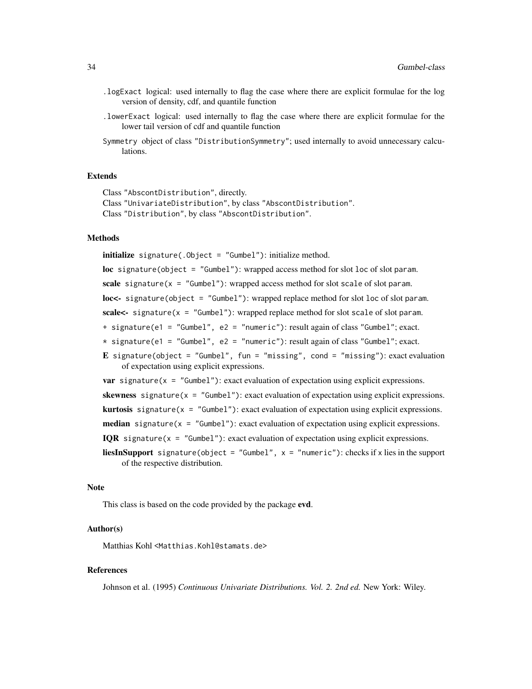- .logExact logical: used internally to flag the case where there are explicit formulae for the log version of density, cdf, and quantile function
- .lowerExact logical: used internally to flag the case where there are explicit formulae for the lower tail version of cdf and quantile function
- Symmetry object of class "DistributionSymmetry"; used internally to avoid unnecessary calculations.

#### Extends

Class "AbscontDistribution", directly. Class "UnivariateDistribution", by class "AbscontDistribution". Class "Distribution", by class "AbscontDistribution".

#### Methods

initialize signature(.Object = "Gumbel"): initialize method.

loc signature(object = "Gumbel"): wrapped access method for slot loc of slot param.

scale signature( $x = "Gumbel")$ : wrapped access method for slot scale of slot param.

loc<- signature(object = "Gumbel"): wrapped replace method for slot loc of slot param.

scale<- signature(x = "Gumbel"): wrapped replace method for slot scale of slot param.

+ signature(e1 = "Gumbel", e2 = "numeric"): result again of class "Gumbel"; exact.

- $*$  signature(e1 = "Gumbel", e2 = "numeric"): result again of class "Gumbel"; exact.
- E signature(object = "Gumbel", fun = "missing", cond = "missing"): exact evaluation of expectation using explicit expressions.

**var** signature( $x =$  "Gumbel"): exact evaluation of expectation using explicit expressions.

skewness signature( $x = "Gumbel")$ : exact evaluation of expectation using explicit expressions.

**kurtosis** signature( $x =$  "Gumbel"): exact evaluation of expectation using explicit expressions.

**median** signature( $x =$  "Gumbel"): exact evaluation of expectation using explicit expressions.

IQR signature( $x =$  "Gumbel"): exact evaluation of expectation using explicit expressions.

**liesInSupport** signature(object = "Gumbel",  $x =$  "numeric"): checks if x lies in the support of the respective distribution.

#### Note

This class is based on the code provided by the package evd.

# Author(s)

Matthias Kohl <Matthias.Kohl@stamats.de>

#### References

Johnson et al. (1995) *Continuous Univariate Distributions. Vol. 2. 2nd ed.* New York: Wiley.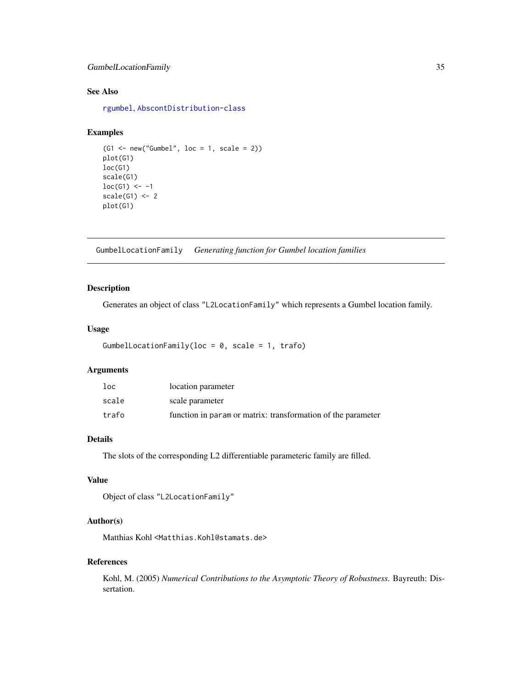# <span id="page-34-0"></span>GumbelLocationFamily 35

# See Also

[rgumbel](#page-0-0), [AbscontDistribution-class](#page-0-0)

### Examples

```
(G1 \le -\text{new("Gumbel", loc = 1, scale = 2)})plot(G1)
loc(G1)
scale(G1)
loc(G1) <- -1
scale(G1) < -2plot(G1)
```
GumbelLocationFamily *Generating function for Gumbel location families*

# Description

Generates an object of class "L2LocationFamily" which represents a Gumbel location family.

### Usage

```
GumbelLocationFamily(loc = 0, scale = 1, trafo)
```
#### Arguments

| loc   | location parameter                                           |
|-------|--------------------------------------------------------------|
| scale | scale parameter                                              |
| trafo | function in param or matrix: transformation of the parameter |

#### Details

The slots of the corresponding L2 differentiable parameteric family are filled.

# Value

```
Object of class "L2LocationFamily"
```
# Author(s)

Matthias Kohl <Matthias.Kohl@stamats.de>

#### References

Kohl, M. (2005) *Numerical Contributions to the Asymptotic Theory of Robustness*. Bayreuth: Dissertation.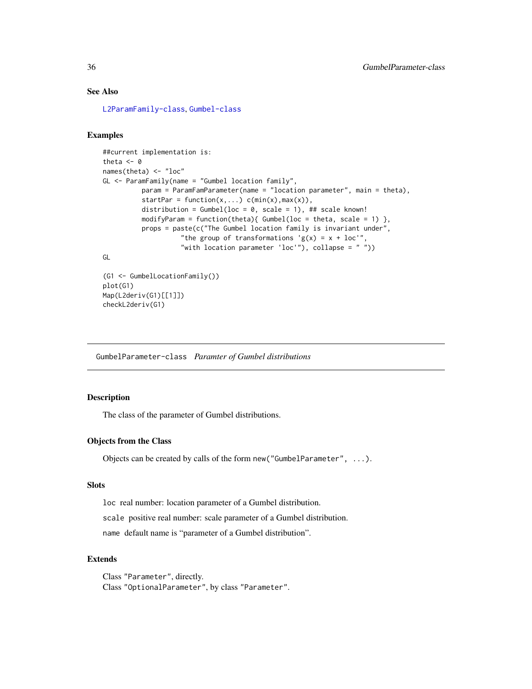# See Also

[L2ParamFamily-class](#page-0-0), [Gumbel-class](#page-32-1)

#### Examples

```
##current implementation is:
theta <- 0
names(theta) <- "loc"
GL <- ParamFamily(name = "Gumbel location family",
         param = ParamFamParameter(name = "location parameter", main = theta),
          startPar = function(x,...) c(min(x), max(x)),
          distribution = Gumbel(loc = 0, scale = 1), ## scale known!
         modifyParam = function(theta){ Gumbel(loc = theta, scale = 1) },
         props = paste(c("The Gumbel location family is invariant under",
                    "the group of transformations 'g(x) = x + loc'",
                    "with location parameter 'loc'"), collapse = " "))
GL
(G1 <- GumbelLocationFamily())
```

```
plot(G1)
Map(L2deriv(G1)[[1]])
checkL2deriv(G1)
```
GumbelParameter-class *Paramter of Gumbel distributions*

#### Description

The class of the parameter of Gumbel distributions.

#### Objects from the Class

Objects can be created by calls of the form new("GumbelParameter", ...).

# **Slots**

loc real number: location parameter of a Gumbel distribution.

scale positive real number: scale parameter of a Gumbel distribution.

name default name is "parameter of a Gumbel distribution".

# Extends

Class "Parameter", directly. Class "OptionalParameter", by class "Parameter".

<span id="page-35-0"></span>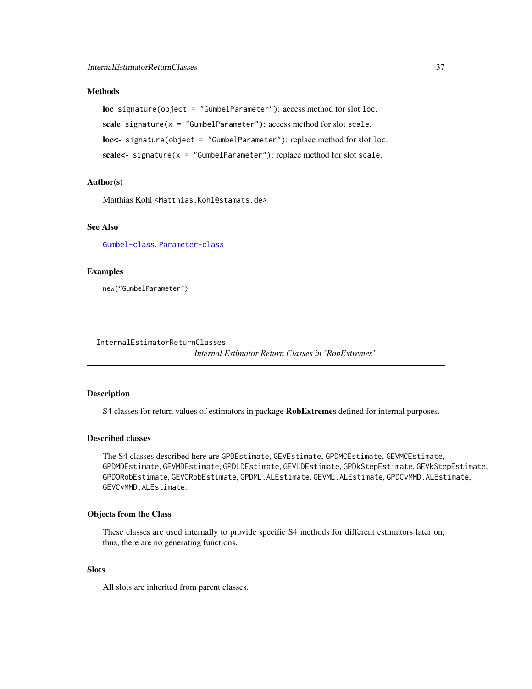# <span id="page-36-0"></span>**Methods**

loc signature(object = "GumbelParameter"): access method for slot loc. scale signature( $x =$  "GumbelParameter"): access method for slot scale. loc<- signature(object = "GumbelParameter"): replace method for slot loc. scale<- signature(x = "GumbelParameter"): replace method for slot scale.

# Author(s)

Matthias Kohl <Matthias.Kohl@stamats.de>

# See Also

[Gumbel-class](#page-32-1), [Parameter-class](#page-0-0)

# Examples

new("GumbelParameter")

InternalEstimatorReturnClasses

*Internal Estimator Return Classes in 'RobExtremes'*

# Description

S4 classes for return values of estimators in package RobExtremes defined for internal purposes.

#### Described classes

The S4 classes described here are GPDEstimate, GEVEstimate, GPDMCEstimate, GEVMCEstimate, GPDMDEstimate, GEVMDEstimate, GPDLDEstimate, GEVLDEstimate, GPDkStepEstimate, GEVkStepEstimate, GPDORobEstimate, GEVORobEstimate, GPDML.ALEstimate, GEVML.ALEstimate, GPDCvMMD.ALEstimate, GEVCvMMD.ALEstimate.

#### Objects from the Class

These classes are used internally to provide specific S4 methods for different estimators later on; thus, there are no generating functions.

# Slots

All slots are inherited from parent classes.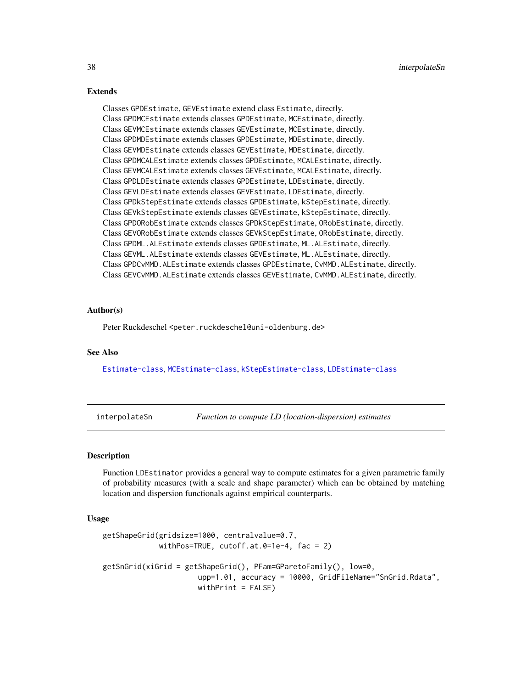#### Extends

Classes GPDEstimate, GEVEstimate extend class Estimate, directly. Class GPDMCEstimate extends classes GPDEstimate, MCEstimate, directly. Class GEVMCEstimate extends classes GEVEstimate, MCEstimate, directly. Class GPDMDEstimate extends classes GPDEstimate, MDEstimate, directly. Class GEVMDEstimate extends classes GEVEstimate, MDEstimate, directly. Class GPDMCALEstimate extends classes GPDEstimate, MCALEstimate, directly. Class GEVMCALEstimate extends classes GEVEstimate, MCALEstimate, directly. Class GPDLDEstimate extends classes GPDEstimate, LDEstimate, directly. Class GEVLDEstimate extends classes GEVEstimate, LDEstimate, directly. Class GPDkStepEstimate extends classes GPDEstimate, kStepEstimate, directly. Class GEVkStepEstimate extends classes GEVEstimate, kStepEstimate, directly. Class GPDORobEstimate extends classes GPDkStepEstimate, ORobEstimate, directly. Class GEVORobEstimate extends classes GEVkStepEstimate, ORobEstimate, directly. Class GPDML.ALEstimate extends classes GPDEstimate, ML.ALEstimate, directly. Class GEVML.ALEstimate extends classes GEVEstimate, ML.ALEstimate, directly. Class GPDCvMMD.ALEstimate extends classes GPDEstimate, CvMMD.ALEstimate, directly. Class GEVCvMMD.ALEstimate extends classes GEVEstimate, CvMMD.ALEstimate, directly.

#### Author(s)

Peter Ruckdeschel <peter.ruckdeschel@uni-oldenburg.de>

#### See Also

[Estimate-class](#page-0-0), [MCEstimate-class](#page-0-0), [kStepEstimate-class](#page-0-0), [LDEstimate-class](#page-43-1)

interpolateSn *Function to compute LD (location-dispersion) estimates*

#### **Description**

Function LDEstimator provides a general way to compute estimates for a given parametric family of probability measures (with a scale and shape parameter) which can be obtained by matching location and dispersion functionals against empirical counterparts.

# Usage

```
getShapeGrid(gridsize=1000, centralvalue=0.7,
            withPos=TRUE, cutoff.at.0=1e-4, fac = 2)
getSnGrid(xiGrid = getShapeGrid(), PFam=GParetoFamily(), low=0,
                     upp=1.01, accuracy = 10000, GridFileName="SnGrid.Rdata",
                     withPrint = FALSE)
```
<span id="page-37-0"></span>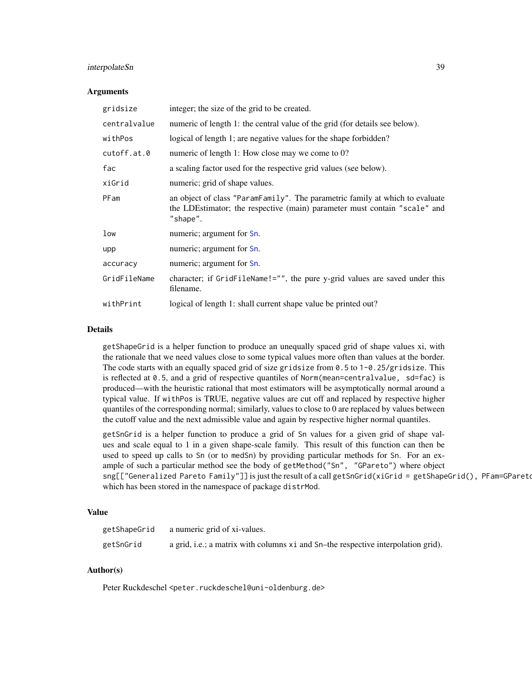# <span id="page-38-0"></span>interpolateSn 39

#### Arguments

| gridsize     | integer; the size of the grid to be created.                                                                                                                          |
|--------------|-----------------------------------------------------------------------------------------------------------------------------------------------------------------------|
| centralvalue | numeric of length 1: the central value of the grid (for details see below).                                                                                           |
| withPos      | logical of length 1; are negative values for the shape forbidden?                                                                                                     |
| cutoff.at.0  | numeric of length 1: How close may we come to 0?                                                                                                                      |
| fac          | a scaling factor used for the respective grid values (see below).                                                                                                     |
| xiGrid       | numeric; grid of shape values.                                                                                                                                        |
| PFam         | an object of class "ParamFamily". The parametric family at which to evaluate<br>the LDEstimator; the respective (main) parameter must contain "scale" and<br>"shape". |
| low          | numeric; argument for Sn.                                                                                                                                             |
| upp          | numeric; argument for Sn.                                                                                                                                             |
| accuracy     | numeric; argument for Sn.                                                                                                                                             |
| GridFileName | character; if GridFileName!="", the pure y-grid values are saved under this<br>filename.                                                                              |
| withPrint    | logical of length 1: shall current shape value be printed out?                                                                                                        |

### Details

getShapeGrid is a helper function to produce an unequally spaced grid of shape values xi, with the rationale that we need values close to some typical values more often than values at the border. The code starts with an equally spaced grid of size gridsize from 0.5 to 1-0.25/gridsize. This is reflected at 0.5, and a grid of respective quantiles of Norm(mean=centralvalue, sd=fac) is produced—with the heuristic rational that most estimators will be asymptotically normal around a typical value. If withPos is TRUE, negative values are cut off and replaced by respective higher quantiles of the corresponding normal; similarly, values to close to 0 are replaced by values between the cutoff value and the next admissible value and again by respective higher normal quantiles.

getSnGrid is a helper function to produce a grid of Sn values for a given grid of shape values and scale equal to 1 in a given shape-scale family. This result of this function can then be used to speed up calls to Sn (or to medSn) by providing particular methods for Sn. For an example of such a particular method see the body of getMethod("Sn", "GPareto") where object sng[["Generalized Pareto Family"]] is just the result of a call getSnGrid(xiGrid = getShapeGrid(), PFam=GPareto which has been stored in the namespace of package distrMod.

# Value

| getShapeGrid | a numeric grid of xi-values.                                                       |
|--------------|------------------------------------------------------------------------------------|
| getSnGrid    | a grid, i.e.; a matrix with columns x i and Sn–the respective interpolation grid). |

# Author(s)

Peter Ruckdeschel <peter.ruckdeschel@uni-oldenburg.de>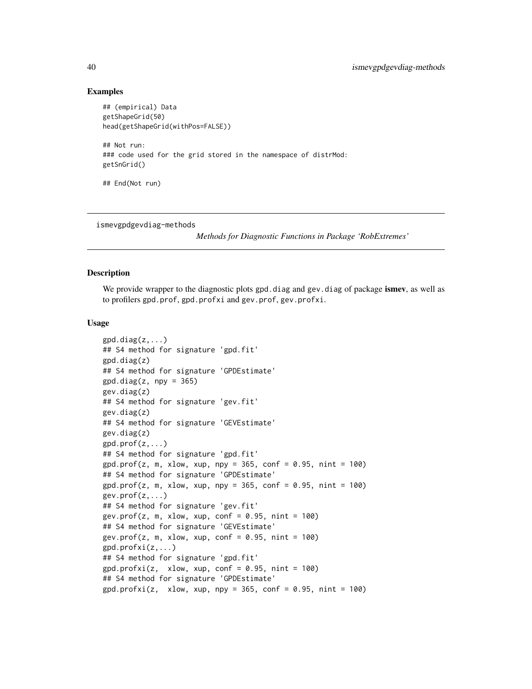#### Examples

```
## (empirical) Data
getShapeGrid(50)
head(getShapeGrid(withPos=FALSE))
## Not run:
### code used for the grid stored in the namespace of distrMod:
getSnGrid()
## End(Not run)
```
ismevgpdgevdiag-methods

*Methods for Diagnostic Functions in Package 'RobExtremes'*

#### Description

We provide wrapper to the diagnostic plots gpd.diag and gev.diag of package ismev, as well as to profilers gpd.prof, gpd.profxi and gev.prof, gev.profxi.

#### Usage

```
gpd.diag(z,...)## S4 method for signature 'gpd.fit'
gpd.diag(z)
## S4 method for signature 'GPDEstimate'
gpd.diag(z, npy = 365)gev.diag(z)
## S4 method for signature 'gev.fit'
gev.diag(z)
## S4 method for signature 'GEVEstimate'
gev.diag(z)
gpd.prof(z,...)## S4 method for signature 'gpd.fit'
gpd.prof(z, m, xlow, xup, npy = 365, conf = 0.95, nint = 100)## S4 method for signature 'GPDEstimate'
gpd.prof(z, m, xlow, xup, npy = 365, conf = 0.95, nint = 100)gev.prof(z,...)## S4 method for signature 'gev.fit'
gev.prof(z, m, xlow, xup, conf = 0.95, nint = 100)
## S4 method for signature 'GEVEstimate'
gev.prof(z, m, xlow, xup, conf = 0.95, nint = 100)
gpd.profxi(z,...)## S4 method for signature 'gpd.fit'
gpd.profxi(z, xlow, xup, conf = 0.95, nint = 100)## S4 method for signature 'GPDEstimate'
gpd.profxi(z, xlow, xup, npy = 365, conf = 0.95, nint = 100)
```
<span id="page-39-0"></span>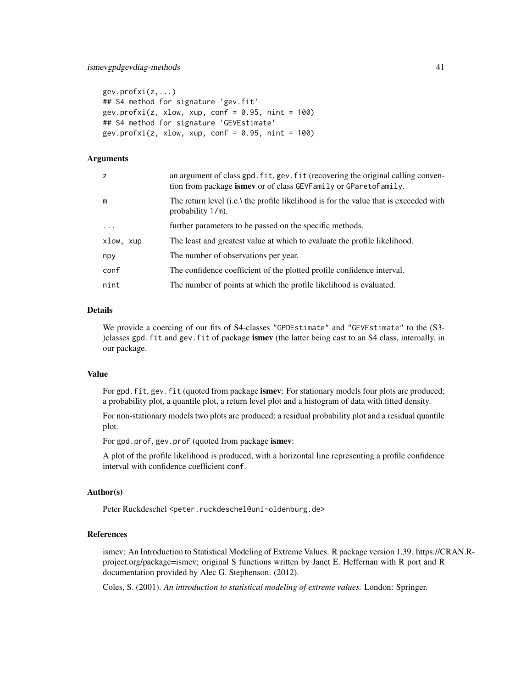```
gev.profxi(z,...)
## S4 method for signature 'gev.fit'
gev.profxi(z, xlow, xup, conf = 0.95, nint = 100)
## S4 method for signature 'GEVEstimate'
gev.profxi(z, xlow, xup, conf = 0.95, nint = 100)
```
# Arguments

| z          | an argument of class gpd. fit, gev. fit (recovering the original calling conven-<br>tion from package is mey or of class GEV Family or GP are to Family. |
|------------|----------------------------------------------------------------------------------------------------------------------------------------------------------|
| m          | The return level (i.e.) the profile likelihood is for the value that is exceeded with<br>probability 1/m).                                               |
| $\ddots$ . | further parameters to be passed on the specific methods.                                                                                                 |
| xlow, xup  | The least and greatest value at which to evaluate the profile likelihood.                                                                                |
| npy        | The number of observations per year.                                                                                                                     |
| conf       | The confidence coefficient of the plotted profile confidence interval.                                                                                   |
| nint       | The number of points at which the profile likelihood is evaluated.                                                                                       |

# Details

We provide a coercing of our fits of S4-classes "GPDEstimate" and "GEVEstimate" to the (S3- )classes gpd. fit and gev. fit of package is mev (the latter being cast to an  $S4$  class, internally, in our package.

# Value

For gpd.fit, gev.fit (quoted from package ismev: For stationary models four plots are produced; a probability plot, a quantile plot, a return level plot and a histogram of data with fitted density.

For non-stationary models two plots are produced; a residual probability plot and a residual quantile plot.

For gpd.prof, gev.prof (quoted from package ismev:

A plot of the profile likelihood is produced, with a horizontal line representing a profile confidence interval with confidence coefficient conf.

#### Author(s)

Peter Ruckdeschel <peter.ruckdeschel@uni-oldenburg.de>

#### References

ismev: An Introduction to Statistical Modeling of Extreme Values. R package version 1.39. https://CRAN.Rproject.org/package=ismev; original S functions written by Janet E. Heffernan with R port and R documentation provided by Alec G. Stephenson. (2012).

Coles, S. (2001). *An introduction to statistical modeling of extreme values.* London: Springer.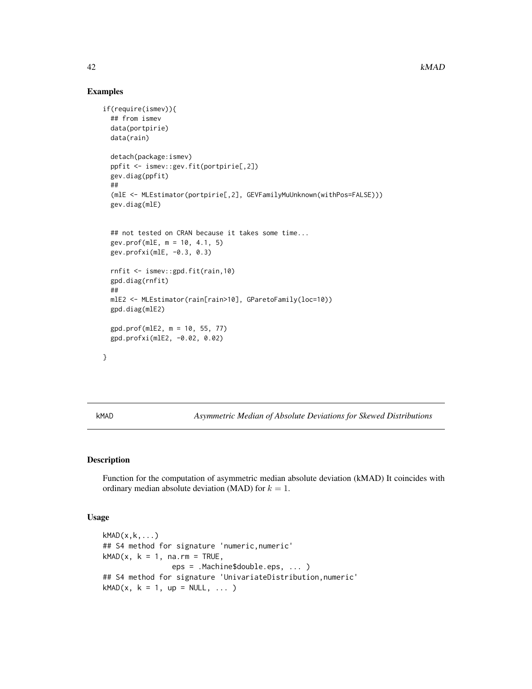# Examples

```
if(require(ismev)){
 ## from ismev
 data(portpirie)
 data(rain)
 detach(package:ismev)
 ppfit <- ismev::gev.fit(portpirie[,2])
 gev.diag(ppfit)
 ##
  (mlE <- MLEstimator(portpirie[,2], GEVFamilyMuUnknown(withPos=FALSE)))
 gev.diag(mlE)
 ## not tested on CRAN because it takes some time...
 gev.prof(mlE, m = 10, 4.1, 5)
 gev.profxi(mlE, -0.3, 0.3)
 rnfit <- ismev::gpd.fit(rain,10)
 gpd.diag(rnfit)
 ##
 mlE2 <- MLEstimator(rain[rain>10], GParetoFamily(loc=10))
 gpd.diag(mlE2)
 gpd.prof(mlE2, m = 10, 55, 77)
 gpd.profxi(mlE2, -0.02, 0.02)
```
}

<span id="page-41-1"></span>kMAD *Asymmetric Median of Absolute Deviations for Skewed Distributions*

# Description

Function for the computation of asymmetric median absolute deviation (kMAD) It coincides with ordinary median absolute deviation (MAD) for  $k = 1$ .

# Usage

```
kMAD(x,k,...)
## S4 method for signature 'numeric,numeric'
kMAD(x, k = 1, na.m = TRUE,eps = .Machine$double.eps, ... )
## S4 method for signature 'UnivariateDistribution,numeric'
kMAD(x, k = 1, up = NULL, ...)
```
<span id="page-41-0"></span>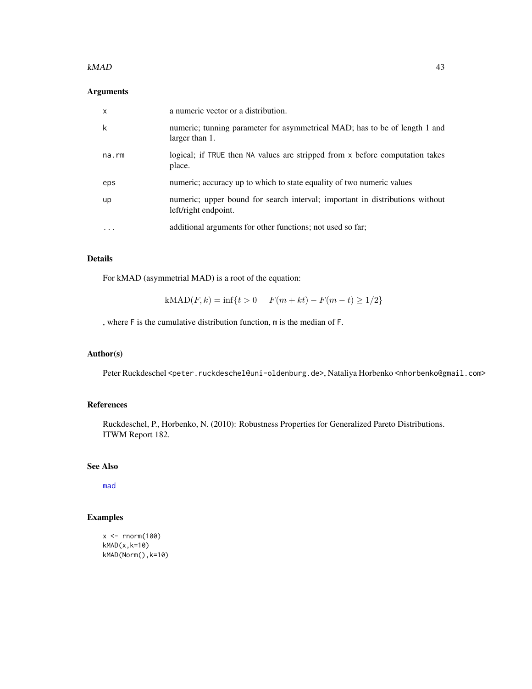#### <span id="page-42-0"></span> $kMAD$  43

# Arguments

| $\mathsf{x}$ | a numeric vector or a distribution.                                                                  |
|--------------|------------------------------------------------------------------------------------------------------|
| k            | numeric; tunning parameter for asymmetrical MAD; has to be of length 1 and<br>larger than 1.         |
| na.rm        | logical; if TRUE then NA values are stripped from x before computation takes<br>place.               |
| eps          | numeric; accuracy up to which to state equality of two numeric values                                |
| up           | numeric; upper bound for search interval; important in distributions without<br>left/right endpoint. |
| $\ddotsc$    | additional arguments for other functions; not used so far;                                           |

# Details

For kMAD (asymmetrial MAD) is a root of the equation:

$$
kMAD(F,k) = \inf\{t > 0 \mid F(m+kt) - F(m-t) \ge 1/2\}
$$

, where F is the cumulative distribution function, m is the median of F.

# Author(s)

Peter Ruckdeschel <peter.ruckdeschel@uni-oldenburg.de>, Nataliya Horbenko <nhorbenko@gmail.com>

# References

Ruckdeschel, P., Horbenko, N. (2010): Robustness Properties for Generalized Pareto Distributions. ITWM Report 182.

# See Also

[mad](#page-0-0)

# Examples

```
x <- rnorm(100)
kMAD(x,k=10)
kMAD(Norm(),k=10)
```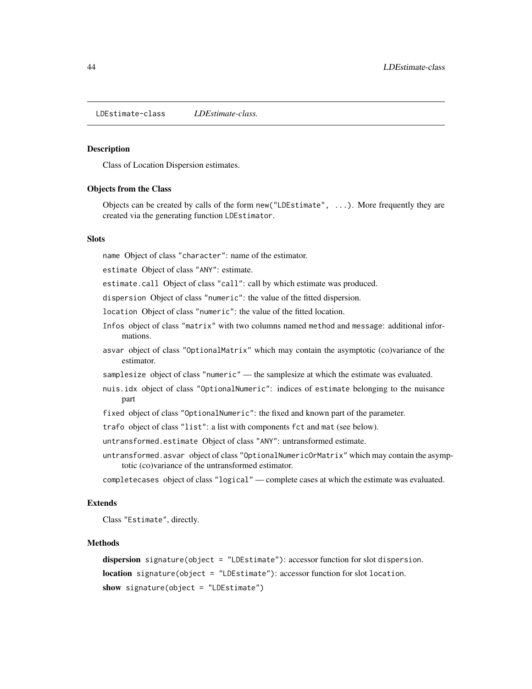<span id="page-43-1"></span><span id="page-43-0"></span>LDEstimate-class *LDEstimate-class.*

#### Description

Class of Location Dispersion estimates.

#### Objects from the Class

Objects can be created by calls of the form new("LDEstimate", ...). More frequently they are created via the generating function LDEstimator.

# **Slots**

name Object of class "character": name of the estimator.

estimate Object of class "ANY": estimate.

estimate.call Object of class "call": call by which estimate was produced.

dispersion Object of class "numeric": the value of the fitted dispersion.

location Object of class "numeric": the value of the fitted location.

- Infos object of class "matrix" with two columns named method and message: additional informations.
- asvar object of class "OptionalMatrix" which may contain the asymptotic (co)variance of the estimator.
- samplesize object of class "numeric" the samplesize at which the estimate was evaluated.
- nuis.idx object of class "OptionalNumeric": indices of estimate belonging to the nuisance part
- fixed object of class "OptionalNumeric": the fixed and known part of the parameter.
- trafo object of class "list": a list with components fct and mat (see below).
- untransformed.estimate Object of class "ANY": untransformed estimate.
- untransformed.asvar object of class "OptionalNumericOrMatrix" which may contain the asymptotic (co)variance of the untransformed estimator.

completecases object of class "logical" — complete cases at which the estimate was evaluated.

#### Extends

Class "Estimate", directly.

#### Methods

dispersion signature(object = "LDEstimate"): accessor function for slot dispersion. location signature(object = "LDEstimate"): accessor function for slot location. show signature(object = "LDEstimate")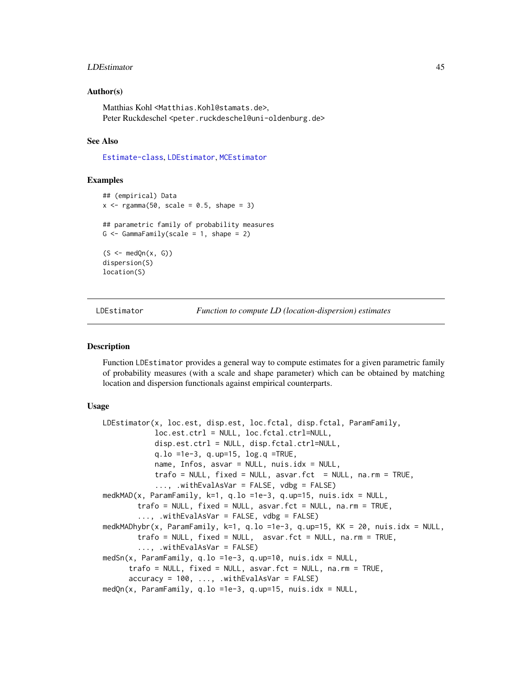#### <span id="page-44-0"></span>LDEstimator 45

#### Author(s)

Matthias Kohl <Matthias.Kohl@stamats.de>, Peter Ruckdeschel <peter.ruckdeschel@uni-oldenburg.de>

# See Also

[Estimate-class](#page-0-0), [LDEstimator](#page-44-1), [MCEstimator](#page-0-0)

#### Examples

```
## (empirical) Data
x \leq - \text{rgamma}(50, \text{ scale} = 0.5, \text{ shape} = 3)## parametric family of probability measures
G \leq GammaFamily(scale = 1, shape = 2)
(S \leftarrow \text{medQn}(x, G))dispersion(S)
location(S)
```
LDEstimator *Function to compute LD (location-dispersion) estimates*

#### <span id="page-44-2"></span>**Description**

Function LDEstimator provides a general way to compute estimates for a given parametric family of probability measures (with a scale and shape parameter) which can be obtained by matching location and dispersion functionals against empirical counterparts.

#### Usage

```
LDEstimator(x, loc.est, disp.est, loc.fctal, disp.fctal, ParamFamily,
            loc.est.ctrl = NULL, loc.fctal.ctrl=NULL,
            disp.est.ctrl = NULL, disp.fctal.ctrl=NULL,
            q.lo =1e-3, q.up=15, log.q =TRUE,
            name, Infos, asvar = NULL, nuis.idx = NULL,
            trafo = NULL, fixed = NULL, asvar.fct = NULL, na.rm = TRUE,
            ..., .withEvalAsVar = FALSE, vdbg = FALSE)
medkMAD(x, ParamFamily, k=1, q.lo =1e-3, q.up=15, nuis.idx = NULL,
        trafo = NULL, fixed = NULL, asvar.fct = NULL, na.rm = TRUE,
        ..., .withEvalAsVar = FALSE, vdbg = FALSE)
medkMADhybr(x, ParamFamily, k=1, q.lo =1e-3, q.up=15, KK = 20, nuis.idx = NULL,
        trafo = NULL, fixed = NULL, asvar.fct = NULL, na.rm = TRUE,
        ..., .withEvalAsVar = FALSE)
medSn(x, ParamFamily, q.lo =1e-3, q.up=10, nuis.idx = NULL,
      trafo = NULL, fixed = NULL, asvar.fct = NULL, na.rm = TRUE,
      accuracy = 100, ..., withEvalAsVar = FALSE)medQn(x, ParamFamily, q.lo =1e-3, q.up=15, nuis.idx = NULL,
```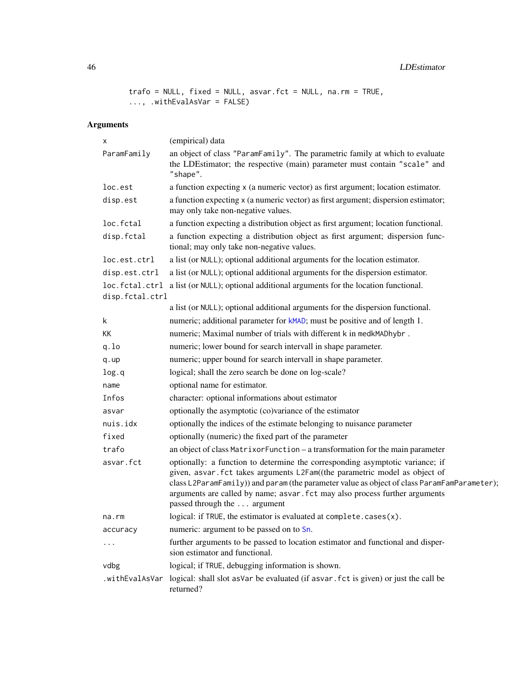<span id="page-45-0"></span>46 LDEstimator

```
trafo = NULL, fixed = NULL, asvar.fct = NULL, na.rm = TRUE,
..., .withEvalAsVar = FALSE)
```
# Arguments

| х                                 | (empirical) data                                                                                                                                                                                                                                                                                                                                                         |
|-----------------------------------|--------------------------------------------------------------------------------------------------------------------------------------------------------------------------------------------------------------------------------------------------------------------------------------------------------------------------------------------------------------------------|
| ParamFamily                       | an object of class "ParamFamily". The parametric family at which to evaluate<br>the LDEstimator; the respective (main) parameter must contain "scale" and<br>"shape".                                                                                                                                                                                                    |
| loc.est                           | a function expecting x (a numeric vector) as first argument; location estimator.                                                                                                                                                                                                                                                                                         |
| disp.est                          | a function expecting x (a numeric vector) as first argument; dispersion estimator;<br>may only take non-negative values.                                                                                                                                                                                                                                                 |
| loc.fctal                         | a function expecting a distribution object as first argument; location functional.                                                                                                                                                                                                                                                                                       |
| disp.fctal                        | a function expecting a distribution object as first argument; dispersion func-<br>tional; may only take non-negative values.                                                                                                                                                                                                                                             |
| loc.est.ctrl                      | a list (or NULL); optional additional arguments for the location estimator.                                                                                                                                                                                                                                                                                              |
| disp.est.ctrl                     | a list (or NULL); optional additional arguments for the dispersion estimator.                                                                                                                                                                                                                                                                                            |
| loc.fctal.ctrl<br>disp.fctal.ctrl | a list (or NULL); optional additional arguments for the location functional.                                                                                                                                                                                                                                                                                             |
|                                   | a list (or NULL); optional additional arguments for the dispersion functional.                                                                                                                                                                                                                                                                                           |
| k                                 | numeric; additional parameter for kMAD; must be positive and of length 1.                                                                                                                                                                                                                                                                                                |
| KK                                | numeric; Maximal number of trials with different k in medkMADhybr.                                                                                                                                                                                                                                                                                                       |
| q.lo                              | numeric; lower bound for search intervall in shape parameter.                                                                                                                                                                                                                                                                                                            |
| q.up                              | numeric; upper bound for search intervall in shape parameter.                                                                                                                                                                                                                                                                                                            |
| log.q                             | logical; shall the zero search be done on log-scale?                                                                                                                                                                                                                                                                                                                     |
| name                              | optional name for estimator.                                                                                                                                                                                                                                                                                                                                             |
| Infos                             | character: optional informations about estimator                                                                                                                                                                                                                                                                                                                         |
| asvar                             | optionally the asymptotic (co)variance of the estimator                                                                                                                                                                                                                                                                                                                  |
| nuis.idx                          | optionally the indices of the estimate belonging to nuisance parameter                                                                                                                                                                                                                                                                                                   |
| fixed                             | optionally (numeric) the fixed part of the parameter                                                                                                                                                                                                                                                                                                                     |
| trafo                             | an object of class MatrixorFunction - a transformation for the main parameter                                                                                                                                                                                                                                                                                            |
| asvar.fct                         | optionally: a function to determine the corresponding asymptotic variance; if<br>given, asvar. fct takes arguments L2Fam((the parametric model as object of<br>class L2ParamFamily) and param (the parameter value as object of class ParamFamParameter);<br>arguments are called by name; asvar. fct may also process further arguments<br>passed through the  argument |
| na.rm                             | logical: if TRUE, the estimator is evaluated at complete.cases(x).                                                                                                                                                                                                                                                                                                       |
| accuracy                          | numeric: argument to be passed on to Sn.                                                                                                                                                                                                                                                                                                                                 |
|                                   | further arguments to be passed to location estimator and functional and disper-<br>sion estimator and functional.                                                                                                                                                                                                                                                        |
| vdbg                              | logical; if TRUE, debugging information is shown.                                                                                                                                                                                                                                                                                                                        |
| .withEvalAsVar                    | logical: shall slot as Var be evaluated (if as var. fct is given) or just the call be<br>returned?                                                                                                                                                                                                                                                                       |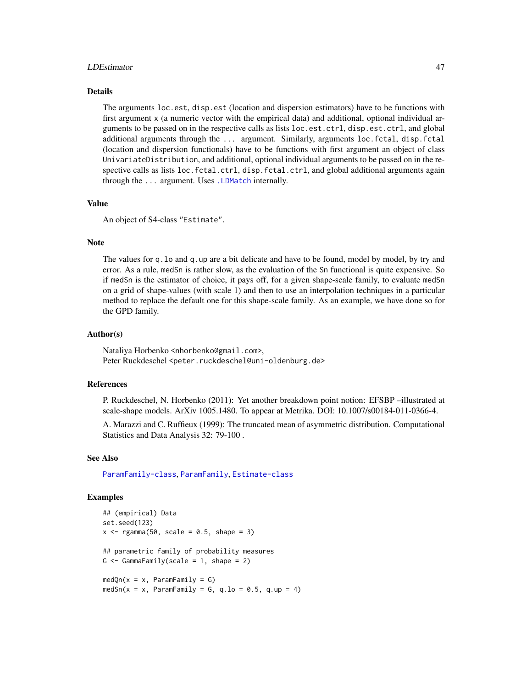#### <span id="page-46-0"></span>LDEstimator 47

#### Details

The arguments loc.est, disp.est (location and dispersion estimators) have to be functions with first argument x (a numeric vector with the empirical data) and additional, optional individual arguments to be passed on in the respective calls as lists loc.est.ctrl, disp.est.ctrl, and global additional arguments through the ... argument. Similarly, arguments loc.fctal, disp.fctal (location and dispersion functionals) have to be functions with first argument an object of class UnivariateDistribution, and additional, optional individual arguments to be passed on in the respective calls as lists loc.fctal.ctrl, disp.fctal.ctrl, and global additional arguments again through the ... argument. Uses [.LDMatch](#page-0-0) internally.

#### Value

An object of S4-class "Estimate".

#### Note

The values for q.lo and q.up are a bit delicate and have to be found, model by model, by try and error. As a rule, medSn is rather slow, as the evaluation of the Sn functional is quite expensive. So if medSn is the estimator of choice, it pays off, for a given shape-scale family, to evaluate medSn on a grid of shape-values (with scale 1) and then to use an interpolation techniques in a particular method to replace the default one for this shape-scale family. As an example, we have done so for the GPD family.

#### Author(s)

Nataliya Horbenko <nhorbenko@gmail.com>, Peter Ruckdeschel <peter.ruckdeschel@uni-oldenburg.de>

#### References

P. Ruckdeschel, N. Horbenko (2011): Yet another breakdown point notion: EFSBP –illustrated at scale-shape models. ArXiv 1005.1480. To appear at Metrika. DOI: 10.1007/s00184-011-0366-4.

A. Marazzi and C. Ruffieux (1999): The truncated mean of asymmetric distribution. Computational Statistics and Data Analysis 32: 79-100 .

# See Also

[ParamFamily-class](#page-0-0), [ParamFamily](#page-0-0), [Estimate-class](#page-0-0)

#### Examples

```
## (empirical) Data
set.seed(123)
x \leq - rgamma(50, scale = 0.5, shape = 3)
## parametric family of probability measures
G \leq GammaFamily(scale = 1, shape = 2)
medQn(x = x, ParamFamily = G)medSn(x = x, ParamFamily = G, q.lo = 0.5, q.up = 4)
```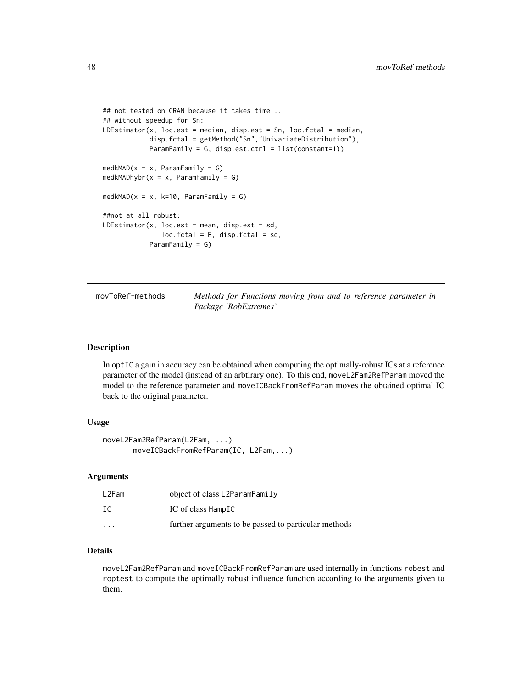```
## not tested on CRAN because it takes time...
## without speedup for Sn:
LDEstimator(x, loc.est = median, disp.est = Sn, loc.fctal = median,
            disp.fctal = getMethod("Sn","UnivariateDistribution"),
            ParamFamily = G, disp.est.ctrl = list(constant=1))
medkMAD(x = x, ParamFamily = G)medkMADhybr(x = x, ParamFamily = G)
medkMAD(x = x, k=10, ParamFamily = G)
##not at all robust:
LDEstimator(x, loc.est = mean, disp.est = sd,
               loc.fctal = E, disp.fctal = sd,
            ParamFamily = G)
```
movToRef-methods *Methods for Functions moving from and to reference parameter in Package 'RobExtremes'*

#### Description

In optIC a gain in accuracy can be obtained when computing the optimally-robust ICs at a reference parameter of the model (instead of an arbtirary one). To this end, moveL2Fam2RefParam moved the model to the reference parameter and moveICBackFromRefParam moves the obtained optimal IC back to the original parameter.

#### Usage

```
moveL2Fam2RefParam(L2Fam, ...)
      moveICBackFromRefParam(IC, L2Fam,...)
```
#### Arguments

| L2Fam                | object of class L2ParamFamily                        |
|----------------------|------------------------------------------------------|
| IC                   | IC of class HampIC                                   |
| $\ddot{\phantom{0}}$ | further arguments to be passed to particular methods |

# Details

moveL2Fam2RefParam and moveICBackFromRefParam are used internally in functions robest and roptest to compute the optimally robust influence function according to the arguments given to them.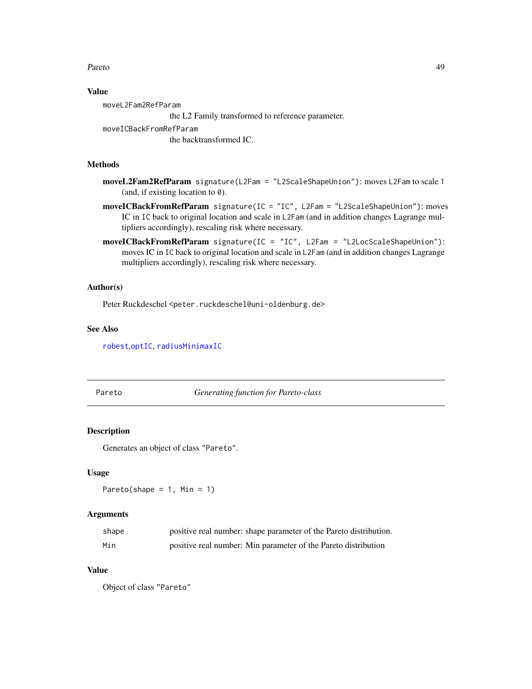#### <span id="page-48-0"></span>Pareto and the contract of the contract of the contract of the contract of the contract of the contract of the contract of the contract of the contract of the contract of the contract of the contract of the contract of the

# Value

moveL2Fam2RefParam the L2 Family transformed to reference parameter. moveICBackFromRefParam

the backtransformed IC.

#### Methods

- moveL2Fam2RefParam signature(L2Fam = "L2ScaleShapeUnion"): moves L2Fam to scale 1 (and, if existing location to  $\theta$ ).
- moveICBackFromRefParam signature(IC = "IC", L2Fam = "L2ScaleShapeUnion"): moves IC in IC back to original location and scale in L2Fam (and in addition changes Lagrange multipliers accordingly), rescaling risk where necessary.
- moveICBackFromRefParam signature(IC = "IC", L2Fam = "L2LocScaleShapeUnion"): moves IC in IC back to original location and scale in L2Fam (and in addition changes Lagrange multipliers accordingly), rescaling risk where necessary.

# Author(s)

Peter Ruckdeschel <peter.ruckdeschel@uni-oldenburg.de>

# See Also

[robest](#page-0-0),[optIC](#page-0-0), [radiusMinimaxIC](#page-0-0)

Pareto *Generating function for Pareto-class*

#### Description

Generates an object of class "Pareto".

#### Usage

```
Pareto(shape = 1, Min = 1)
```
#### Arguments

| shape | positive real number: shape parameter of the Pareto distribution. |
|-------|-------------------------------------------------------------------|
| Min   | positive real number: Min parameter of the Pareto distribution    |

# Value

Object of class "Pareto"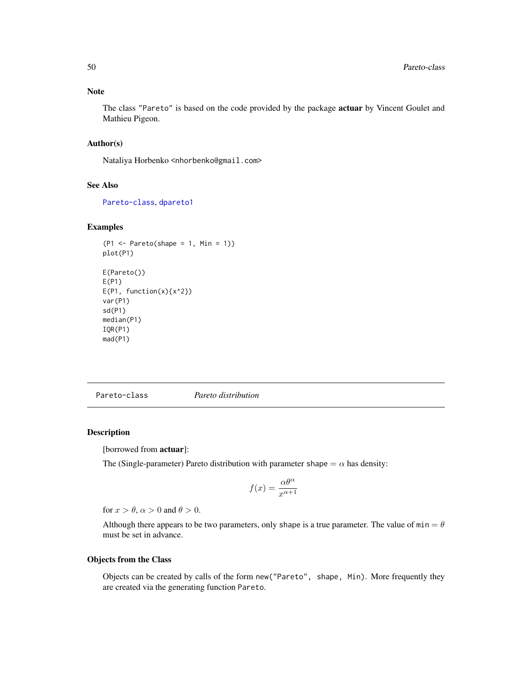#### <span id="page-49-0"></span>Note

The class "Pareto" is based on the code provided by the package actuar by Vincent Goulet and Mathieu Pigeon.

# Author(s)

Nataliya Horbenko <nhorbenko@gmail.com>

# See Also

[Pareto-class](#page-49-1), [dpareto1](#page-0-0)

#### Examples

```
(P1 \leq - Pareto(shape = 1, Min = 1))
plot(P1)
E(Pareto())
E(P1)
E(P1, function(x){x^2})var(P1)
sd(P1)
median(P1)
IQR(P1)
mad(P1)
```
<span id="page-49-1"></span>Pareto-class *Pareto distribution*

## Description

[borrowed from actuar]:

The (Single-parameter) Pareto distribution with parameter shape  $= \alpha$  has density:

$$
f(x) = \frac{\alpha \theta^{\alpha}}{x^{\alpha+1}}
$$

for  $x > \theta$ ,  $\alpha > 0$  and  $\theta > 0$ .

Although there appears to be two parameters, only shape is a true parameter. The value of  $min = \theta$ must be set in advance.

# Objects from the Class

Objects can be created by calls of the form new("Pareto", shape, Min). More frequently they are created via the generating function Pareto.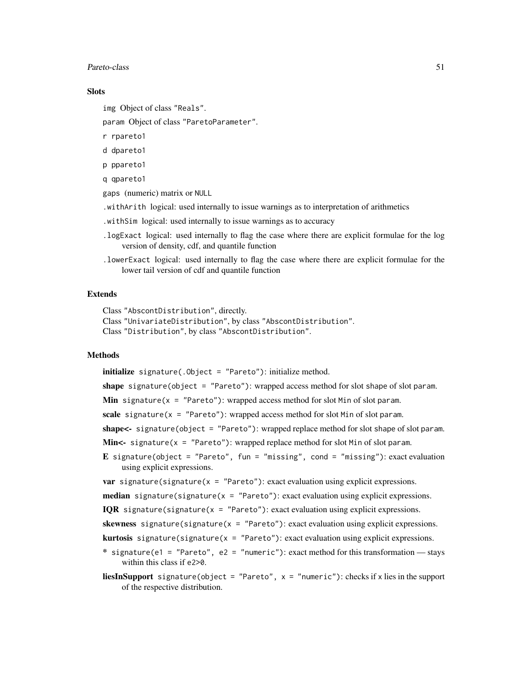#### Pareto-class 51

#### **Slots**

img Object of class "Reals".

param Object of class "ParetoParameter".

r rpareto1

d dpareto1

p ppareto1

q qpareto1

gaps (numeric) matrix or NULL

.withArith logical: used internally to issue warnings as to interpretation of arithmetics

.withSim logical: used internally to issue warnings as to accuracy

- .logExact logical: used internally to flag the case where there are explicit formulae for the log version of density, cdf, and quantile function
- .lowerExact logical: used internally to flag the case where there are explicit formulae for the lower tail version of cdf and quantile function

#### Extends

Class "AbscontDistribution", directly. Class "UnivariateDistribution", by class "AbscontDistribution". Class "Distribution", by class "AbscontDistribution".

# Methods

initialize signature(.Object = "Pareto"): initialize method.

shape signature(object =  $"Pareto"$ ): wrapped access method for slot shape of slot param.

**Min** signature( $x = "Pareto")$ : wrapped access method for slot Min of slot param.

scale signature( $x = "Pareto")$ : wrapped access method for slot Min of slot param.

shape<- signature(object = "Pareto"): wrapped replace method for slot shape of slot param.

**Min<-** signature( $x =$  "Pareto"): wrapped replace method for slot Min of slot param.

E signature(object = "Pareto", fun = "missing", cond = "missing"): exact evaluation using explicit expressions.

**var** signature(signature(x =  $"Pareto"$ ): exact evaluation using explicit expressions.

**median** signature(signature( $x = "Pareto")$ : exact evaluation using explicit expressions.

**IQR** signature(signature( $x = "Pareto")$ : exact evaluation using explicit expressions.

skewness signature(signature( $x = "Pareto")$ : exact evaluation using explicit expressions.

**kurtosis** signature(signature( $x = "Pareto")$ : exact evaluation using explicit expressions.

\* signature(e1 = "Pareto", e2 = "numeric"): exact method for this transformation — stays within this class if e2>0.

**liesInSupport** signature(object = "Pareto",  $x =$  "numeric"): checks if x lies in the support of the respective distribution.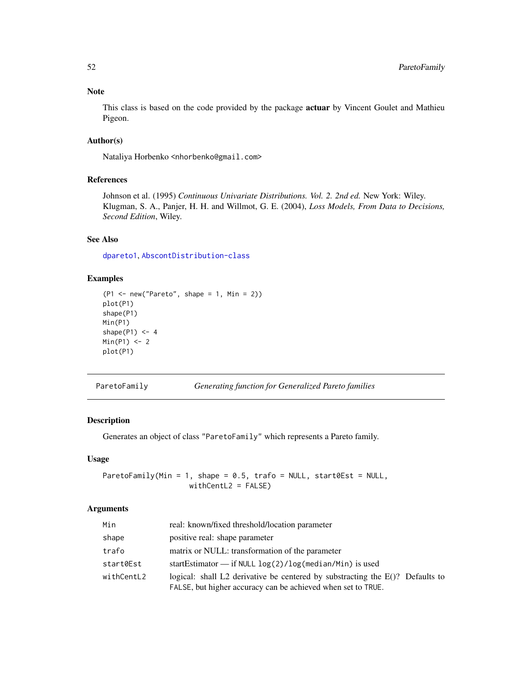# Note

This class is based on the code provided by the package **actuar** by Vincent Goulet and Mathieu Pigeon.

# Author(s)

Nataliya Horbenko <nhorbenko@gmail.com>

# References

Johnson et al. (1995) *Continuous Univariate Distributions. Vol. 2. 2nd ed.* New York: Wiley. Klugman, S. A., Panjer, H. H. and Willmot, G. E. (2004), *Loss Models, From Data to Decisions, Second Edition*, Wiley.

# See Also

[dpareto1](#page-0-0), [AbscontDistribution-class](#page-0-0)

# Examples

```
(P1 <- new("Pareto", shape = 1, Min = 2))
plot(P1)
shape(P1)
Min(P1)
shape(P1) <- 4
Min(P1) < -2plot(P1)
```
ParetoFamily *Generating function for Generalized Pareto families*

# Description

Generates an object of class "ParetoFamily" which represents a Pareto family.

# Usage

ParetoFamily(Min = 1, shape =  $0.5$ , trafo = NULL, start0Est = NULL, withCentL2 = FALSE)

# Arguments

| Min        | real: known/fixed threshold/location parameter                                                                                                   |
|------------|--------------------------------------------------------------------------------------------------------------------------------------------------|
| shape      | positive real: shape parameter                                                                                                                   |
| trafo      | matrix or NULL: transformation of the parameter                                                                                                  |
| start0Est  | startEstimator $\frac{1}{\pi}$ if NULL $\log(2)/\log(\text{median/Min})$ is used                                                                 |
| withCentL2 | logical: shall L2 derivative be centered by substracting the $E($ )? Defaults to<br>FALSE, but higher accuracy can be achieved when set to TRUE. |

<span id="page-51-0"></span>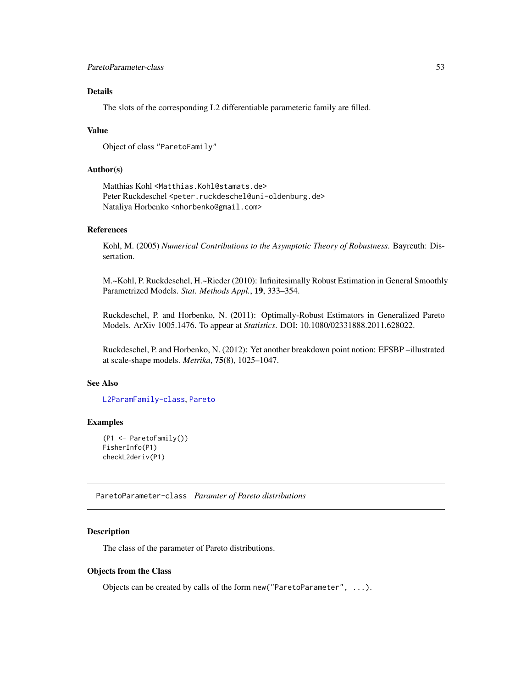# <span id="page-52-0"></span>Details

The slots of the corresponding L2 differentiable parameteric family are filled.

#### Value

```
Object of class "ParetoFamily"
```
# Author(s)

Matthias Kohl <Matthias.Kohl@stamats.de> Peter Ruckdeschel <peter.ruckdeschel@uni-oldenburg.de> Nataliya Horbenko <nhorbenko@gmail.com>

# References

Kohl, M. (2005) *Numerical Contributions to the Asymptotic Theory of Robustness*. Bayreuth: Dissertation.

M.~Kohl, P. Ruckdeschel, H.~Rieder (2010): Infinitesimally Robust Estimation in General Smoothly Parametrized Models. *Stat. Methods Appl.*, 19, 333–354.

Ruckdeschel, P. and Horbenko, N. (2011): Optimally-Robust Estimators in Generalized Pareto Models. ArXiv 1005.1476. To appear at *Statistics*. DOI: 10.1080/02331888.2011.628022.

Ruckdeschel, P. and Horbenko, N. (2012): Yet another breakdown point notion: EFSBP –illustrated at scale-shape models. *Metrika*, 75(8), 1025–1047.

#### See Also

[L2ParamFamily-class](#page-0-0), [Pareto](#page-49-1)

# Examples

```
(P1 <- ParetoFamily())
FisherInfo(P1)
checkL2deriv(P1)
```
ParetoParameter-class *Paramter of Pareto distributions*

#### Description

The class of the parameter of Pareto distributions.

#### Objects from the Class

Objects can be created by calls of the form new("ParetoParameter", ...).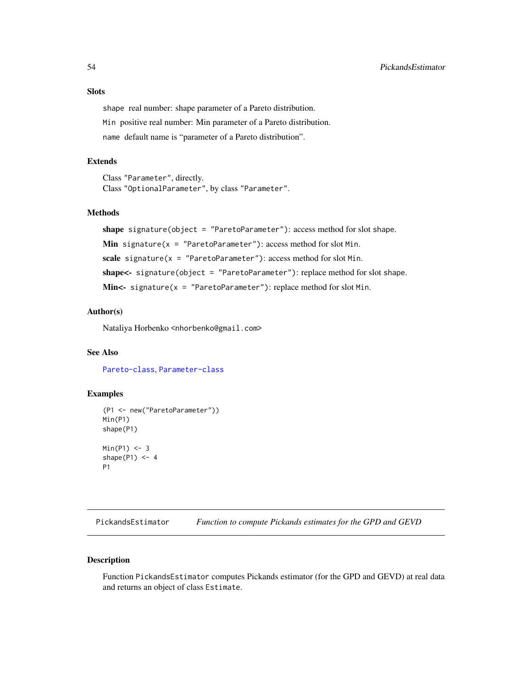# <span id="page-53-0"></span>Slots

shape real number: shape parameter of a Pareto distribution. Min positive real number: Min parameter of a Pareto distribution. name default name is "parameter of a Pareto distribution".

#### Extends

Class "Parameter", directly. Class "OptionalParameter", by class "Parameter".

# Methods

shape signature(object = "ParetoParameter"): access method for slot shape.

Min signature( $x =$  "ParetoParameter"): access method for slot Min.

scale signature( $x = "ParetoParameter")$ : access method for slot Min.

shape<- signature(object = "ParetoParameter"): replace method for slot shape.

Min<- signature( $x =$  "ParetoParameter"): replace method for slot Min.

# Author(s)

Nataliya Horbenko <nhorbenko@gmail.com>

#### See Also

[Pareto-class](#page-49-1), [Parameter-class](#page-0-0)

# Examples

```
(P1 <- new("ParetoParameter"))
Min(P1)
shape(P1)
Min(P1) < -3shape(P1) <- 4
P1
```
<span id="page-53-1"></span>PickandsEstimator *Function to compute Pickands estimates for the GPD and GEVD*

### Description

Function PickandsEstimator computes Pickands estimator (for the GPD and GEVD) at real data and returns an object of class Estimate.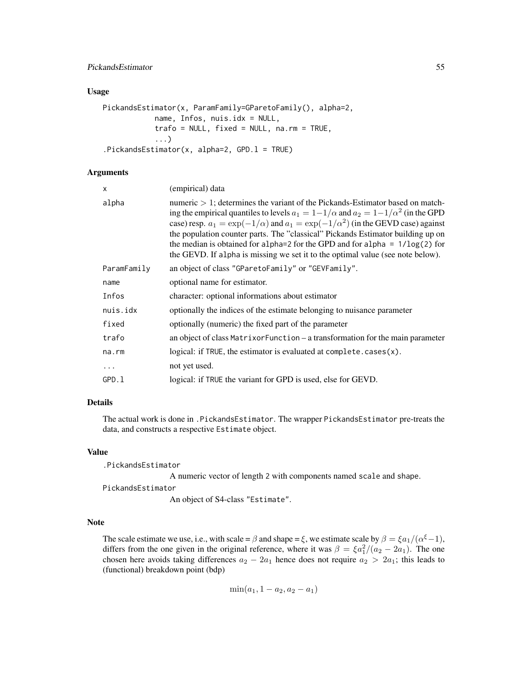# PickandsEstimator 55

#### Usage

```
PickandsEstimator(x, ParamFamily=GParetoFamily(), alpha=2,
            name, Infos, nuis.idx = NULL,
            trafo = NULL, fixed = NULL, na.rm = TRUE,
            ...)
.PickandsEstimator(x, alpha=2, GPD.l = TRUE)
```
# Arguments

| x           | (empirical) data                                                                                                                                                                                                                                                                                                                                                                                                                                                                                                                             |
|-------------|----------------------------------------------------------------------------------------------------------------------------------------------------------------------------------------------------------------------------------------------------------------------------------------------------------------------------------------------------------------------------------------------------------------------------------------------------------------------------------------------------------------------------------------------|
| alpha       | numeric $> 1$ ; determines the variant of the Pickands-Estimator based on match-<br>ing the empirical quantiles to levels $a_1 = 1 - 1/\alpha$ and $a_2 = 1 - 1/\alpha^2$ (in the GPD<br>case) resp. $a_1 = \exp(-1/\alpha)$ and $a_1 = \exp(-1/\alpha^2)$ (in the GEVD case) against<br>the population counter parts. The "classical" Pickands Estimator building up on<br>the median is obtained for alpha=2 for the GPD and for alpha = $1/\log(2)$ for<br>the GEVD. If alpha is missing we set it to the optimal value (see note below). |
| ParamFamily | an object of class "GParetoFamily" or "GEVFamily".                                                                                                                                                                                                                                                                                                                                                                                                                                                                                           |
| name        | optional name for estimator.                                                                                                                                                                                                                                                                                                                                                                                                                                                                                                                 |
| Infos       | character: optional informations about estimator                                                                                                                                                                                                                                                                                                                                                                                                                                                                                             |
| nuis.idx    | optionally the indices of the estimate belonging to nuisance parameter                                                                                                                                                                                                                                                                                                                                                                                                                                                                       |
| fixed       | optionally (numeric) the fixed part of the parameter                                                                                                                                                                                                                                                                                                                                                                                                                                                                                         |
| trafo       | an object of class MatrixorFunction – a transformation for the main parameter                                                                                                                                                                                                                                                                                                                                                                                                                                                                |
| na.rm       | logical: if TRUE, the estimator is evaluated at complete. $cases(x)$ .                                                                                                                                                                                                                                                                                                                                                                                                                                                                       |
| $\cdots$    | not yet used.                                                                                                                                                                                                                                                                                                                                                                                                                                                                                                                                |
| GPD.l       | logical: if TRUE the variant for GPD is used, else for GEVD.                                                                                                                                                                                                                                                                                                                                                                                                                                                                                 |
|             |                                                                                                                                                                                                                                                                                                                                                                                                                                                                                                                                              |

# Details

The actual work is done in .PickandsEstimator. The wrapper PickandsEstimator pre-treats the data, and constructs a respective Estimate object.

#### Value

.PickandsEstimator

A numeric vector of length 2 with components named scale and shape.

PickandsEstimator

An object of S4-class "Estimate".

# Note

The scale estimate we use, i.e., with scale =  $\beta$  and shape =  $\xi$ , we estimate scale by  $\beta = \xi a_1/(\alpha^{\xi}-1)$ , differs from the one given in the original reference, where it was  $\beta = \frac{\xi a_1^2}{a_2 - 2a_1}$ . The one chosen here avoids taking differences  $a_2 - 2a_1$  hence does not require  $a_2 > 2a_1$ ; this leads to (functional) breakdown point (bdp)

$$
\min(a_1, 1 - a_2, a_2 - a_1)
$$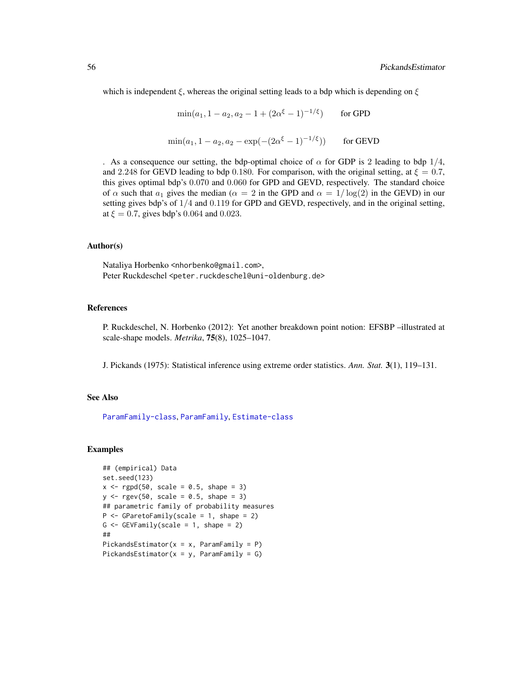<span id="page-55-0"></span>which is independent  $\xi$ , whereas the original setting leads to a bdp which is depending on  $\xi$ 

 $\min(a_1, 1 - a_2, a_2 - 1 + (2\alpha^{\xi} - 1)^{-1/\xi})$  for GPD

$$
\min(a_1, 1 - a_2, a_2 - \exp(-(2\alpha^{\xi} - 1)^{-1/\xi}))
$$
 for GEVD

. As a consequence our setting, the bdp-optimal choice of  $\alpha$  for GDP is 2 leading to bdp 1/4, and 2.248 for GEVD leading to bdp 0.180. For comparison, with the original setting, at  $\xi = 0.7$ , this gives optimal bdp's 0.070 and 0.060 for GPD and GEVD, respectively. The standard choice of  $\alpha$  such that  $a_1$  gives the median ( $\alpha = 2$  in the GPD and  $\alpha = 1/\log(2)$  in the GEVD) in our setting gives bdp's of 1/4 and 0.119 for GPD and GEVD, respectively, and in the original setting, at  $\xi = 0.7$ , gives bdp's 0.064 and 0.023.

#### Author(s)

Nataliya Horbenko <nhorbenko@gmail.com>, Peter Ruckdeschel <peter.ruckdeschel@uni-oldenburg.de>

#### References

P. Ruckdeschel, N. Horbenko (2012): Yet another breakdown point notion: EFSBP –illustrated at scale-shape models. *Metrika*, 75(8), 1025–1047.

J. Pickands (1975): Statistical inference using extreme order statistics. *Ann. Stat.* 3(1), 119–131.

#### See Also

[ParamFamily-class](#page-0-0), [ParamFamily](#page-0-0), [Estimate-class](#page-0-0)

#### Examples

```
## (empirical) Data
set.seed(123)
x \leq - rgpd(50, scale = 0.5, shape = 3)
y \leq -\text{rgev}(50, \text{ scale} = 0.5, \text{ shape} = 3)## parametric family of probability measures
P <- GParetoFamily(scale = 1, shape = 2)
G \leftarrow GEVFamily(scale = 1, shape = 2)
##
PickandsEstimator(x = x, ParamFamily = P)
PickandsEstimator(x = y, ParamFamily = G)
```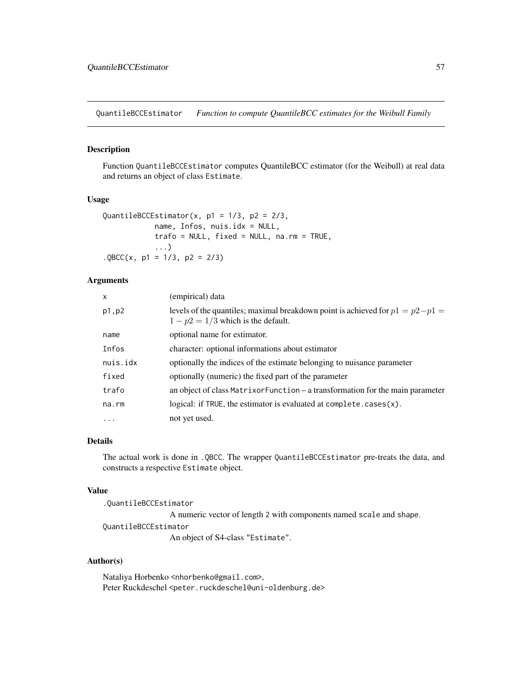<span id="page-56-1"></span><span id="page-56-0"></span>QuantileBCCEstimator *Function to compute QuantileBCC estimates for the Weibull Family*

# Description

Function QuantileBCCEstimator computes QuantileBCC estimator (for the Weibull) at real data and returns an object of class Estimate.

#### Usage

```
QuantileBCCEstimator(x, p1 = 1/3, p2 = 2/3,
            name, Infos, nuis.idx = NULL,
            trafo = NULL, fixed = NULL, na.rm = TRUE,
            ...)
.QBCC(x, p1 = 1/3, p2 = 2/3)
```
#### Arguments

| X           | (empirical) data                                                                                                      |
|-------------|-----------------------------------------------------------------------------------------------------------------------|
| p1, p2      | levels of the quantiles; maximal breakdown point is achieved for $p1 = p2-p1$<br>$1 - p2 = 1/3$ which is the default. |
| name        | optional name for estimator.                                                                                          |
| Infos       | character: optional informations about estimator                                                                      |
| nuis.idx    | optionally the indices of the estimate belonging to nuisance parameter                                                |
| fixed       | optionally (numeric) the fixed part of the parameter                                                                  |
| trafo       | an object of class Matrix or Function – a transformation for the main parameter                                       |
| $na$ . $rm$ | logical: if TRUE, the estimator is evaluated at complete. $cases(x)$ .                                                |
| $\cdots$    | not yet used.                                                                                                         |

# Details

The actual work is done in .QBCC. The wrapper QuantileBCCEstimator pre-treats the data, and constructs a respective Estimate object.

#### Value

.QuantileBCCEstimator

A numeric vector of length 2 with components named scale and shape. QuantileBCCEstimator

An object of S4-class "Estimate".

# Author(s)

Nataliya Horbenko <nhorbenko@gmail.com>, Peter Ruckdeschel <peter.ruckdeschel@uni-oldenburg.de>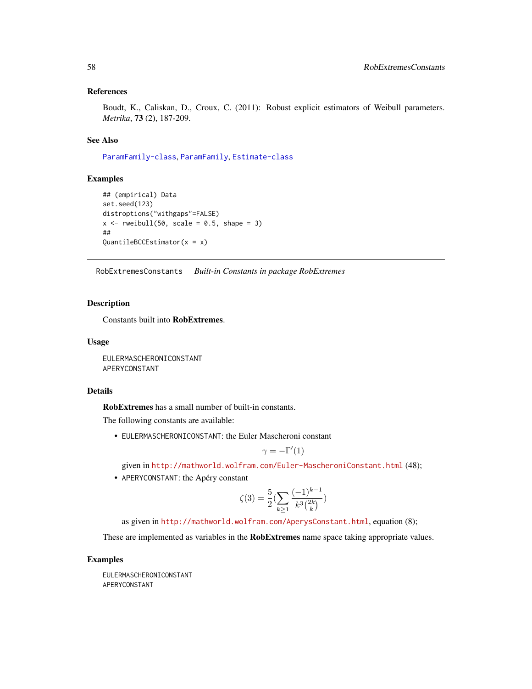#### <span id="page-57-0"></span>References

Boudt, K., Caliskan, D., Croux, C. (2011): Robust explicit estimators of Weibull parameters. *Metrika*, 73 (2), 187-209.

#### See Also

[ParamFamily-class](#page-0-0), [ParamFamily](#page-0-0), [Estimate-class](#page-0-0)

#### Examples

```
## (empirical) Data
set.seed(123)
distroptions("withgaps"=FALSE)
x \le rweibull(50, scale = 0.5, shape = 3)
##
QuantileBCCEstimator(x = x)
```
RobExtremesConstants *Built-in Constants in package RobExtremes*

# Description

Constants built into RobExtremes.

#### Usage

EULERMASCHERONICONSTANT APERYCONSTANT

#### Details

RobExtremes has a small number of built-in constants.

The following constants are available:

• EULERMASCHERONICONSTANT: the Euler Mascheroni constant

$$
\gamma = -\Gamma'(1)
$$

given in <http://mathworld.wolfram.com/Euler-MascheroniConstant.html> (48);

• APERYCONSTANT: the Apéry constant

$$
\zeta(3) = \frac{5}{2} \left( \sum_{k \ge 1} \frac{(-1)^{k-1}}{k^3 {2k \choose k}} \right)
$$

as given in <http://mathworld.wolfram.com/AperysConstant.html>, equation (8);

These are implemented as variables in the **RobExtremes** name space taking appropriate values.

# Examples

EULERMASCHERONICONSTANT APERYCONSTANT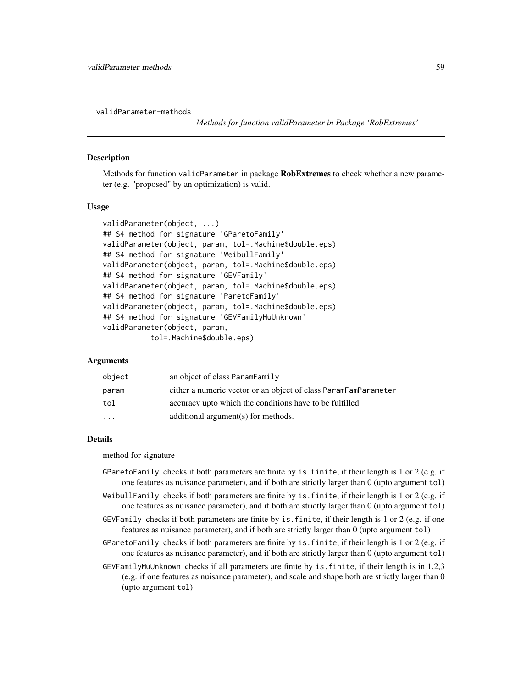<span id="page-58-0"></span>validParameter-methods

*Methods for function validParameter in Package 'RobExtremes'*

# **Description**

Methods for function validParameter in package RobExtremes to check whether a new parameter (e.g. "proposed" by an optimization) is valid.

#### Usage

```
validParameter(object, ...)
## S4 method for signature 'GParetoFamily'
validParameter(object, param, tol=.Machine$double.eps)
## S4 method for signature 'WeibullFamily'
validParameter(object, param, tol=.Machine$double.eps)
## S4 method for signature 'GEVFamily'
validParameter(object, param, tol=.Machine$double.eps)
## S4 method for signature 'ParetoFamily'
validParameter(object, param, tol=.Machine$double.eps)
## S4 method for signature 'GEVFamilyMuUnknown'
validParameter(object, param,
           tol=.Machine$double.eps)
```
# Arguments

| object    | an object of class ParamFamily                                  |
|-----------|-----------------------------------------------------------------|
| param     | either a numeric vector or an object of class ParamFamParameter |
| tol       | accuracy upto which the conditions have to be fulfilled         |
| $\ddotsc$ | additional argument(s) for methods.                             |
|           |                                                                 |

#### Details

method for signature

- GParetoFamily checks if both parameters are finite by is.finite, if their length is 1 or 2 (e.g. if one features as nuisance parameter), and if both are strictly larger than 0 (upto argument tol)
- WeibullFamily checks if both parameters are finite by is.finite, if their length is 1 or 2 (e.g. if one features as nuisance parameter), and if both are strictly larger than 0 (upto argument tol)
- GEVFamily checks if both parameters are finite by is.finite, if their length is 1 or 2 (e.g. if one features as nuisance parameter), and if both are strictly larger than 0 (upto argument tol)
- GParetoFamily checks if both parameters are finite by is.finite, if their length is 1 or 2 (e.g. if one features as nuisance parameter), and if both are strictly larger than 0 (upto argument tol)
- GEVFamilyMuUnknown checks if all parameters are finite by is.finite, if their length is in 1,2,3 (e.g. if one features as nuisance parameter), and scale and shape both are strictly larger than 0 (upto argument tol)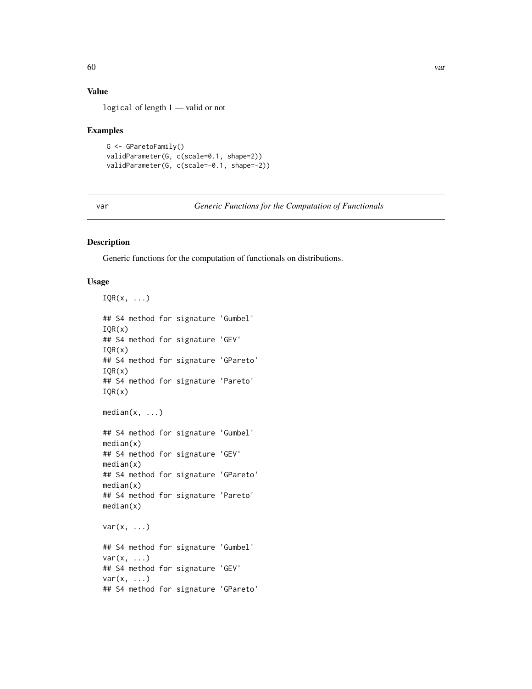# <span id="page-59-0"></span>Value

logical of length 1 — valid or not

#### Examples

```
G <- GParetoFamily()
validParameter(G, c(scale=0.1, shape=2))
validParameter(G, c(scale=-0.1, shape=-2))
```
<span id="page-59-2"></span>var *Generic Functions for the Computation of Functionals*

### <span id="page-59-1"></span>Description

Generic functions for the computation of functionals on distributions.

# Usage

```
IQR(x, \ldots)## S4 method for signature 'Gumbel'
IQR(x)
## S4 method for signature 'GEV'
IQR(x)## S4 method for signature 'GPareto'
IQR(x)## S4 method for signature 'Pareto'
IQR(x)
median(x, \ldots)## S4 method for signature 'Gumbel'
median(x)
## S4 method for signature 'GEV'
median(x)
## S4 method for signature 'GPareto'
median(x)
## S4 method for signature 'Pareto'
median(x)
var(x, \ldots)## S4 method for signature 'Gumbel'
var(x, \ldots)## S4 method for signature 'GEV'
var(x, \ldots)## S4 method for signature 'GPareto'
```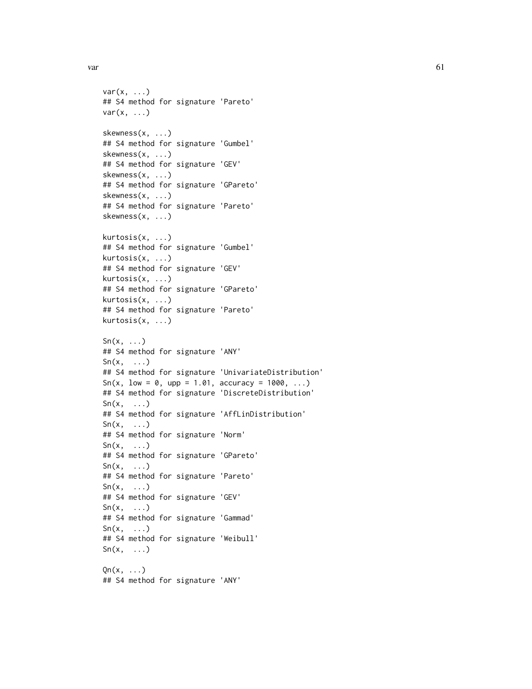$var$  61

```
var(x, \ldots)## S4 method for signature 'Pareto'
var(x, \ldots)skewness(x, ...)
## S4 method for signature 'Gumbel'
skewness(x, ...)
## S4 method for signature 'GEV'
skewness(x, ...)
## S4 method for signature 'GPareto'
skewness(x, ...)
## S4 method for signature 'Pareto'
skewness(x, ...)
kurtosis(x, ...)
## S4 method for signature 'Gumbel'
kurtosis(x, ...)
## S4 method for signature 'GEV'
kurtosis(x, ...)
## S4 method for signature 'GPareto'
kurtosis(x, ...)
## S4 method for signature 'Pareto'
kurtosis(x, ...)
Sn(x, \ldots)## S4 method for signature 'ANY'
Sn(x, \ldots)## S4 method for signature 'UnivariateDistribution'
Sn(x, low = 0, upp = 1.01, accuracy = 1000, ...)## S4 method for signature 'DiscreteDistribution'
\text{Sn}(x, \ldots)## S4 method for signature 'AffLinDistribution'
\text{Sn}(x, \ldots)## S4 method for signature 'Norm'
Sn(x, \ldots)## S4 method for signature 'GPareto'
Sn(x, \ldots)## S4 method for signature 'Pareto'
Sn(x, \ldots)## S4 method for signature 'GEV'
Sn(x, \ldots)## S4 method for signature 'Gammad'
Sn(x, \ldots)## S4 method for signature 'Weibull'
Sn(x, \ldots)Qn(x, \ldots)## S4 method for signature 'ANY'
```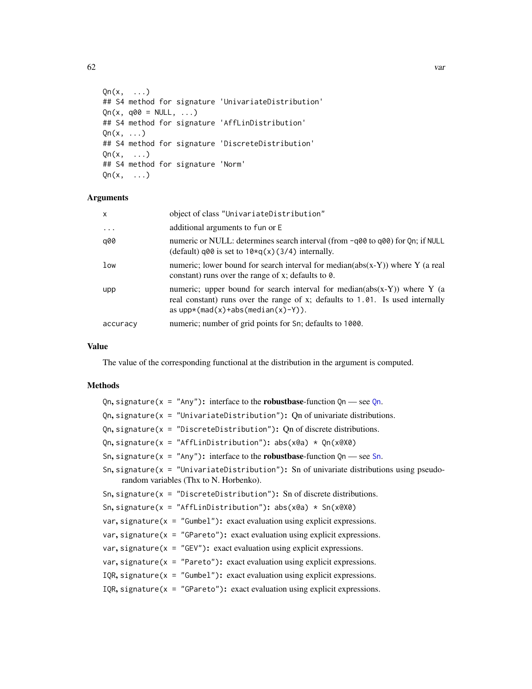<span id="page-61-0"></span>

```
Qn(x, \ldots)## S4 method for signature 'UnivariateDistribution'
On(x, q00 = NULL, ...)## S4 method for signature 'AffLinDistribution'
Qn(x, \ldots)## S4 method for signature 'DiscreteDistribution'
Qn(x, \ldots)## S4 method for signature 'Norm'
Qn(x, \ldots)
```
# Arguments

| $\mathsf{x}$ | object of class "UnivariateDistribution"                                                                                                                                                             |
|--------------|------------------------------------------------------------------------------------------------------------------------------------------------------------------------------------------------------|
| $\cdots$     | additional arguments to fun or E                                                                                                                                                                     |
| q00          | numeric or NULL: determines search interval (from -q00 to q00) for Qn; if NULL<br>(default) q00 is set to $10 \times q(x)$ (3/4) internally.                                                         |
| low          | numeric; lower bound for search interval for median( $abs(x-Y)$ ) where Y (a real<br>constant) runs over the range of $x$ ; defaults to $\theta$ .                                                   |
| upp          | numeric; upper bound for search interval for median( $abs(x-Y)$ ) where Y (a<br>real constant) runs over the range of x; defaults to 1.01. Is used internally<br>as $upp*(mad(x)+abs(median(x)-Y)).$ |
| accuracy     | numeric; number of grid points for Sn; defaults to 1000.                                                                                                                                             |

# Value

The value of the corresponding functional at the distribution in the argument is computed.

# **Methods**

[Qn](#page-59-1), signature( $x = "Any"$ ): interface to the **robustbase**-function Qn — see Qn. Qn, signature( $x =$  "UnivariateDistribution"): Qn of univariate distributions. Qn, signature( $x =$  "DiscreteDistribution"): Qn of discrete distributions. Qn, signature(x = "AffLinDistribution"): abs(x@a) \* Qn(x@X0) [Sn](#page-59-1), signature( $x =$  "Any"): interface to the **robustbase**-function  $Qn$  — see Sn. Sn, signature( $x =$  "UnivariateDistribution"): Sn of univariate distributions using pseudorandom variables (Thx to N. Horbenko). Sn, signature( $x =$  "DiscreteDistribution"): Sn of discrete distributions. Sn, signature( $x = "AffLinDistribution"$ ):  $abs(x@a) * Sn(x@X@)$ var, signature( $x =$  "Gumbel"): exact evaluation using explicit expressions. var, signature( $x = "GPareto")$ : exact evaluation using explicit expressions. var, signature( $x =$  "GEV"): exact evaluation using explicit expressions. var, signature( $x = "Pareto")$ : exact evaluation using explicit expressions. IQR, signature( $x =$  "Gumbel"): exact evaluation using explicit expressions. IQR, signature( $x = "GPareto")$ : exact evaluation using explicit expressions.

 $62$  variety  $\frac{1}{2}$  variety  $\frac{1}{2}$  variety  $\frac{1}{2}$  variety  $\frac{1}{2}$  variety  $\frac{1}{2}$  variety  $\frac{1}{2}$  variety  $\frac{1}{2}$  variety  $\frac{1}{2}$  variety  $\frac{1}{2}$  variety  $\frac{1}{2}$  variety  $\frac{1}{2}$  variety  $\frac{1}{2}$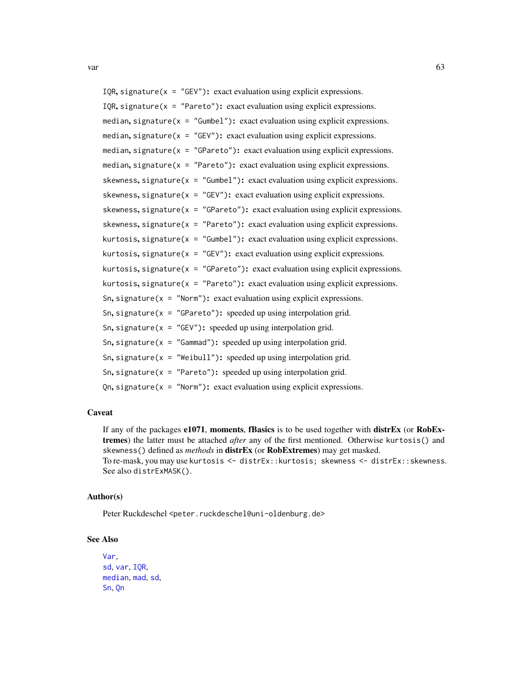<span id="page-62-0"></span>var and the contract of the contract of the contract of the contract of the contract of the contract of the contract of the contract of the contract of the contract of the contract of the contract of the contract of the co

```
IQR, signature(x = "GEV"): exact evaluation using explicit expressions.
IQR, signature(x = "Pareto"): exact evaluation using explicit expressions.
median, signature(x = "Gumbel"): exact evaluation using explicit expressions.
median, signature(x = "GEV"): exact evaluation using explicit expressions.
median, signature(x = "GPareto"): exact evaluation using explicit expressions.
median, signature(x = "Pareto"): exact evaluation using explicit expressions.
skewness, signature(x = "Gumbel"): exact evaluation using explicit expressions.
skewness, signature(x = "GEV"): exact evaluation using explicit expressions.
skewness, signature(x = "GPareto"): exact evaluation using explicit expressions.
skewness, signature(x = "Pareto"): exact evaluation using explicit expressions.
kurtosis, signature(x = "Gumbel"): exact evaluation using explicit expressions.
kurtosis, signature(x = "GEV"): exact evaluation using explicit expressions.
kurtosis, signature(x = "GPareto"): exact evaluation using explicit expressions.
kurtosis, signature(x = "Pareto"): exact evaluation using explicit expressions.
Sn, signature(x = "Norm"): exact evaluation using explicit expressions.
Sn, signature(x = "GPareto"): speeded up using interpolation grid.
Sn, signature(x = "GEV"): speeded up using interpolation grid.
Sn, signature(x = "Gamma"): speeded up using interpolation grid.
Sn, signature(x = "Weibull"): speeded up using interpolation grid.
Sn, signature(x = "Pareto"): speeded up using interpolation grid.
Qn, signature(x = "Norm"): exact evaluation using explicit expressions.
```
#### Caveat

If any of the packages e1071, moments, fBasics is to be used together with distrEx (or RobExtremes) the latter must be attached *after* any of the first mentioned. Otherwise kurtosis() and skewness() defined as *methods* in distrEx (or RobExtremes) may get masked. To re-mask, you may use kurtosis <- distrEx::kurtosis; skewness <- distrEx::skewness. See also distrExMASK().

# Author(s)

Peter Ruckdeschel <peter.ruckdeschel@uni-oldenburg.de>

#### See Also

```
Var,
sd, var, IQR,
median, mad, sd,
Sn, Qn
```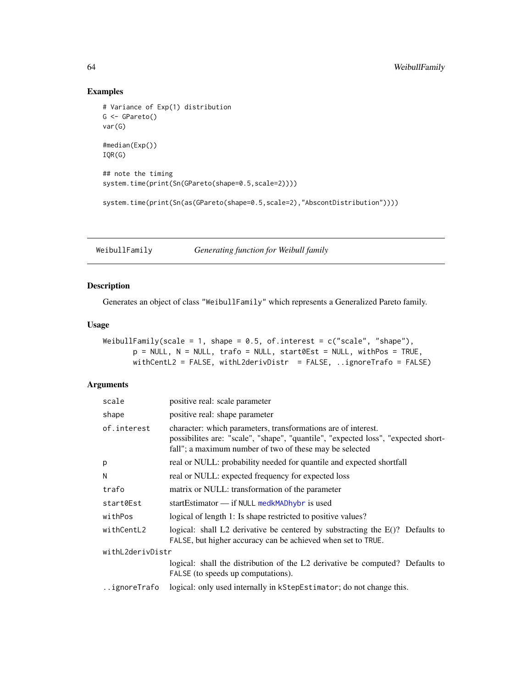# Examples

```
# Variance of Exp(1) distribution
G \leftarrow GPareto()
var(G)
#median(Exp())
IQR(G)
## note the timing
system.time(print(Sn(GPareto(shape=0.5,scale=2))))
system.time(print(Sn(as(GPareto(shape=0.5,scale=2),"AbscontDistribution"))))
```
<span id="page-63-1"></span>WeibullFamily *Generating function for Weibull family*

# Description

Generates an object of class "WeibullFamily" which represents a Generalized Pareto family.

#### Usage

```
WeibullFamily(scale = 1, shape = 0.5, of.interest = c("scale", "shape"),p = NULL, N = NULL, trafo = NULL, start0Est = NULL, withPos = TRUE,
      withCentL2 = FALSE, withL2derivDistr = FALSE, ..ignoreTrafo = FALSE)
```
# Arguments

| scale            | positive real: scale parameter                                                                                                                                                                                |  |
|------------------|---------------------------------------------------------------------------------------------------------------------------------------------------------------------------------------------------------------|--|
| shape            | positive real: shape parameter                                                                                                                                                                                |  |
| of.interest      | character: which parameters, transformations are of interest.<br>possibilites are: "scale", "shape", "quantile", "expected loss", "expected short-<br>fall"; a maximum number of two of these may be selected |  |
| p                | real or NULL: probability needed for quantile and expected shortfall                                                                                                                                          |  |
| N                | real or NULL: expected frequency for expected loss                                                                                                                                                            |  |
| trafo            | matrix or NULL: transformation of the parameter                                                                                                                                                               |  |
| start0Est        | startEstimator $\frac{1}{1}$ if NULL medkMADhybr is used                                                                                                                                                      |  |
| withPos          | logical of length 1: Is shape restricted to positive values?                                                                                                                                                  |  |
| withCentL2       | logical: shall L2 derivative be centered by substracting the E()? Defaults to<br>FALSE, but higher accuracy can be achieved when set to TRUE.                                                                 |  |
| withL2derivDistr |                                                                                                                                                                                                               |  |
|                  | logical: shall the distribution of the L2 derivative be computed? Defaults to<br>FALSE (to speeds up computations).                                                                                           |  |
| ignoreTrafo      | logical: only used internally in kStepEstimator; do not change this.                                                                                                                                          |  |
|                  |                                                                                                                                                                                                               |  |

<span id="page-63-0"></span>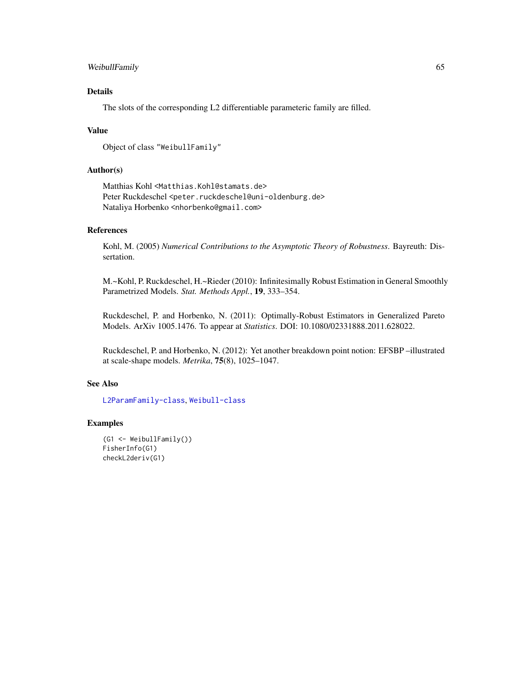#### WeibullFamily 65

# Details

The slots of the corresponding L2 differentiable parameteric family are filled.

#### Value

```
Object of class "WeibullFamily"
```
# Author(s)

Matthias Kohl <Matthias.Kohl@stamats.de> Peter Ruckdeschel <peter.ruckdeschel@uni-oldenburg.de> Nataliya Horbenko <nhorbenko@gmail.com>

# References

Kohl, M. (2005) *Numerical Contributions to the Asymptotic Theory of Robustness*. Bayreuth: Dissertation.

M.~Kohl, P. Ruckdeschel, H.~Rieder (2010): Infinitesimally Robust Estimation in General Smoothly Parametrized Models. *Stat. Methods Appl.*, 19, 333–354.

Ruckdeschel, P. and Horbenko, N. (2011): Optimally-Robust Estimators in Generalized Pareto Models. ArXiv 1005.1476. To appear at *Statistics*. DOI: 10.1080/02331888.2011.628022.

Ruckdeschel, P. and Horbenko, N. (2012): Yet another breakdown point notion: EFSBP –illustrated at scale-shape models. *Metrika*, 75(8), 1025–1047.

# See Also

[L2ParamFamily-class](#page-0-0), [Weibull-class](#page-0-0)

# Examples

```
(G1 <- WeibullFamily())
FisherInfo(G1)
checkL2deriv(G1)
```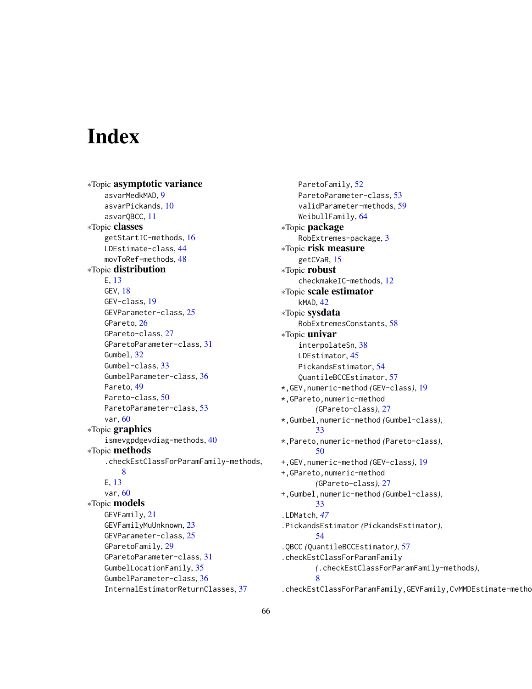# <span id="page-65-0"></span>Index

∗Topic asymptotic variance asvarMedkMAD, [9](#page-8-0) asvarPickands, [10](#page-9-0) asvarQBCC, [11](#page-10-0) ∗Topic classes getStartIC-methods, [16](#page-15-0) LDEstimate-class, [44](#page-43-0) movToRef-methods, [48](#page-47-0) ∗Topic distribution E, [13](#page-12-0) GEV, [18](#page-17-0) GEV-class, [19](#page-18-0) GEVParameter-class, [25](#page-24-0) GPareto, [26](#page-25-0) GPareto-class, [27](#page-26-0) GParetoParameter-class, [31](#page-30-0) Gumbel, [32](#page-31-0) Gumbel-class, [33](#page-32-0) GumbelParameter-class, [36](#page-35-0) Pareto, [49](#page-48-0) Pareto-class, [50](#page-49-0) ParetoParameter-class, [53](#page-52-0) var, [60](#page-59-0) ∗Topic graphics ismevgpdgevdiag-methods, [40](#page-39-0) ∗Topic methods .checkEstClassForParamFamily-methods, [8](#page-7-0) E, [13](#page-12-0) var, [60](#page-59-0) ∗Topic models GEVFamily, [21](#page-20-0) GEVFamilyMuUnknown, [23](#page-22-0) GEVParameter-class, [25](#page-24-0) GParetoFamily, [29](#page-28-0) GParetoParameter-class, [31](#page-30-0) GumbelLocationFamily, [35](#page-34-0) GumbelParameter-class, [36](#page-35-0) InternalEstimatorReturnClasses, [37](#page-36-0)

ParetoFamily, [52](#page-51-0) ParetoParameter-class, [53](#page-52-0) validParameter-methods, [59](#page-58-0) WeibullFamily, [64](#page-63-0) ∗Topic package RobExtremes-package, [3](#page-2-0) ∗Topic risk measure getCVaR, [15](#page-14-0) ∗Topic robust checkmakeIC-methods, [12](#page-11-0) ∗Topic scale estimator kMAD, [42](#page-41-0) ∗Topic sysdata RobExtremesConstants, [58](#page-57-0) ∗Topic univar interpolateSn, [38](#page-37-0) LDEstimator, [45](#page-44-0) PickandsEstimator, [54](#page-53-0) QuantileBCCEstimator, [57](#page-56-0) \*,GEV,numeric-method *(*GEV-class*)*, [19](#page-18-0) \*,GPareto,numeric-method *(*GPareto-class*)*, [27](#page-26-0) \*,Gumbel,numeric-method *(*Gumbel-class*)*, [33](#page-32-0) \*,Pareto,numeric-method *(*Pareto-class*)*, [50](#page-49-0) +,GEV,numeric-method *(*GEV-class*)*, [19](#page-18-0) +,GPareto,numeric-method *(*GPareto-class*)*, [27](#page-26-0) +,Gumbel,numeric-method *(*Gumbel-class*)*, [33](#page-32-0) .LDMatch, *[47](#page-46-0)* .PickandsEstimator *(*PickandsEstimator*)*, [54](#page-53-0) .QBCC *(*QuantileBCCEstimator*)*, [57](#page-56-0) .checkEstClassForParamFamily *(*.checkEstClassForParamFamily-methods*)*, [8](#page-7-0) .checkEstClassForParamFamily,GEVFamily,CvMMDEstimate-method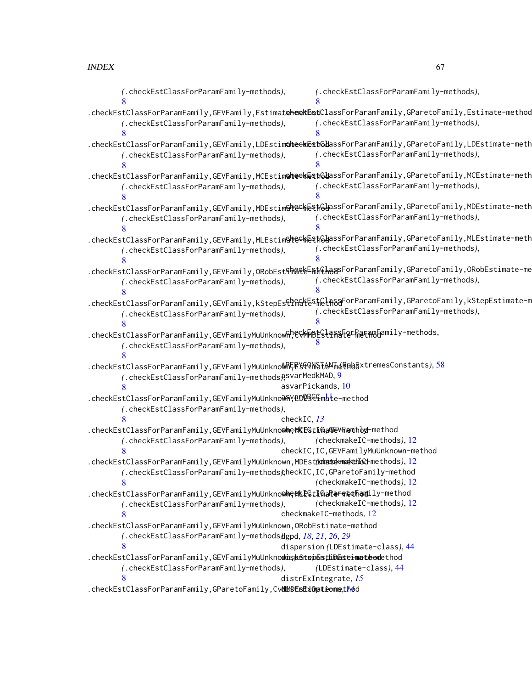| (.checkEstClassForParamFamily-methods),                                                                                             | (.checkEstClassForParamFamily-methods),                                                                                            |  |
|-------------------------------------------------------------------------------------------------------------------------------------|------------------------------------------------------------------------------------------------------------------------------------|--|
|                                                                                                                                     |                                                                                                                                    |  |
|                                                                                                                                     | .checkEstClassForParamFamily,GEVFamily,EstimateheekEnstClassForParamFamily,GParetoFamily,Estimate-method                           |  |
| (.checkEstClassForParamFamily-methods),                                                                                             | (.checkEstClassForParamFamily-methods),                                                                                            |  |
|                                                                                                                                     |                                                                                                                                    |  |
|                                                                                                                                     | .checkEstClassForParamFamily,GEVFamily,LDEstim@heek@st6ddassForParamFamily,GParetoFamily,LDEstimate-meth                           |  |
| (.checkEstClassForParamFamily-methods),                                                                                             | (.checkEstClassForParamFamily-methods),                                                                                            |  |
|                                                                                                                                     |                                                                                                                                    |  |
|                                                                                                                                     | .checkEstClassForParamFamily,GEVFamily,MCEstim <b>alte∈kE\$t</b> 6dassForParamFamily,GParetoFamily,MCEstimate-meth                 |  |
| (.checkEstClassForParamFamily-methods),                                                                                             | (.checkEstClassForParamFamily-methods),                                                                                            |  |
|                                                                                                                                     |                                                                                                                                    |  |
|                                                                                                                                     | .checkEstClassForParamFamily,GEVFamily,MDEstim <b>@teckE\$f</b> @dassForParamFamily,GParetoFamily,MDEstimate-meth                  |  |
| (.checkEstClassForParamFamily-methods),                                                                                             | (.checkEstClassForParamFamily-methods),                                                                                            |  |
|                                                                                                                                     |                                                                                                                                    |  |
|                                                                                                                                     | .checkEstClassForParamFamily,GEVFamily,MLEstim&leCh&\$h&dassForParamFamily,GParetoFamily,MLEstimate-meth                           |  |
| (.checkEstClassForParamFamily-methods),                                                                                             | (.checkEstClassForParamFamily-methods),                                                                                            |  |
|                                                                                                                                     |                                                                                                                                    |  |
| .checkEstClassForParamFamily,GEVFamily,ORobEst§ <del>h</del> §§&E <sub>ntEve</sub> NagsForParamFamily,GParetoFamily,ORobEstimate-me |                                                                                                                                    |  |
| (.checkEstClassForParamFamily-methods),                                                                                             | (.checkEstClassForParamFamily-methods),                                                                                            |  |
|                                                                                                                                     |                                                                                                                                    |  |
|                                                                                                                                     | .checkEstClassForParamFamily,GEVFamily,kStepEs€q <mark>R%&amp;ES#@{A&amp;&amp;</mark> ForParamFamily,GParetoFamily,kStepEstimate-m |  |
| (.checkEstClassForParamFamily-methods),                                                                                             | (.checkEstClassForParamFamily-methods),                                                                                            |  |
|                                                                                                                                     |                                                                                                                                    |  |
| .checkEstClassForParamFamily,GEVFamilyMuUnknowfi;\&\\F@&{qfma&EQC}{@{#\@{qmily-methods,                                             |                                                                                                                                    |  |
| (.checkEstClassForParamFamily-methods),                                                                                             |                                                                                                                                    |  |
|                                                                                                                                     |                                                                                                                                    |  |
| .checkEstClassForParamFamily,GEVFamilyMuUnknoMRE尾YGQNSTANTmeRpb目xtremesConstants),58                                                |                                                                                                                                    |  |
| (.checkEstClassForParamFamily-methods) ? <a></a>                                                                                    |                                                                                                                                    |  |
|                                                                                                                                     | asvarPickands, 10                                                                                                                  |  |
| .checkEstClassForParamFamily,GEVFamilyMuUnknoฟିAY଼@D@B&ፍናmate-method                                                                |                                                                                                                                    |  |
| (.checkEstClassForParamFamily-methods),                                                                                             |                                                                                                                                    |  |
| checkIC, $13$                                                                                                                       |                                                                                                                                    |  |
| .checkEstClassForParamFamily,GEVFamilyMuUnknoohe@KEGtIma@EYFmamthby-method                                                          |                                                                                                                                    |  |
| (.checkEstClassForParamFamily-methods),                                                                                             | (checkmakeIC-methods), 12                                                                                                          |  |
|                                                                                                                                     | checkIC, IC, GEVFamilyMuUnknown-method                                                                                             |  |
| .checkEstClassForParamFamily,GEVFamilyMuUnknown,MDEst(iohetok-makehIGd-methods),12                                                  |                                                                                                                                    |  |
| (.checkEstClassForParamFamily-methods);heckIC, IC, GParetoFamily-method                                                             |                                                                                                                                    |  |
| 8                                                                                                                                   | (checkmakeIC-methods), 12                                                                                                          |  |
| .checkEstClassForParamFamily,GEVFamilyMuUnkno@he@kE@tImaferme@hamily-method                                                         |                                                                                                                                    |  |
| (.checkEstClassForParamFamily-methods),                                                                                             | (checkmakeIC-methods), 12                                                                                                          |  |
| 8                                                                                                                                   | checkmakeIC-methods, 12                                                                                                            |  |
| .checkEstClassForParamFamily,GEVFamilyMuUnknown,ORobEstimate-method                                                                 |                                                                                                                                    |  |
| (.checkEstClassForParamFamily-methods)dgpd, 18, 21, 26, 29                                                                          |                                                                                                                                    |  |
| 8                                                                                                                                   | dispersion (LDEstimate-class), 44                                                                                                  |  |
| .checkEstClassForParamFamily,GEVFamilyMuUnknodins botspostLiDastermateodethod                                                       |                                                                                                                                    |  |
| (.checkEstClassForParamFamily-methods),                                                                                             | (LDEstimate-class), 44                                                                                                             |  |
| 8                                                                                                                                   | distrExIntegrate, 15                                                                                                               |  |
| .checkEstClassForParamFamily,GParetoFamily,CvdMbBEsExOpteonsthod                                                                    |                                                                                                                                    |  |
|                                                                                                                                     |                                                                                                                                    |  |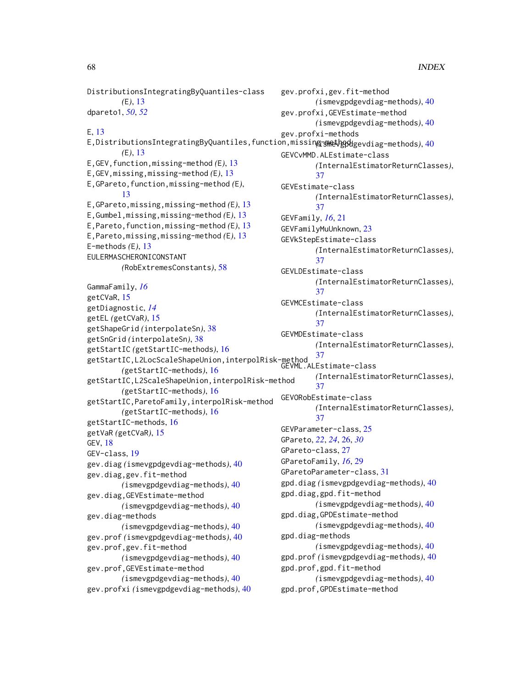gev.profxi,gev.fit-method

gev.profxi,GEVEstimate-method

*(*ismevgpdgevdiag-methods*)*, [40](#page-39-0)

DistributionsIntegratingByQuantiles-class

*(*E*)*, [13](#page-12-0) dpareto1, *[50](#page-49-0)*, *[52](#page-51-0)*

E, [13](#page-12-0) E,DistributionsIntegratingByQuantiles,function,missing-method *(*ismevgpdgevdiag-methods*)*, [40](#page-39-0) *(*E*)*, [13](#page-12-0) E,GEV,function,missing-method *(*E*)*, [13](#page-12-0) E,GEV,missing,missing-method *(*E*)*, [13](#page-12-0) E,GPareto,function,missing-method *(*E*)*, [13](#page-12-0) E,GPareto,missing,missing-method *(*E*)*, [13](#page-12-0) E,Gumbel,missing,missing-method *(*E*)*, [13](#page-12-0) E,Pareto,function,missing-method *(*E*)*, [13](#page-12-0) E,Pareto,missing,missing-method *(*E*)*, [13](#page-12-0) E-methods *(*E*)*, [13](#page-12-0) EULERMASCHERONICONSTANT *(*RobExtremesConstants*)*, [58](#page-57-0) GammaFamily, *[16](#page-15-0)* getCVaR, [15](#page-14-0) getDiagnostic, *[14](#page-13-0)* getEL *(*getCVaR*)*, [15](#page-14-0) getShapeGrid *(*interpolateSn*)*, [38](#page-37-0) getSnGrid *(*interpolateSn*)*, [38](#page-37-0) getStartIC *(*getStartIC-methods*)*, [16](#page-15-0) getStartIC,L2LocScaleShapeUnion,interpolRisk-method [37](#page-36-0) *(*getStartIC-methods*)*, [16](#page-15-0) getStartIC,L2ScaleShapeUnion,interpolRisk-method *(*getStartIC-methods*)*, [16](#page-15-0) getStartIC,ParetoFamily,interpolRisk-method *(*getStartIC-methods*)*, [16](#page-15-0) getStartIC-methods, [16](#page-15-0) getVaR *(*getCVaR*)*, [15](#page-14-0) GEV, [18](#page-17-0) GEV-class, [19](#page-18-0) gev.diag *(*ismevgpdgevdiag-methods*)*, [40](#page-39-0) gev.diag,gev.fit-method *(*ismevgpdgevdiag-methods*)*, [40](#page-39-0) gev.diag,GEVEstimate-method *(*ismevgpdgevdiag-methods*)*, [40](#page-39-0) gev.diag-methods *(*ismevgpdgevdiag-methods*)*, [40](#page-39-0) gev.prof *(*ismevgpdgevdiag-methods*)*, [40](#page-39-0) gev.prof,gev.fit-method *(*ismevgpdgevdiag-methods*)*, [40](#page-39-0) gev.prof,GEVEstimate-method *(*ismevgpdgevdiag-methods*)*, [40](#page-39-0) gev.profxi *(*ismevgpdgevdiag-methods*)*, [40](#page-39-0) *(*ismevgpdgevdiag-methods*)*, [40](#page-39-0) gev.profxi-methods GEVCvMMD.ALEstimate-class *(*InternalEstimatorReturnClasses*)*, [37](#page-36-0) GEVEstimate-class *(*InternalEstimatorReturnClasses*)*, [37](#page-36-0) GEVFamily, *[16](#page-15-0)*, [21](#page-20-0) GEVFamilyMuUnknown, [23](#page-22-0) GEVkStepEstimate-class *(*InternalEstimatorReturnClasses*)*, [37](#page-36-0) GEVLDEstimate-class *(*InternalEstimatorReturnClasses*)*, [37](#page-36-0) GEVMCEstimate-class *(*InternalEstimatorReturnClasses*)*, [37](#page-36-0) GEVMDEstimate-class *(*InternalEstimatorReturnClasses*)*, GEVML.ALEstimate-class *(*InternalEstimatorReturnClasses*)*, [37](#page-36-0) GEVORobEstimate-class *(*InternalEstimatorReturnClasses*)*, [37](#page-36-0) GEVParameter-class, [25](#page-24-0) GPareto, *[22](#page-21-0)*, *[24](#page-23-0)*, [26,](#page-25-0) *[30](#page-29-0)* GPareto-class, [27](#page-26-0) GParetoFamily, *[16](#page-15-0)*, [29](#page-28-0) GParetoParameter-class, [31](#page-30-0) gpd.diag *(*ismevgpdgevdiag-methods*)*, [40](#page-39-0) gpd.diag,gpd.fit-method *(*ismevgpdgevdiag-methods*)*, [40](#page-39-0) gpd.diag,GPDEstimate-method *(*ismevgpdgevdiag-methods*)*, [40](#page-39-0) gpd.diag-methods *(*ismevgpdgevdiag-methods*)*, [40](#page-39-0) gpd.prof *(*ismevgpdgevdiag-methods*)*, [40](#page-39-0) gpd.prof,gpd.fit-method *(*ismevgpdgevdiag-methods*)*, [40](#page-39-0) gpd.prof,GPDEstimate-method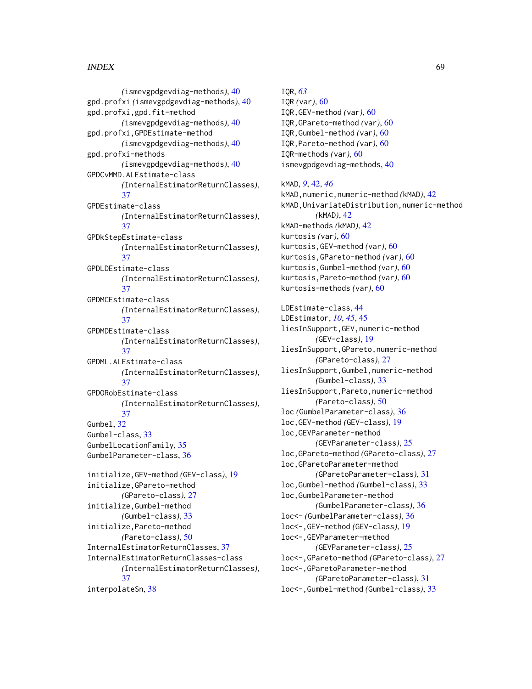# INDEX  $\sim$  69

*(*ismevgpdgevdiag-methods*)*, [40](#page-39-0) gpd.profxi *(*ismevgpdgevdiag-methods*)*, [40](#page-39-0) gpd.profxi,gpd.fit-method *(*ismevgpdgevdiag-methods*)*, [40](#page-39-0) gpd.profxi,GPDEstimate-method *(*ismevgpdgevdiag-methods*)*, [40](#page-39-0) gpd.profxi-methods *(*ismevgpdgevdiag-methods*)*, [40](#page-39-0) GPDCvMMD.ALEstimate-class *(*InternalEstimatorReturnClasses*)*, [37](#page-36-0) GPDEstimate-class *(*InternalEstimatorReturnClasses*)*, [37](#page-36-0) GPDkStepEstimate-class *(*InternalEstimatorReturnClasses*)*, [37](#page-36-0) GPDLDEstimate-class *(*InternalEstimatorReturnClasses*)*, [37](#page-36-0) GPDMCEstimate-class *(*InternalEstimatorReturnClasses*)*, [37](#page-36-0) GPDMDEstimate-class *(*InternalEstimatorReturnClasses*)*, [37](#page-36-0) GPDML.ALEstimate-class *(*InternalEstimatorReturnClasses*)*, [37](#page-36-0) GPDORobEstimate-class *(*InternalEstimatorReturnClasses*)*, [37](#page-36-0) Gumbel, [32](#page-31-0) Gumbel-class, [33](#page-32-0) GumbelLocationFamily, [35](#page-34-0) GumbelParameter-class, [36](#page-35-0) initialize,GEV-method *(*GEV-class*)*, [19](#page-18-0) initialize,GPareto-method *(*GPareto-class*)*, [27](#page-26-0) initialize,Gumbel-method *(*Gumbel-class*)*, [33](#page-32-0) initialize,Pareto-method *(*Pareto-class*)*, [50](#page-49-0) InternalEstimatorReturnClasses, [37](#page-36-0) InternalEstimatorReturnClasses-class *(*InternalEstimatorReturnClasses*)*, [37](#page-36-0) interpolateSn, [38](#page-37-0)

IQR, *[63](#page-62-0)* IQR *(*var*)*, [60](#page-59-0) IQR,GEV-method *(*var*)*, [60](#page-59-0) IQR,GPareto-method *(*var*)*, [60](#page-59-0) IQR,Gumbel-method *(*var*)*, [60](#page-59-0) IQR,Pareto-method *(*var*)*, [60](#page-59-0) IQR-methods *(*var*)*, [60](#page-59-0) ismevgpdgevdiag-methods, [40](#page-39-0) kMAD, *[9](#page-8-0)*, [42,](#page-41-0) *[46](#page-45-0)* kMAD,numeric,numeric-method *(*kMAD*)*, [42](#page-41-0) kMAD,UnivariateDistribution,numeric-method *(*kMAD*)*, [42](#page-41-0) kMAD-methods *(*kMAD*)*, [42](#page-41-0) kurtosis *(*var*)*, [60](#page-59-0) kurtosis,GEV-method *(*var*)*, [60](#page-59-0) kurtosis,GPareto-method *(*var*)*, [60](#page-59-0) kurtosis,Gumbel-method *(*var*)*, [60](#page-59-0) kurtosis,Pareto-method *(*var*)*, [60](#page-59-0) kurtosis-methods *(*var*)*, [60](#page-59-0) LDEstimate-class, [44](#page-43-0) LDEstimator, *[10](#page-9-0)*, *[45](#page-44-0)*, [45](#page-44-0) liesInSupport,GEV,numeric-method *(*GEV-class*)*, [19](#page-18-0) liesInSupport,GPareto,numeric-method *(*GPareto-class*)*, [27](#page-26-0) liesInSupport,Gumbel,numeric-method *(*Gumbel-class*)*, [33](#page-32-0) liesInSupport,Pareto,numeric-method *(*Pareto-class*)*, [50](#page-49-0) loc *(*GumbelParameter-class*)*, [36](#page-35-0) loc,GEV-method *(*GEV-class*)*, [19](#page-18-0) loc,GEVParameter-method *(*GEVParameter-class*)*, [25](#page-24-0) loc,GPareto-method *(*GPareto-class*)*, [27](#page-26-0) loc,GParetoParameter-method *(*GParetoParameter-class*)*, [31](#page-30-0) loc,Gumbel-method *(*Gumbel-class*)*, [33](#page-32-0) loc,GumbelParameter-method *(*GumbelParameter-class*)*, [36](#page-35-0) loc<- *(*GumbelParameter-class*)*, [36](#page-35-0) loc<-,GEV-method *(*GEV-class*)*, [19](#page-18-0) loc<-,GEVParameter-method *(*GEVParameter-class*)*, [25](#page-24-0) loc<-,GPareto-method *(*GPareto-class*)*, [27](#page-26-0) loc<-,GParetoParameter-method *(*GParetoParameter-class*)*, [31](#page-30-0) loc<-,Gumbel-method *(*Gumbel-class*)*, [33](#page-32-0)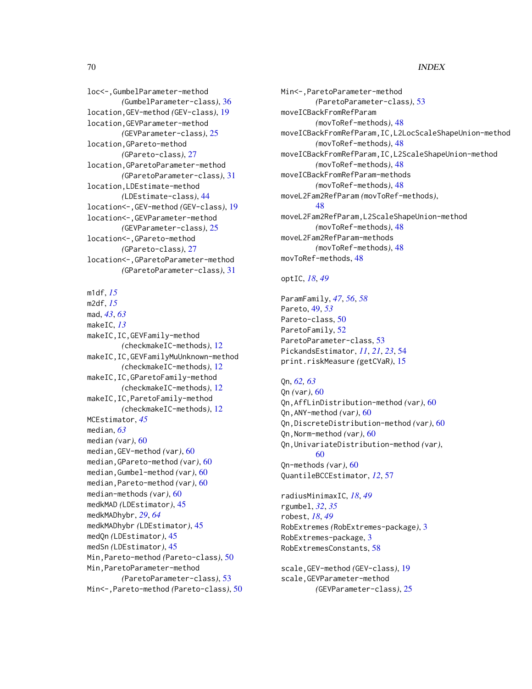# 70 INDEX

loc<-,GumbelParameter-method *(*GumbelParameter-class*)*, [36](#page-35-0) location,GEV-method *(*GEV-class*)*, [19](#page-18-0) location,GEVParameter-method *(*GEVParameter-class*)*, [25](#page-24-0) location,GPareto-method *(*GPareto-class*)*, [27](#page-26-0) location,GParetoParameter-method *(*GParetoParameter-class*)*, [31](#page-30-0) location,LDEstimate-method *(*LDEstimate-class*)*, [44](#page-43-0) location<-,GEV-method *(*GEV-class*)*, [19](#page-18-0) location<-,GEVParameter-method *(*GEVParameter-class*)*, [25](#page-24-0) location<-,GPareto-method *(*GPareto-class*)*, [27](#page-26-0) location<-,GParetoParameter-method *(*GParetoParameter-class*)*, [31](#page-30-0)

m1df, *[15](#page-14-0)* m2df, *[15](#page-14-0)* mad, *[43](#page-42-0)*, *[63](#page-62-0)* makeIC, *[13](#page-12-0)* makeIC,IC,GEVFamily-method *(*checkmakeIC-methods*)*, [12](#page-11-0) makeIC,IC,GEVFamilyMuUnknown-method *(*checkmakeIC-methods*)*, [12](#page-11-0) makeIC,IC,GParetoFamily-method *(*checkmakeIC-methods*)*, [12](#page-11-0) makeIC,IC,ParetoFamily-method *(*checkmakeIC-methods*)*, [12](#page-11-0) MCEstimator, *[45](#page-44-0)* median, *[63](#page-62-0)* median *(*var*)*, [60](#page-59-0) median,GEV-method *(*var*)*, [60](#page-59-0) median,GPareto-method *(*var*)*, [60](#page-59-0) median,Gumbel-method *(*var*)*, [60](#page-59-0) median,Pareto-method *(*var*)*, [60](#page-59-0) median-methods *(*var*)*, [60](#page-59-0) medkMAD *(*LDEstimator*)*, [45](#page-44-0) medkMADhybr, *[29](#page-28-0)*, *[64](#page-63-0)* medkMADhybr *(*LDEstimator*)*, [45](#page-44-0) medQn *(*LDEstimator*)*, [45](#page-44-0) medSn *(*LDEstimator*)*, [45](#page-44-0) Min,Pareto-method *(*Pareto-class*)*, [50](#page-49-0) Min,ParetoParameter-method *(*ParetoParameter-class*)*, [53](#page-52-0) Min<-,Pareto-method *(*Pareto-class*)*, [50](#page-49-0) Min<-,ParetoParameter-method *(*ParetoParameter-class*)*, [53](#page-52-0) moveICBackFromRefParam *(*movToRef-methods*)*, [48](#page-47-0) moveICBackFromRefParam,IC,L2LocScaleShapeUnion-method *(*movToRef-methods*)*, [48](#page-47-0) moveICBackFromRefParam,IC,L2ScaleShapeUnion-method *(*movToRef-methods*)*, [48](#page-47-0) moveICBackFromRefParam-methods *(*movToRef-methods*)*, [48](#page-47-0) moveL2Fam2RefParam *(*movToRef-methods*)*, [48](#page-47-0) moveL2Fam2RefParam,L2ScaleShapeUnion-method *(*movToRef-methods*)*, [48](#page-47-0) moveL2Fam2RefParam-methods *(*movToRef-methods*)*, [48](#page-47-0) movToRef-methods, [48](#page-47-0)

#### optIC, *[18](#page-17-0)*, *[49](#page-48-0)*

ParamFamily, *[47](#page-46-0)*, *[56](#page-55-0)*, *[58](#page-57-0)* Pareto, [49,](#page-48-0) *[53](#page-52-0)* Pareto-class, [50](#page-49-0) ParetoFamily, [52](#page-51-0) ParetoParameter-class, [53](#page-52-0) PickandsEstimator, *[11](#page-10-0)*, *[21](#page-20-0)*, *[23](#page-22-0)*, [54](#page-53-0) print.riskMeasure *(*getCVaR*)*, [15](#page-14-0)

#### Qn, *[62,](#page-61-0) [63](#page-62-0)*

Qn *(*var*)*, [60](#page-59-0) Qn,AffLinDistribution-method *(*var*)*, [60](#page-59-0) Qn,ANY-method *(*var*)*, [60](#page-59-0) Qn,DiscreteDistribution-method *(*var*)*, [60](#page-59-0) Qn,Norm-method *(*var*)*, [60](#page-59-0) Qn,UnivariateDistribution-method *(*var*)*, [60](#page-59-0) Qn-methods *(*var*)*, [60](#page-59-0) QuantileBCCEstimator, *[12](#page-11-0)*, [57](#page-56-0)

radiusMinimaxIC, *[18](#page-17-0)*, *[49](#page-48-0)* rgumbel, *[32](#page-31-0)*, *[35](#page-34-0)* robest, *[18](#page-17-0)*, *[49](#page-48-0)* RobExtremes *(*RobExtremes-package*)*, [3](#page-2-0) RobExtremes-package, [3](#page-2-0) RobExtremesConstants, [58](#page-57-0)

scale,GEV-method *(*GEV-class*)*, [19](#page-18-0) scale,GEVParameter-method *(*GEVParameter-class*)*, [25](#page-24-0)